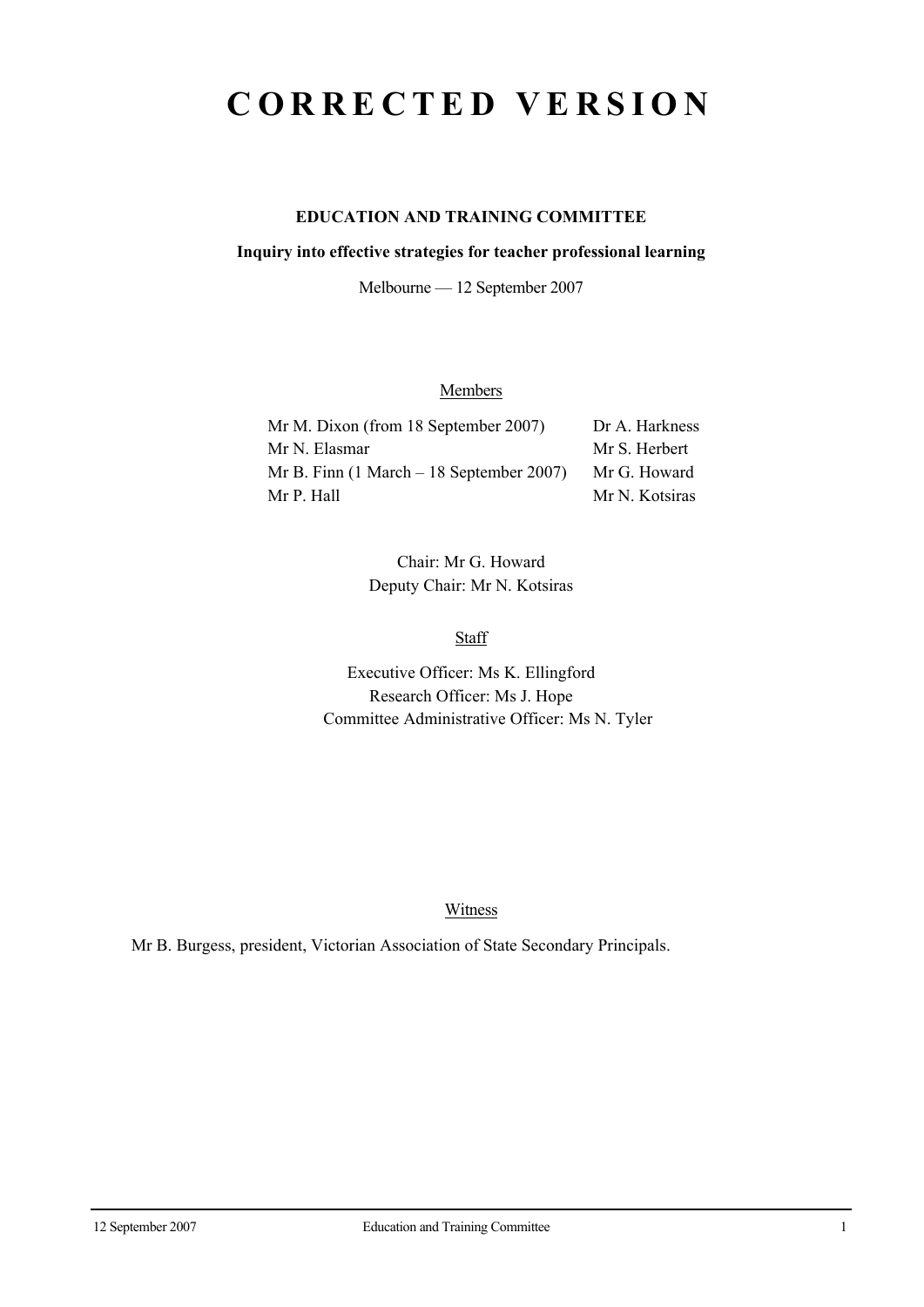## **CORRECTED VERSION**

## **EDUCATION AND TRAINING COMMITTEE**

#### **Inquiry into effective strategies for teacher professional learning**

Melbourne — 12 September 2007

## **Members**

| Mr M. Dixon (from 18 September 2007)                        | Dr A. Harkness |
|-------------------------------------------------------------|----------------|
| Mr N. Elasmar                                               | Mr S. Herbert  |
| Mr B. Finn $(1 \text{ March} - 18 \text{ September } 2007)$ | Mr G. Howard   |
| Mr P. Hall                                                  | Mr N. Kotsiras |

Chair: Mr G. Howard Deputy Chair: Mr N. Kotsiras

**Staff** 

Executive Officer: Ms K. Ellingford Research Officer: Ms J. Hope Committee Administrative Officer: Ms N. Tyler

Witness

Mr B. Burgess, president, Victorian Association of State Secondary Principals.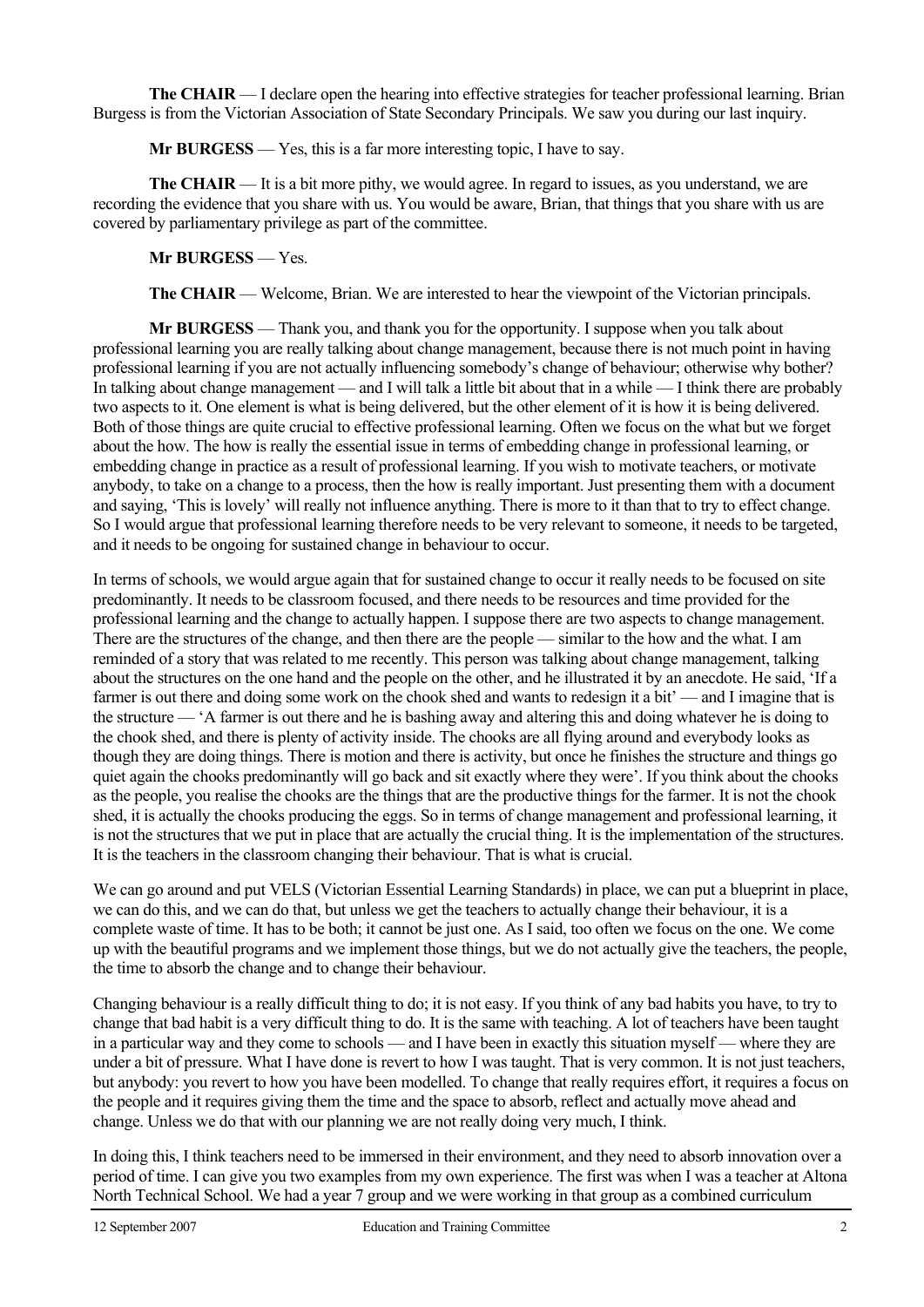**The CHAIR** — I declare open the hearing into effective strategies for teacher professional learning. Brian Burgess is from the Victorian Association of State Secondary Principals. We saw you during our last inquiry.

 **Mr BURGESS** — Yes, this is a far more interesting topic, I have to say.

**The CHAIR** — It is a bit more pithy, we would agree. In regard to issues, as you understand, we are recording the evidence that you share with us. You would be aware, Brian, that things that you share with us are covered by parliamentary privilege as part of the committee.

 **Mr BURGESS** — Yes.

**The CHAIR** — Welcome, Brian. We are interested to hear the viewpoint of the Victorian principals.

 **Mr BURGESS** — Thank you, and thank you for the opportunity. I suppose when you talk about professional learning you are really talking about change management, because there is not much point in having professional learning if you are not actually influencing somebody's change of behaviour; otherwise why bother? In talking about change management — and I will talk a little bit about that in a while — I think there are probably two aspects to it. One element is what is being delivered, but the other element of it is how it is being delivered. Both of those things are quite crucial to effective professional learning. Often we focus on the what but we forget about the how. The how is really the essential issue in terms of embedding change in professional learning, or embedding change in practice as a result of professional learning. If you wish to motivate teachers, or motivate anybody, to take on a change to a process, then the how is really important. Just presenting them with a document and saying, 'This is lovely' will really not influence anything. There is more to it than that to try to effect change. So I would argue that professional learning therefore needs to be very relevant to someone, it needs to be targeted, and it needs to be ongoing for sustained change in behaviour to occur.

In terms of schools, we would argue again that for sustained change to occur it really needs to be focused on site predominantly. It needs to be classroom focused, and there needs to be resources and time provided for the professional learning and the change to actually happen. I suppose there are two aspects to change management. There are the structures of the change, and then there are the people — similar to the how and the what. I am reminded of a story that was related to me recently. This person was talking about change management, talking about the structures on the one hand and the people on the other, and he illustrated it by an anecdote. He said, 'If a farmer is out there and doing some work on the chook shed and wants to redesign it a bit' — and I imagine that is the structure — 'A farmer is out there and he is bashing away and altering this and doing whatever he is doing to the chook shed, and there is plenty of activity inside. The chooks are all flying around and everybody looks as though they are doing things. There is motion and there is activity, but once he finishes the structure and things go quiet again the chooks predominantly will go back and sit exactly where they were'. If you think about the chooks as the people, you realise the chooks are the things that are the productive things for the farmer. It is not the chook shed, it is actually the chooks producing the eggs. So in terms of change management and professional learning, it is not the structures that we put in place that are actually the crucial thing. It is the implementation of the structures. It is the teachers in the classroom changing their behaviour. That is what is crucial.

We can go around and put VELS (Victorian Essential Learning Standards) in place, we can put a blueprint in place, we can do this, and we can do that, but unless we get the teachers to actually change their behaviour, it is a complete waste of time. It has to be both; it cannot be just one. As I said, too often we focus on the one. We come up with the beautiful programs and we implement those things, but we do not actually give the teachers, the people, the time to absorb the change and to change their behaviour.

Changing behaviour is a really difficult thing to do; it is not easy. If you think of any bad habits you have, to try to change that bad habit is a very difficult thing to do. It is the same with teaching. A lot of teachers have been taught in a particular way and they come to schools — and I have been in exactly this situation myself — where they are under a bit of pressure. What I have done is revert to how I was taught. That is very common. It is not just teachers, but anybody: you revert to how you have been modelled. To change that really requires effort, it requires a focus on the people and it requires giving them the time and the space to absorb, reflect and actually move ahead and change. Unless we do that with our planning we are not really doing very much, I think.

In doing this, I think teachers need to be immersed in their environment, and they need to absorb innovation over a period of time. I can give you two examples from my own experience. The first was when I was a teacher at Altona North Technical School. We had a year 7 group and we were working in that group as a combined curriculum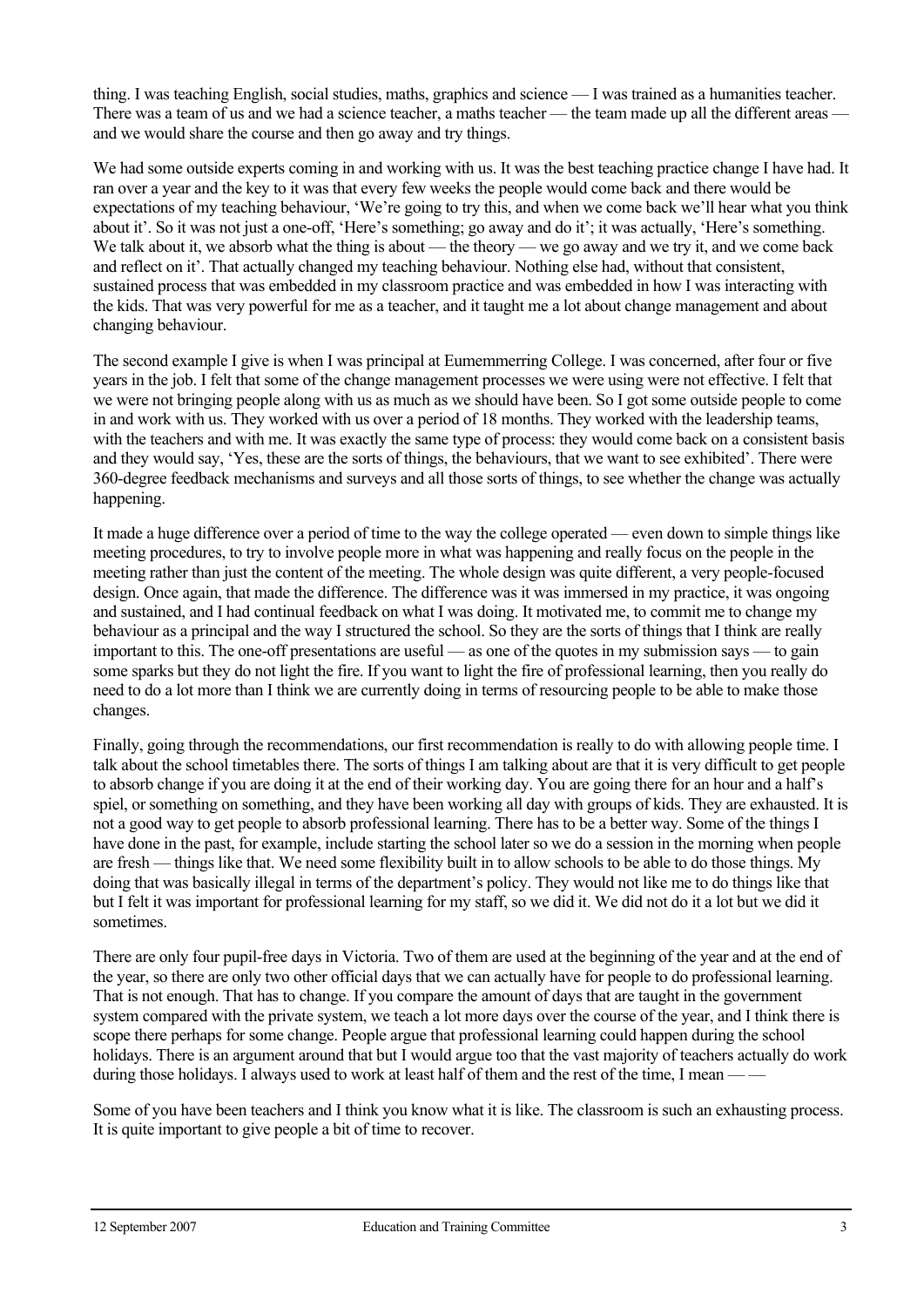thing. I was teaching English, social studies, maths, graphics and science — I was trained as a humanities teacher. There was a team of us and we had a science teacher, a maths teacher — the team made up all the different areas and we would share the course and then go away and try things.

We had some outside experts coming in and working with us. It was the best teaching practice change I have had. It ran over a year and the key to it was that every few weeks the people would come back and there would be expectations of my teaching behaviour, 'We're going to try this, and when we come back we'll hear what you think about it'. So it was not just a one-off, 'Here's something; go away and do it'; it was actually, 'Here's something. We talk about it, we absorb what the thing is about — the theory — we go away and we try it, and we come back and reflect on it'. That actually changed my teaching behaviour. Nothing else had, without that consistent, sustained process that was embedded in my classroom practice and was embedded in how I was interacting with the kids. That was very powerful for me as a teacher, and it taught me a lot about change management and about changing behaviour.

The second example I give is when I was principal at Eumemmerring College. I was concerned, after four or five years in the job. I felt that some of the change management processes we were using were not effective. I felt that we were not bringing people along with us as much as we should have been. So I got some outside people to come in and work with us. They worked with us over a period of 18 months. They worked with the leadership teams, with the teachers and with me. It was exactly the same type of process: they would come back on a consistent basis and they would say, 'Yes, these are the sorts of things, the behaviours, that we want to see exhibited'. There were 360-degree feedback mechanisms and surveys and all those sorts of things, to see whether the change was actually happening.

It made a huge difference over a period of time to the way the college operated — even down to simple things like meeting procedures, to try to involve people more in what was happening and really focus on the people in the meeting rather than just the content of the meeting. The whole design was quite different, a very people-focused design. Once again, that made the difference. The difference was it was immersed in my practice, it was ongoing and sustained, and I had continual feedback on what I was doing. It motivated me, to commit me to change my behaviour as a principal and the way I structured the school. So they are the sorts of things that I think are really important to this. The one-off presentations are useful — as one of the quotes in my submission says — to gain some sparks but they do not light the fire. If you want to light the fire of professional learning, then you really do need to do a lot more than I think we are currently doing in terms of resourcing people to be able to make those changes.

Finally, going through the recommendations, our first recommendation is really to do with allowing people time. I talk about the school timetables there. The sorts of things I am talking about are that it is very difficult to get people to absorb change if you are doing it at the end of their working day. You are going there for an hour and a half's spiel, or something on something, and they have been working all day with groups of kids. They are exhausted. It is not a good way to get people to absorb professional learning. There has to be a better way. Some of the things I have done in the past, for example, include starting the school later so we do a session in the morning when people are fresh — things like that. We need some flexibility built in to allow schools to be able to do those things. My doing that was basically illegal in terms of the department's policy. They would not like me to do things like that but I felt it was important for professional learning for my staff, so we did it. We did not do it a lot but we did it sometimes.

There are only four pupil-free days in Victoria. Two of them are used at the beginning of the year and at the end of the year, so there are only two other official days that we can actually have for people to do professional learning. That is not enough. That has to change. If you compare the amount of days that are taught in the government system compared with the private system, we teach a lot more days over the course of the year, and I think there is scope there perhaps for some change. People argue that professional learning could happen during the school holidays. There is an argument around that but I would argue too that the vast majority of teachers actually do work during those holidays. I always used to work at least half of them and the rest of the time, I mean -

Some of you have been teachers and I think you know what it is like. The classroom is such an exhausting process. It is quite important to give people a bit of time to recover.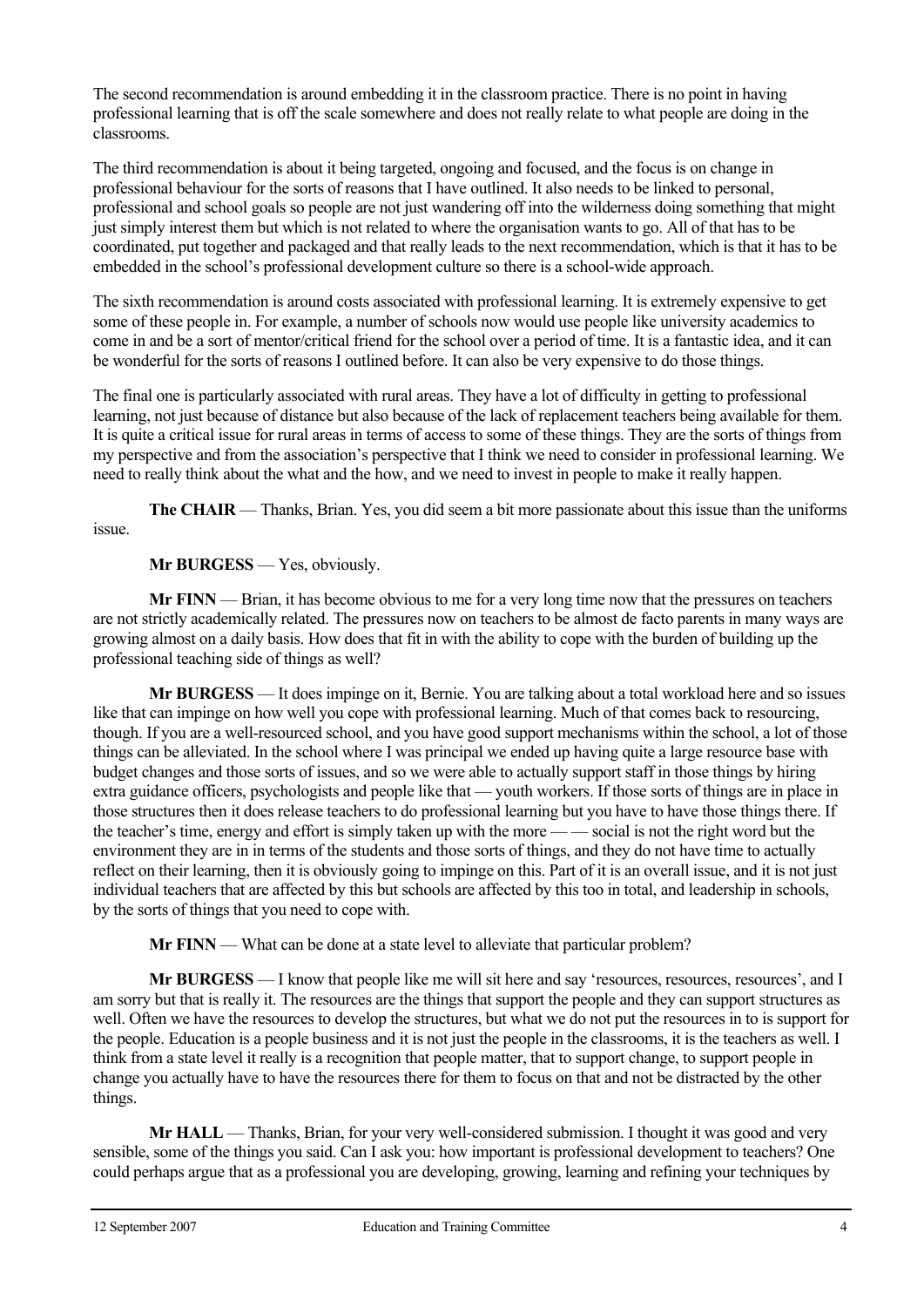The second recommendation is around embedding it in the classroom practice. There is no point in having professional learning that is off the scale somewhere and does not really relate to what people are doing in the classrooms.

The third recommendation is about it being targeted, ongoing and focused, and the focus is on change in professional behaviour for the sorts of reasons that I have outlined. It also needs to be linked to personal, professional and school goals so people are not just wandering off into the wilderness doing something that might just simply interest them but which is not related to where the organisation wants to go. All of that has to be coordinated, put together and packaged and that really leads to the next recommendation, which is that it has to be embedded in the school's professional development culture so there is a school-wide approach.

The sixth recommendation is around costs associated with professional learning. It is extremely expensive to get some of these people in. For example, a number of schools now would use people like university academics to come in and be a sort of mentor/critical friend for the school over a period of time. It is a fantastic idea, and it can be wonderful for the sorts of reasons I outlined before. It can also be very expensive to do those things.

The final one is particularly associated with rural areas. They have a lot of difficulty in getting to professional learning, not just because of distance but also because of the lack of replacement teachers being available for them. It is quite a critical issue for rural areas in terms of access to some of these things. They are the sorts of things from my perspective and from the association's perspective that I think we need to consider in professional learning. We need to really think about the what and the how, and we need to invest in people to make it really happen.

**The CHAIR** — Thanks, Brian. Yes, you did seem a bit more passionate about this issue than the uniforms issue.

## **Mr BURGESS** — Yes, obviously.

**Mr FINN** — Brian, it has become obvious to me for a very long time now that the pressures on teachers are not strictly academically related. The pressures now on teachers to be almost de facto parents in many ways are growing almost on a daily basis. How does that fit in with the ability to cope with the burden of building up the professional teaching side of things as well?

**Mr BURGESS** — It does impinge on it, Bernie. You are talking about a total workload here and so issues like that can impinge on how well you cope with professional learning. Much of that comes back to resourcing, though. If you are a well-resourced school, and you have good support mechanisms within the school, a lot of those things can be alleviated. In the school where I was principal we ended up having quite a large resource base with budget changes and those sorts of issues, and so we were able to actually support staff in those things by hiring extra guidance officers, psychologists and people like that — youth workers. If those sorts of things are in place in those structures then it does release teachers to do professional learning but you have to have those things there. If the teacher's time, energy and effort is simply taken up with the more — — social is not the right word but the environment they are in in terms of the students and those sorts of things, and they do not have time to actually reflect on their learning, then it is obviously going to impinge on this. Part of it is an overall issue, and it is not just individual teachers that are affected by this but schools are affected by this too in total, and leadership in schools, by the sorts of things that you need to cope with.

**Mr FINN** — What can be done at a state level to alleviate that particular problem?

**Mr BURGESS** — I know that people like me will sit here and say 'resources, resources, resources', and I am sorry but that is really it. The resources are the things that support the people and they can support structures as well. Often we have the resources to develop the structures, but what we do not put the resources in to is support for the people. Education is a people business and it is not just the people in the classrooms, it is the teachers as well. I think from a state level it really is a recognition that people matter, that to support change, to support people in change you actually have to have the resources there for them to focus on that and not be distracted by the other things.

**Mr HALL** — Thanks, Brian, for your very well-considered submission. I thought it was good and very sensible, some of the things you said. Can I ask you: how important is professional development to teachers? One could perhaps argue that as a professional you are developing, growing, learning and refining your techniques by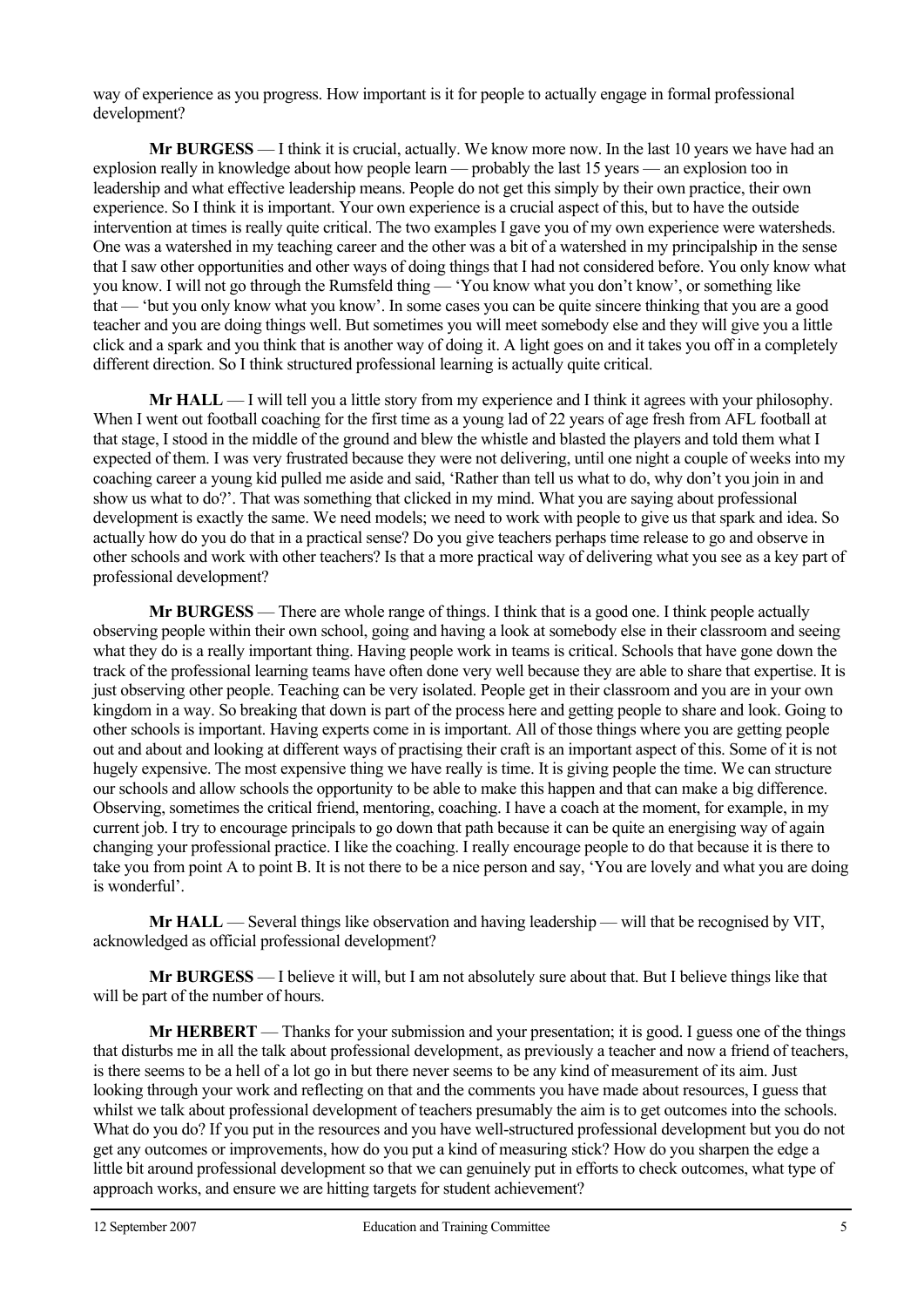way of experience as you progress. How important is it for people to actually engage in formal professional development?

 **Mr BURGESS** — I think it is crucial, actually. We know more now. In the last 10 years we have had an explosion really in knowledge about how people learn — probably the last 15 years — an explosion too in leadership and what effective leadership means. People do not get this simply by their own practice, their own experience. So I think it is important. Your own experience is a crucial aspect of this, but to have the outside intervention at times is really quite critical. The two examples I gave you of my own experience were watersheds. One was a watershed in my teaching career and the other was a bit of a watershed in my principalship in the sense that I saw other opportunities and other ways of doing things that I had not considered before. You only know what you know. I will not go through the Rumsfeld thing — 'You know what you don't know', or something like that — 'but you only know what you know'. In some cases you can be quite sincere thinking that you are a good teacher and you are doing things well. But sometimes you will meet somebody else and they will give you a little click and a spark and you think that is another way of doing it. A light goes on and it takes you off in a completely different direction. So I think structured professional learning is actually quite critical.

**Mr HALL** — I will tell you a little story from my experience and I think it agrees with your philosophy. When I went out football coaching for the first time as a young lad of 22 years of age fresh from AFL football at that stage, I stood in the middle of the ground and blew the whistle and blasted the players and told them what I expected of them. I was very frustrated because they were not delivering, until one night a couple of weeks into my coaching career a young kid pulled me aside and said, 'Rather than tell us what to do, why don't you join in and show us what to do?'. That was something that clicked in my mind. What you are saying about professional development is exactly the same. We need models; we need to work with people to give us that spark and idea. So actually how do you do that in a practical sense? Do you give teachers perhaps time release to go and observe in other schools and work with other teachers? Is that a more practical way of delivering what you see as a key part of professional development?

**Mr BURGESS** — There are whole range of things. I think that is a good one. I think people actually observing people within their own school, going and having a look at somebody else in their classroom and seeing what they do is a really important thing. Having people work in teams is critical. Schools that have gone down the track of the professional learning teams have often done very well because they are able to share that expertise. It is just observing other people. Teaching can be very isolated. People get in their classroom and you are in your own kingdom in a way. So breaking that down is part of the process here and getting people to share and look. Going to other schools is important. Having experts come in is important. All of those things where you are getting people out and about and looking at different ways of practising their craft is an important aspect of this. Some of it is not hugely expensive. The most expensive thing we have really is time. It is giving people the time. We can structure our schools and allow schools the opportunity to be able to make this happen and that can make a big difference. Observing, sometimes the critical friend, mentoring, coaching. I have a coach at the moment, for example, in my current job. I try to encourage principals to go down that path because it can be quite an energising way of again changing your professional practice. I like the coaching. I really encourage people to do that because it is there to take you from point A to point B. It is not there to be a nice person and say, 'You are lovely and what you are doing is wonderful'.

**Mr HALL** — Several things like observation and having leadership — will that be recognised by VIT, acknowledged as official professional development?

 **Mr BURGESS** — I believe it will, but I am not absolutely sure about that. But I believe things like that will be part of the number of hours.

**Mr HERBERT** — Thanks for your submission and your presentation; it is good. I guess one of the things that disturbs me in all the talk about professional development, as previously a teacher and now a friend of teachers, is there seems to be a hell of a lot go in but there never seems to be any kind of measurement of its aim. Just looking through your work and reflecting on that and the comments you have made about resources, I guess that whilst we talk about professional development of teachers presumably the aim is to get outcomes into the schools. What do you do? If you put in the resources and you have well-structured professional development but you do not get any outcomes or improvements, how do you put a kind of measuring stick? How do you sharpen the edge a little bit around professional development so that we can genuinely put in efforts to check outcomes, what type of approach works, and ensure we are hitting targets for student achievement?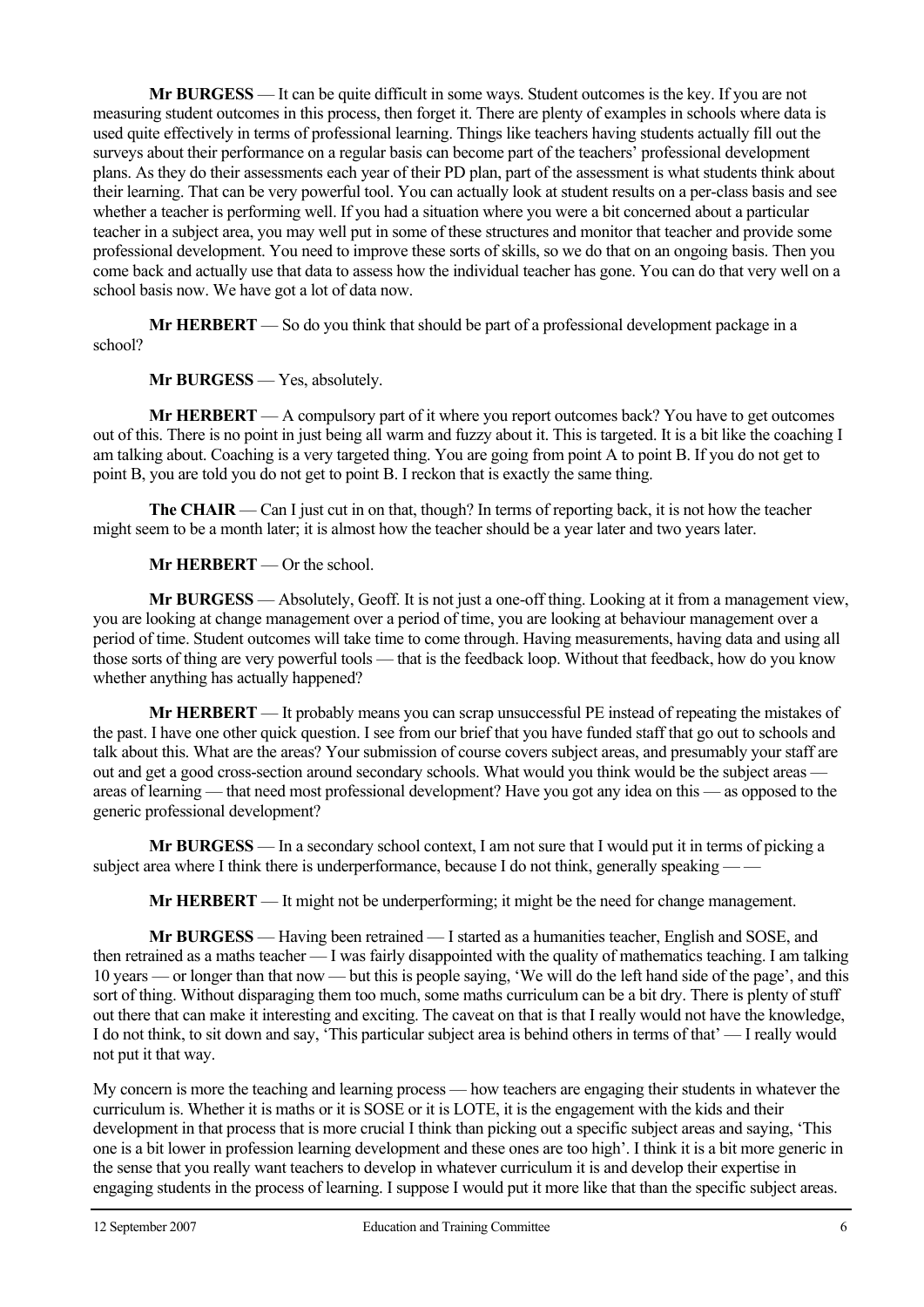**Mr BURGESS** — It can be quite difficult in some ways. Student outcomes is the key. If you are not measuring student outcomes in this process, then forget it. There are plenty of examples in schools where data is used quite effectively in terms of professional learning. Things like teachers having students actually fill out the surveys about their performance on a regular basis can become part of the teachers' professional development plans. As they do their assessments each year of their PD plan, part of the assessment is what students think about their learning. That can be very powerful tool. You can actually look at student results on a per-class basis and see whether a teacher is performing well. If you had a situation where you were a bit concerned about a particular teacher in a subject area, you may well put in some of these structures and monitor that teacher and provide some professional development. You need to improve these sorts of skills, so we do that on an ongoing basis. Then you come back and actually use that data to assess how the individual teacher has gone. You can do that very well on a school basis now. We have got a lot of data now.

**Mr HERBERT** — So do you think that should be part of a professional development package in a school?

 **Mr BURGESS** — Yes, absolutely.

**Mr HERBERT** — A compulsory part of it where you report outcomes back? You have to get outcomes out of this. There is no point in just being all warm and fuzzy about it. This is targeted. It is a bit like the coaching I am talking about. Coaching is a very targeted thing. You are going from point A to point B. If you do not get to point B, you are told you do not get to point B. I reckon that is exactly the same thing.

**The CHAIR** — Can I just cut in on that, though? In terms of reporting back, it is not how the teacher might seem to be a month later; it is almost how the teacher should be a year later and two years later.

**Mr HERBERT** — Or the school.

 **Mr BURGESS** — Absolutely, Geoff. It is not just a one-off thing. Looking at it from a management view, you are looking at change management over a period of time, you are looking at behaviour management over a period of time. Student outcomes will take time to come through. Having measurements, having data and using all those sorts of thing are very powerful tools — that is the feedback loop. Without that feedback, how do you know whether anything has actually happened?

**Mr HERBERT** — It probably means you can scrap unsuccessful PE instead of repeating the mistakes of the past. I have one other quick question. I see from our brief that you have funded staff that go out to schools and talk about this. What are the areas? Your submission of course covers subject areas, and presumably your staff are out and get a good cross-section around secondary schools. What would you think would be the subject areas areas of learning — that need most professional development? Have you got any idea on this — as opposed to the generic professional development?

 **Mr BURGESS** — In a secondary school context, I am not sure that I would put it in terms of picking a subject area where I think there is underperformance, because I do not think, generally speaking –

**Mr HERBERT** — It might not be underperforming; it might be the need for change management.

 **Mr BURGESS** — Having been retrained — I started as a humanities teacher, English and SOSE, and then retrained as a maths teacher — I was fairly disappointed with the quality of mathematics teaching. I am talking 10 years — or longer than that now — but this is people saying, 'We will do the left hand side of the page', and this sort of thing. Without disparaging them too much, some maths curriculum can be a bit dry. There is plenty of stuff out there that can make it interesting and exciting. The caveat on that is that I really would not have the knowledge, I do not think, to sit down and say, 'This particular subject area is behind others in terms of that' — I really would not put it that way.

My concern is more the teaching and learning process — how teachers are engaging their students in whatever the curriculum is. Whether it is maths or it is SOSE or it is LOTE, it is the engagement with the kids and their development in that process that is more crucial I think than picking out a specific subject areas and saying, 'This one is a bit lower in profession learning development and these ones are too high'. I think it is a bit more generic in the sense that you really want teachers to develop in whatever curriculum it is and develop their expertise in engaging students in the process of learning. I suppose I would put it more like that than the specific subject areas.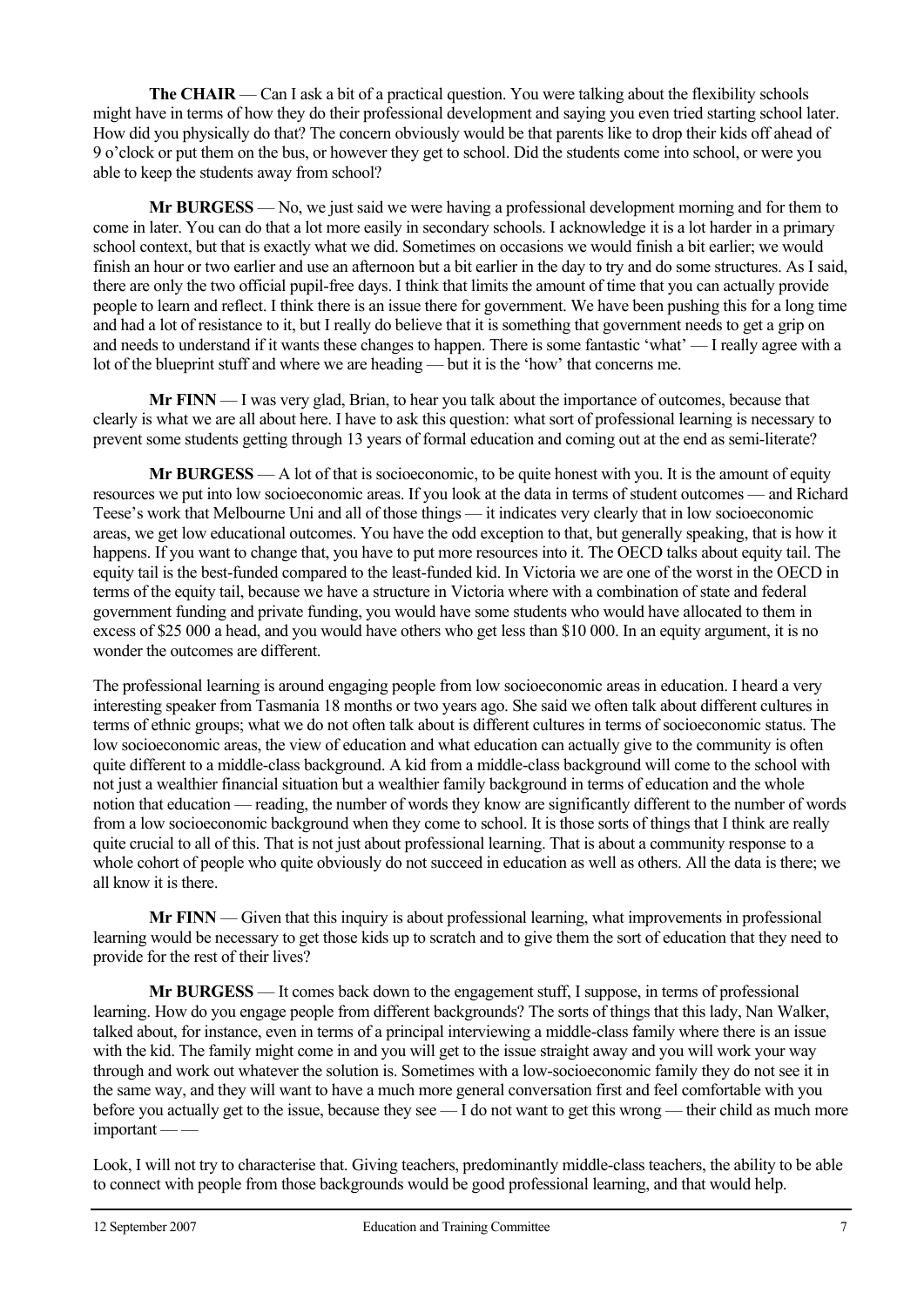**The CHAIR** — Can I ask a bit of a practical question. You were talking about the flexibility schools might have in terms of how they do their professional development and saying you even tried starting school later. How did you physically do that? The concern obviously would be that parents like to drop their kids off ahead of 9 o'clock or put them on the bus, or however they get to school. Did the students come into school, or were you able to keep the students away from school?

 **Mr BURGESS** — No, we just said we were having a professional development morning and for them to come in later. You can do that a lot more easily in secondary schools. I acknowledge it is a lot harder in a primary school context, but that is exactly what we did. Sometimes on occasions we would finish a bit earlier; we would finish an hour or two earlier and use an afternoon but a bit earlier in the day to try and do some structures. As I said, there are only the two official pupil-free days. I think that limits the amount of time that you can actually provide people to learn and reflect. I think there is an issue there for government. We have been pushing this for a long time and had a lot of resistance to it, but I really do believe that it is something that government needs to get a grip on and needs to understand if it wants these changes to happen. There is some fantastic 'what' — I really agree with a lot of the blueprint stuff and where we are heading — but it is the 'how' that concerns me.

**Mr FINN** — I was very glad, Brian, to hear you talk about the importance of outcomes, because that clearly is what we are all about here. I have to ask this question: what sort of professional learning is necessary to prevent some students getting through 13 years of formal education and coming out at the end as semi-literate?

 **Mr BURGESS** — A lot of that is socioeconomic, to be quite honest with you. It is the amount of equity resources we put into low socioeconomic areas. If you look at the data in terms of student outcomes — and Richard Teese's work that Melbourne Uni and all of those things — it indicates very clearly that in low socioeconomic areas, we get low educational outcomes. You have the odd exception to that, but generally speaking, that is how it happens. If you want to change that, you have to put more resources into it. The OECD talks about equity tail. The equity tail is the best-funded compared to the least-funded kid. In Victoria we are one of the worst in the OECD in terms of the equity tail, because we have a structure in Victoria where with a combination of state and federal government funding and private funding, you would have some students who would have allocated to them in excess of \$25 000 a head, and you would have others who get less than \$10 000. In an equity argument, it is no wonder the outcomes are different.

The professional learning is around engaging people from low socioeconomic areas in education. I heard a very interesting speaker from Tasmania 18 months or two years ago. She said we often talk about different cultures in terms of ethnic groups; what we do not often talk about is different cultures in terms of socioeconomic status. The low socioeconomic areas, the view of education and what education can actually give to the community is often quite different to a middle-class background. A kid from a middle-class background will come to the school with not just a wealthier financial situation but a wealthier family background in terms of education and the whole notion that education — reading, the number of words they know are significantly different to the number of words from a low socioeconomic background when they come to school. It is those sorts of things that I think are really quite crucial to all of this. That is not just about professional learning. That is about a community response to a whole cohort of people who quite obviously do not succeed in education as well as others. All the data is there; we all know it is there.

**Mr FINN** — Given that this inquiry is about professional learning, what improvements in professional learning would be necessary to get those kids up to scratch and to give them the sort of education that they need to provide for the rest of their lives?

**Mr BURGESS** — It comes back down to the engagement stuff, I suppose, in terms of professional learning. How do you engage people from different backgrounds? The sorts of things that this lady, Nan Walker, talked about, for instance, even in terms of a principal interviewing a middle-class family where there is an issue with the kid. The family might come in and you will get to the issue straight away and you will work your way through and work out whatever the solution is. Sometimes with a low-socioeconomic family they do not see it in the same way, and they will want to have a much more general conversation first and feel comfortable with you before you actually get to the issue, because they see — I do not want to get this wrong — their child as much more important -

Look, I will not try to characterise that. Giving teachers, predominantly middle-class teachers, the ability to be able to connect with people from those backgrounds would be good professional learning, and that would help.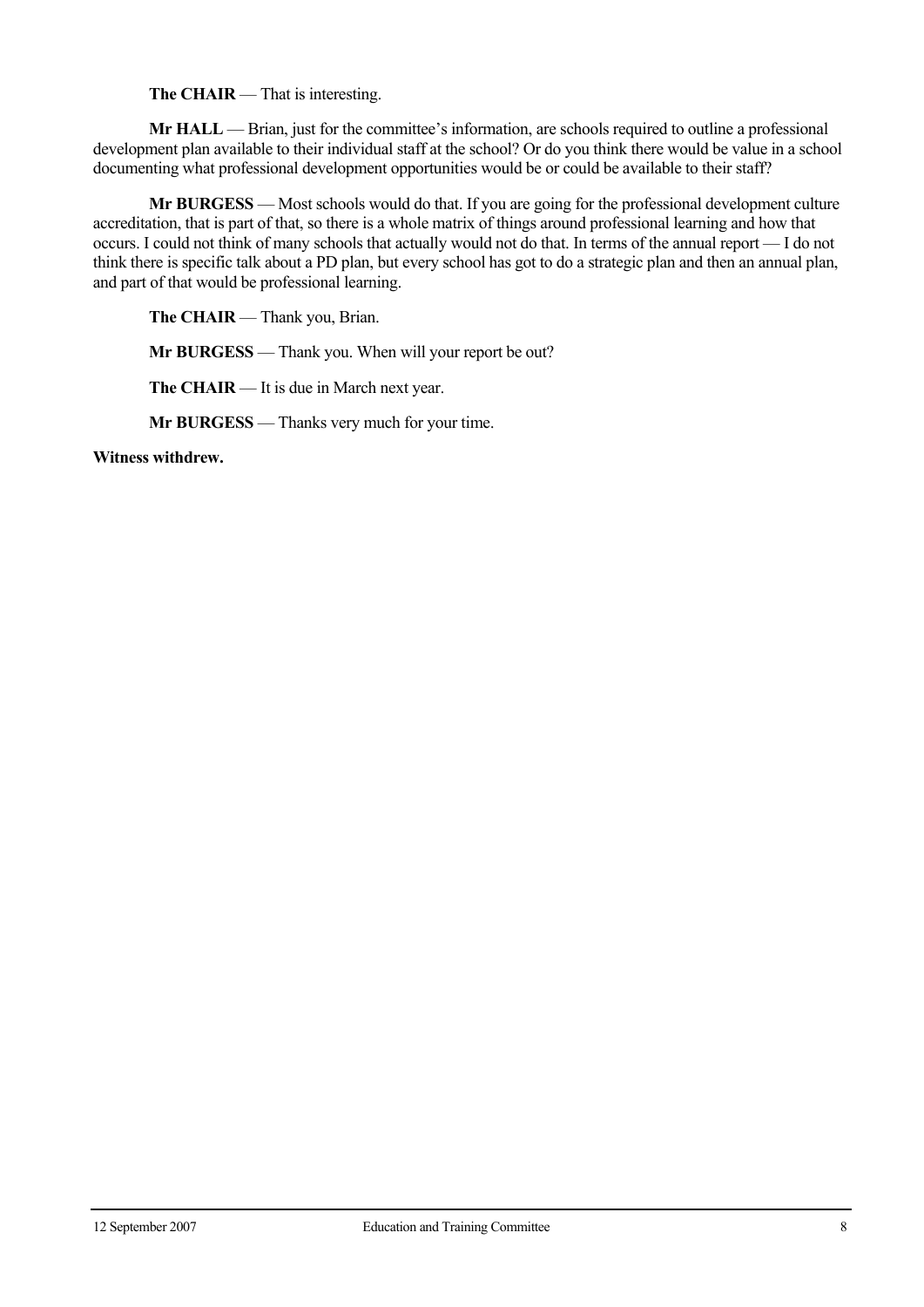**The CHAIR** — That is interesting.

**Mr HALL** — Brian, just for the committee's information, are schools required to outline a professional development plan available to their individual staff at the school? Or do you think there would be value in a school documenting what professional development opportunities would be or could be available to their staff?

**Mr BURGESS** — Most schools would do that. If you are going for the professional development culture accreditation, that is part of that, so there is a whole matrix of things around professional learning and how that occurs. I could not think of many schools that actually would not do that. In terms of the annual report — I do not think there is specific talk about a PD plan, but every school has got to do a strategic plan and then an annual plan, and part of that would be professional learning.

**The CHAIR** — Thank you, Brian.

**Mr BURGESS** — Thank you. When will your report be out?

**The CHAIR** — It is due in March next year.

**Mr BURGESS** — Thanks very much for your time.

**Witness withdrew.**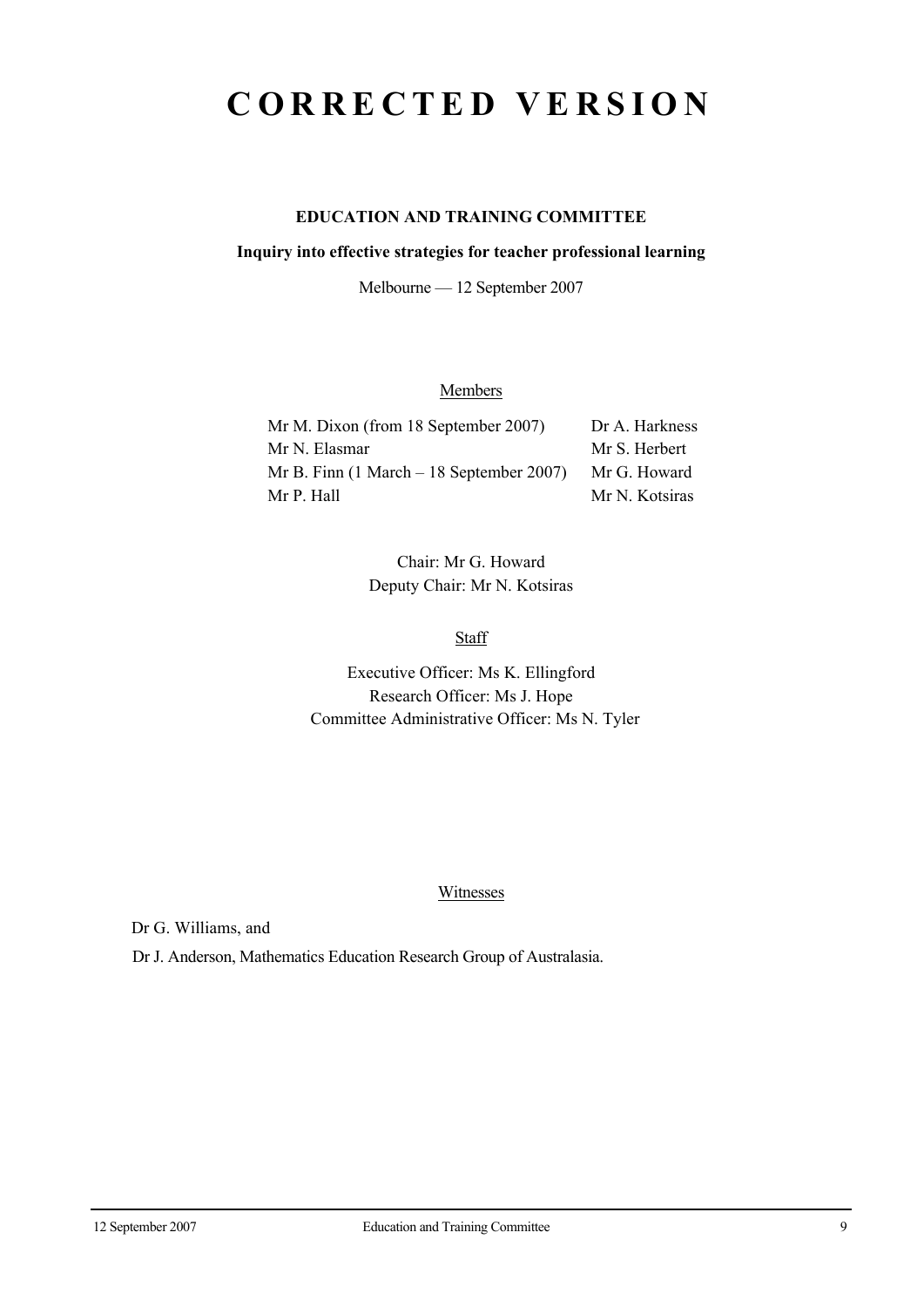## **CORRECTED VERSION**

## **EDUCATION AND TRAINING COMMITTEE**

#### **Inquiry into effective strategies for teacher professional learning**

Melbourne — 12 September 2007

## **Members**

| Mr M. Dixon (from 18 September 2007)                        | Dr A. Harkness |
|-------------------------------------------------------------|----------------|
| Mr N. Elasmar                                               | Mr S. Herbert  |
| Mr B. Finn $(1 \text{ March} - 18 \text{ September } 2007)$ | Mr G. Howard   |
| Mr P. Hall                                                  | Mr N. Kotsiras |

Chair: Mr G. Howard Deputy Chair: Mr N. Kotsiras

**Staff** 

Executive Officer: Ms K. Ellingford Research Officer: Ms J. Hope Committee Administrative Officer: Ms N. Tyler

#### Witnesses

Dr G. Williams, and

Dr J. Anderson, Mathematics Education Research Group of Australasia.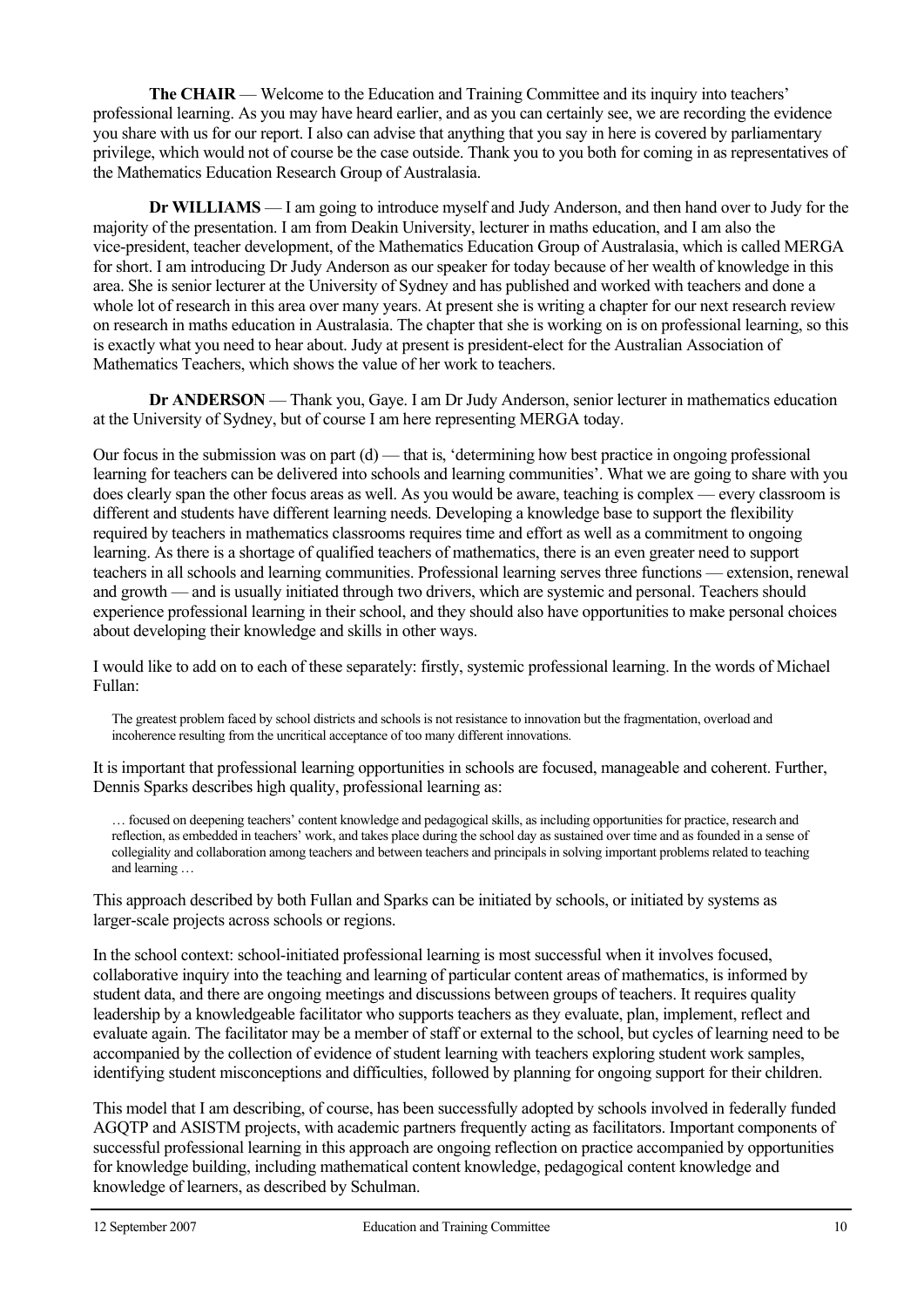**The CHAIR** — Welcome to the Education and Training Committee and its inquiry into teachers' professional learning. As you may have heard earlier, and as you can certainly see, we are recording the evidence you share with us for our report. I also can advise that anything that you say in here is covered by parliamentary privilege, which would not of course be the case outside. Thank you to you both for coming in as representatives of the Mathematics Education Research Group of Australasia.

**Dr WILLIAMS** — I am going to introduce myself and Judy Anderson, and then hand over to Judy for the majority of the presentation. I am from Deakin University, lecturer in maths education, and I am also the vice-president, teacher development, of the Mathematics Education Group of Australasia, which is called MERGA for short. I am introducing Dr Judy Anderson as our speaker for today because of her wealth of knowledge in this area. She is senior lecturer at the University of Sydney and has published and worked with teachers and done a whole lot of research in this area over many years. At present she is writing a chapter for our next research review on research in maths education in Australasia. The chapter that she is working on is on professional learning, so this is exactly what you need to hear about. Judy at present is president-elect for the Australian Association of Mathematics Teachers, which shows the value of her work to teachers.

**Dr ANDERSON** — Thank you, Gaye. I am Dr Judy Anderson, senior lecturer in mathematics education at the University of Sydney, but of course I am here representing MERGA today.

Our focus in the submission was on part (d) — that is, 'determining how best practice in ongoing professional learning for teachers can be delivered into schools and learning communities'. What we are going to share with you does clearly span the other focus areas as well. As you would be aware, teaching is complex — every classroom is different and students have different learning needs. Developing a knowledge base to support the flexibility required by teachers in mathematics classrooms requires time and effort as well as a commitment to ongoing learning. As there is a shortage of qualified teachers of mathematics, there is an even greater need to support teachers in all schools and learning communities. Professional learning serves three functions — extension, renewal and growth — and is usually initiated through two drivers, which are systemic and personal. Teachers should experience professional learning in their school, and they should also have opportunities to make personal choices about developing their knowledge and skills in other ways.

I would like to add on to each of these separately: firstly, systemic professional learning. In the words of Michael Fullan:

The greatest problem faced by school districts and schools is not resistance to innovation but the fragmentation, overload and incoherence resulting from the uncritical acceptance of too many different innovations.

It is important that professional learning opportunities in schools are focused, manageable and coherent. Further, Dennis Sparks describes high quality, professional learning as:

… focused on deepening teachers' content knowledge and pedagogical skills, as including opportunities for practice, research and reflection, as embedded in teachers' work, and takes place during the school day as sustained over time and as founded in a sense of collegiality and collaboration among teachers and between teachers and principals in solving important problems related to teaching and learning …

This approach described by both Fullan and Sparks can be initiated by schools, or initiated by systems as larger-scale projects across schools or regions.

In the school context: school-initiated professional learning is most successful when it involves focused, collaborative inquiry into the teaching and learning of particular content areas of mathematics, is informed by student data, and there are ongoing meetings and discussions between groups of teachers. It requires quality leadership by a knowledgeable facilitator who supports teachers as they evaluate, plan, implement, reflect and evaluate again. The facilitator may be a member of staff or external to the school, but cycles of learning need to be accompanied by the collection of evidence of student learning with teachers exploring student work samples, identifying student misconceptions and difficulties, followed by planning for ongoing support for their children.

This model that I am describing, of course, has been successfully adopted by schools involved in federally funded AGQTP and ASISTM projects, with academic partners frequently acting as facilitators. Important components of successful professional learning in this approach are ongoing reflection on practice accompanied by opportunities for knowledge building, including mathematical content knowledge, pedagogical content knowledge and knowledge of learners, as described by Schulman.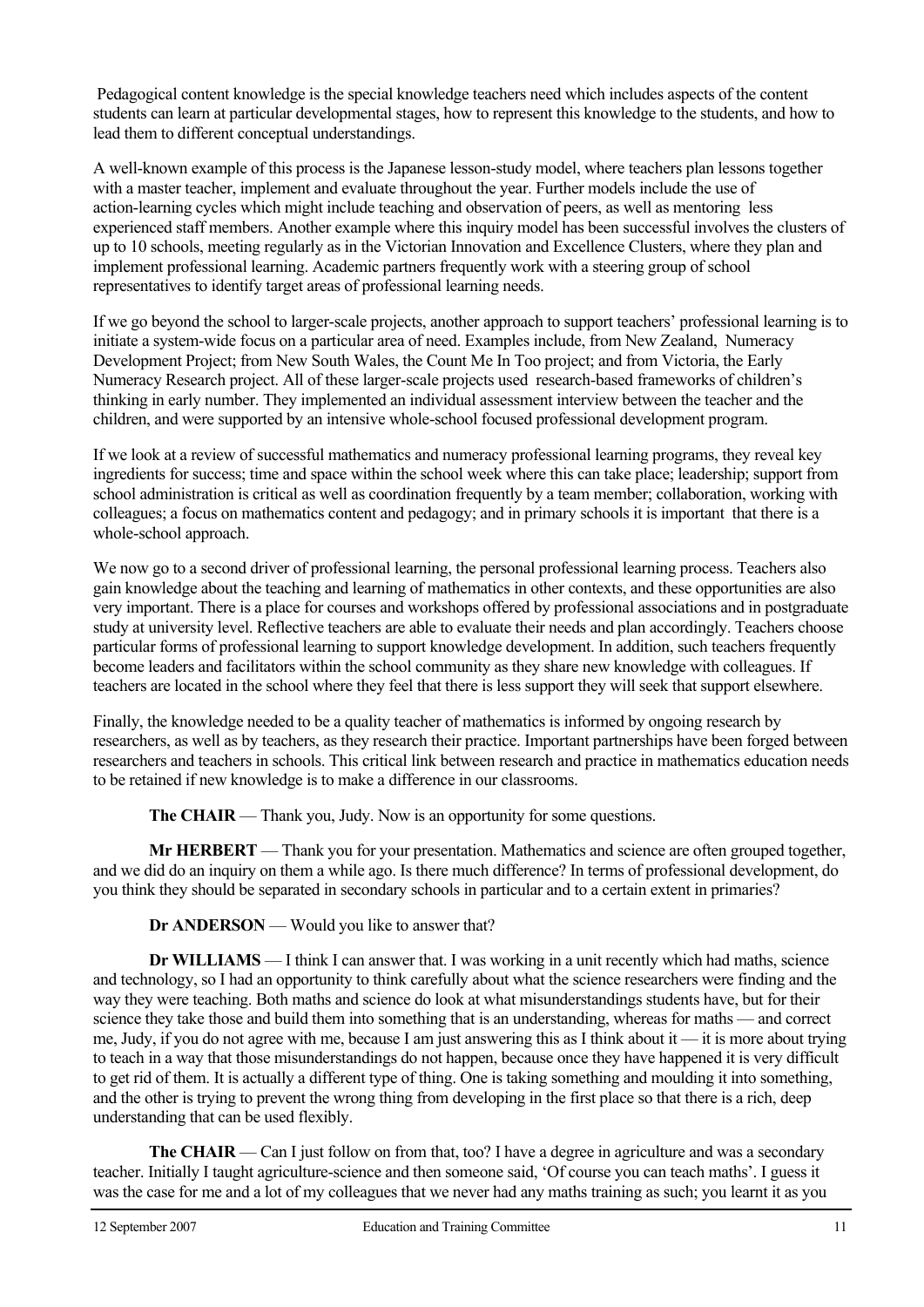Pedagogical content knowledge is the special knowledge teachers need which includes aspects of the content students can learn at particular developmental stages, how to represent this knowledge to the students, and how to lead them to different conceptual understandings.

A well-known example of this process is the Japanese lesson-study model, where teachers plan lessons together with a master teacher, implement and evaluate throughout the year. Further models include the use of action-learning cycles which might include teaching and observation of peers, as well as mentoring less experienced staff members. Another example where this inquiry model has been successful involves the clusters of up to 10 schools, meeting regularly as in the Victorian Innovation and Excellence Clusters, where they plan and implement professional learning. Academic partners frequently work with a steering group of school representatives to identify target areas of professional learning needs.

If we go beyond the school to larger-scale projects, another approach to support teachers' professional learning is to initiate a system-wide focus on a particular area of need. Examples include, from New Zealand, Numeracy Development Project; from New South Wales, the Count Me In Too project; and from Victoria, the Early Numeracy Research project. All of these larger-scale projects used research-based frameworks of children's thinking in early number. They implemented an individual assessment interview between the teacher and the children, and were supported by an intensive whole-school focused professional development program.

If we look at a review of successful mathematics and numeracy professional learning programs, they reveal key ingredients for success; time and space within the school week where this can take place; leadership; support from school administration is critical as well as coordination frequently by a team member; collaboration, working with colleagues; a focus on mathematics content and pedagogy; and in primary schools it is important that there is a whole-school approach.

We now go to a second driver of professional learning, the personal professional learning process. Teachers also gain knowledge about the teaching and learning of mathematics in other contexts, and these opportunities are also very important. There is a place for courses and workshops offered by professional associations and in postgraduate study at university level. Reflective teachers are able to evaluate their needs and plan accordingly. Teachers choose particular forms of professional learning to support knowledge development. In addition, such teachers frequently become leaders and facilitators within the school community as they share new knowledge with colleagues. If teachers are located in the school where they feel that there is less support they will seek that support elsewhere.

Finally, the knowledge needed to be a quality teacher of mathematics is informed by ongoing research by researchers, as well as by teachers, as they research their practice. Important partnerships have been forged between researchers and teachers in schools. This critical link between research and practice in mathematics education needs to be retained if new knowledge is to make a difference in our classrooms.

**The CHAIR** — Thank you, Judy. Now is an opportunity for some questions.

**Mr HERBERT** — Thank you for your presentation. Mathematics and science are often grouped together, and we did do an inquiry on them a while ago. Is there much difference? In terms of professional development, do you think they should be separated in secondary schools in particular and to a certain extent in primaries?

**Dr ANDERSON** — Would you like to answer that?

**Dr WILLIAMS** — I think I can answer that. I was working in a unit recently which had maths, science and technology, so I had an opportunity to think carefully about what the science researchers were finding and the way they were teaching. Both maths and science do look at what misunderstandings students have, but for their science they take those and build them into something that is an understanding, whereas for maths — and correct me, Judy, if you do not agree with me, because I am just answering this as I think about it — it is more about trying to teach in a way that those misunderstandings do not happen, because once they have happened it is very difficult to get rid of them. It is actually a different type of thing. One is taking something and moulding it into something, and the other is trying to prevent the wrong thing from developing in the first place so that there is a rich, deep understanding that can be used flexibly.

**The CHAIR** — Can I just follow on from that, too? I have a degree in agriculture and was a secondary teacher. Initially I taught agriculture-science and then someone said, 'Of course you can teach maths'. I guess it was the case for me and a lot of my colleagues that we never had any maths training as such; you learnt it as you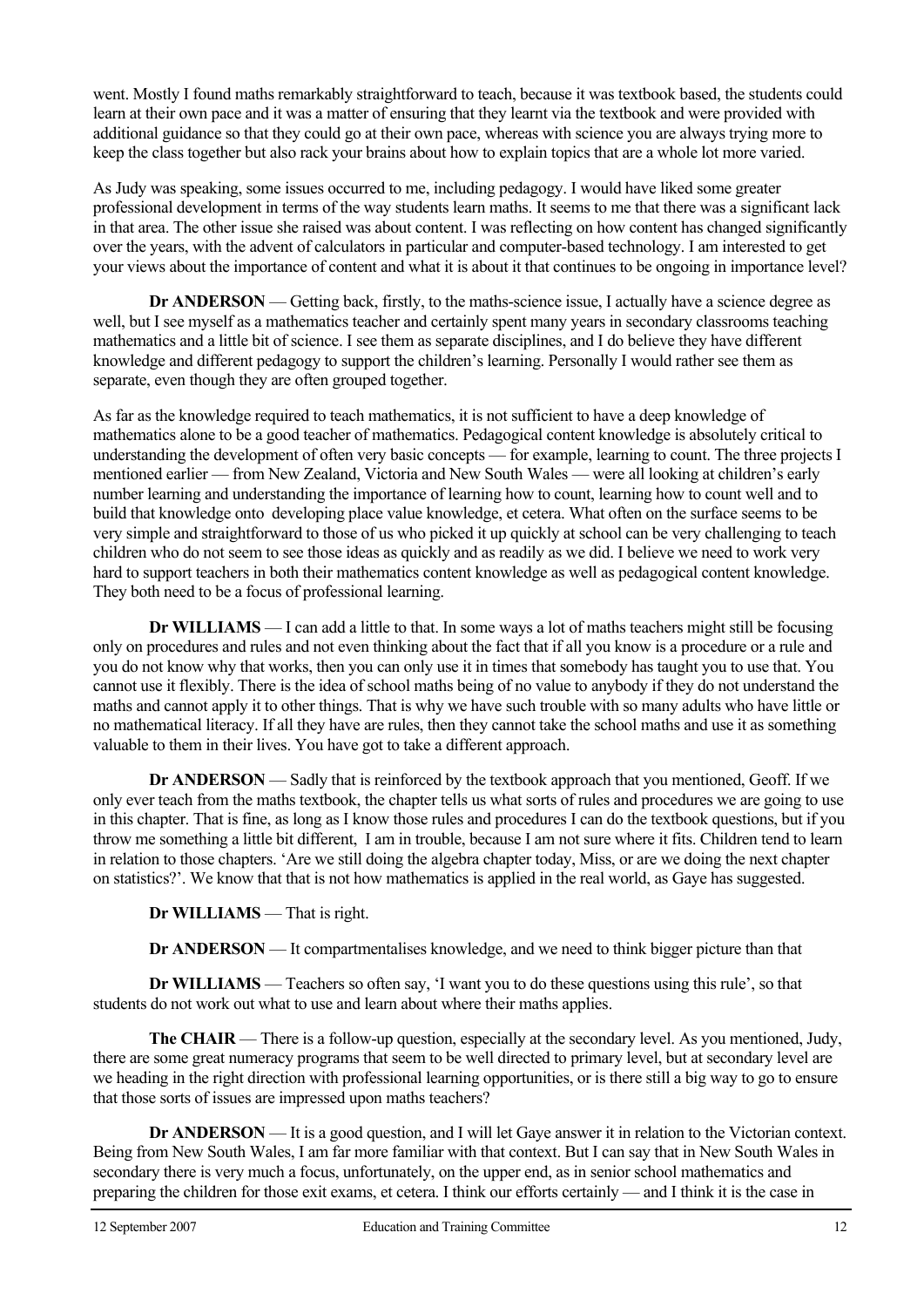went. Mostly I found maths remarkably straightforward to teach, because it was textbook based, the students could learn at their own pace and it was a matter of ensuring that they learnt via the textbook and were provided with additional guidance so that they could go at their own pace, whereas with science you are always trying more to keep the class together but also rack your brains about how to explain topics that are a whole lot more varied.

As Judy was speaking, some issues occurred to me, including pedagogy. I would have liked some greater professional development in terms of the way students learn maths. It seems to me that there was a significant lack in that area. The other issue she raised was about content. I was reflecting on how content has changed significantly over the years, with the advent of calculators in particular and computer-based technology. I am interested to get your views about the importance of content and what it is about it that continues to be ongoing in importance level?

**Dr ANDERSON** — Getting back, firstly, to the maths-science issue, I actually have a science degree as well, but I see myself as a mathematics teacher and certainly spent many years in secondary classrooms teaching mathematics and a little bit of science. I see them as separate disciplines, and I do believe they have different knowledge and different pedagogy to support the children's learning. Personally I would rather see them as separate, even though they are often grouped together.

As far as the knowledge required to teach mathematics, it is not sufficient to have a deep knowledge of mathematics alone to be a good teacher of mathematics. Pedagogical content knowledge is absolutely critical to understanding the development of often very basic concepts — for example, learning to count. The three projects I mentioned earlier — from New Zealand, Victoria and New South Wales — were all looking at children's early number learning and understanding the importance of learning how to count, learning how to count well and to build that knowledge onto developing place value knowledge, et cetera. What often on the surface seems to be very simple and straightforward to those of us who picked it up quickly at school can be very challenging to teach children who do not seem to see those ideas as quickly and as readily as we did. I believe we need to work very hard to support teachers in both their mathematics content knowledge as well as pedagogical content knowledge. They both need to be a focus of professional learning.

**Dr WILLIAMS** — I can add a little to that. In some ways a lot of maths teachers might still be focusing only on procedures and rules and not even thinking about the fact that if all you know is a procedure or a rule and you do not know why that works, then you can only use it in times that somebody has taught you to use that. You cannot use it flexibly. There is the idea of school maths being of no value to anybody if they do not understand the maths and cannot apply it to other things. That is why we have such trouble with so many adults who have little or no mathematical literacy. If all they have are rules, then they cannot take the school maths and use it as something valuable to them in their lives. You have got to take a different approach.

**Dr ANDERSON** — Sadly that is reinforced by the textbook approach that you mentioned, Geoff. If we only ever teach from the maths textbook, the chapter tells us what sorts of rules and procedures we are going to use in this chapter. That is fine, as long as I know those rules and procedures I can do the textbook questions, but if you throw me something a little bit different, I am in trouble, because I am not sure where it fits. Children tend to learn in relation to those chapters. 'Are we still doing the algebra chapter today, Miss, or are we doing the next chapter on statistics?'. We know that that is not how mathematics is applied in the real world, as Gaye has suggested.

**Dr WILLIAMS** — That is right.

**Dr ANDERSON** — It compartmentalises knowledge, and we need to think bigger picture than that

**Dr WILLIAMS** — Teachers so often say, 'I want you to do these questions using this rule', so that students do not work out what to use and learn about where their maths applies.

**The CHAIR** — There is a follow-up question, especially at the secondary level. As you mentioned, Judy, there are some great numeracy programs that seem to be well directed to primary level, but at secondary level are we heading in the right direction with professional learning opportunities, or is there still a big way to go to ensure that those sorts of issues are impressed upon maths teachers?

**Dr ANDERSON** — It is a good question, and I will let Gaye answer it in relation to the Victorian context. Being from New South Wales, I am far more familiar with that context. But I can say that in New South Wales in secondary there is very much a focus, unfortunately, on the upper end, as in senior school mathematics and preparing the children for those exit exams, et cetera. I think our efforts certainly — and I think it is the case in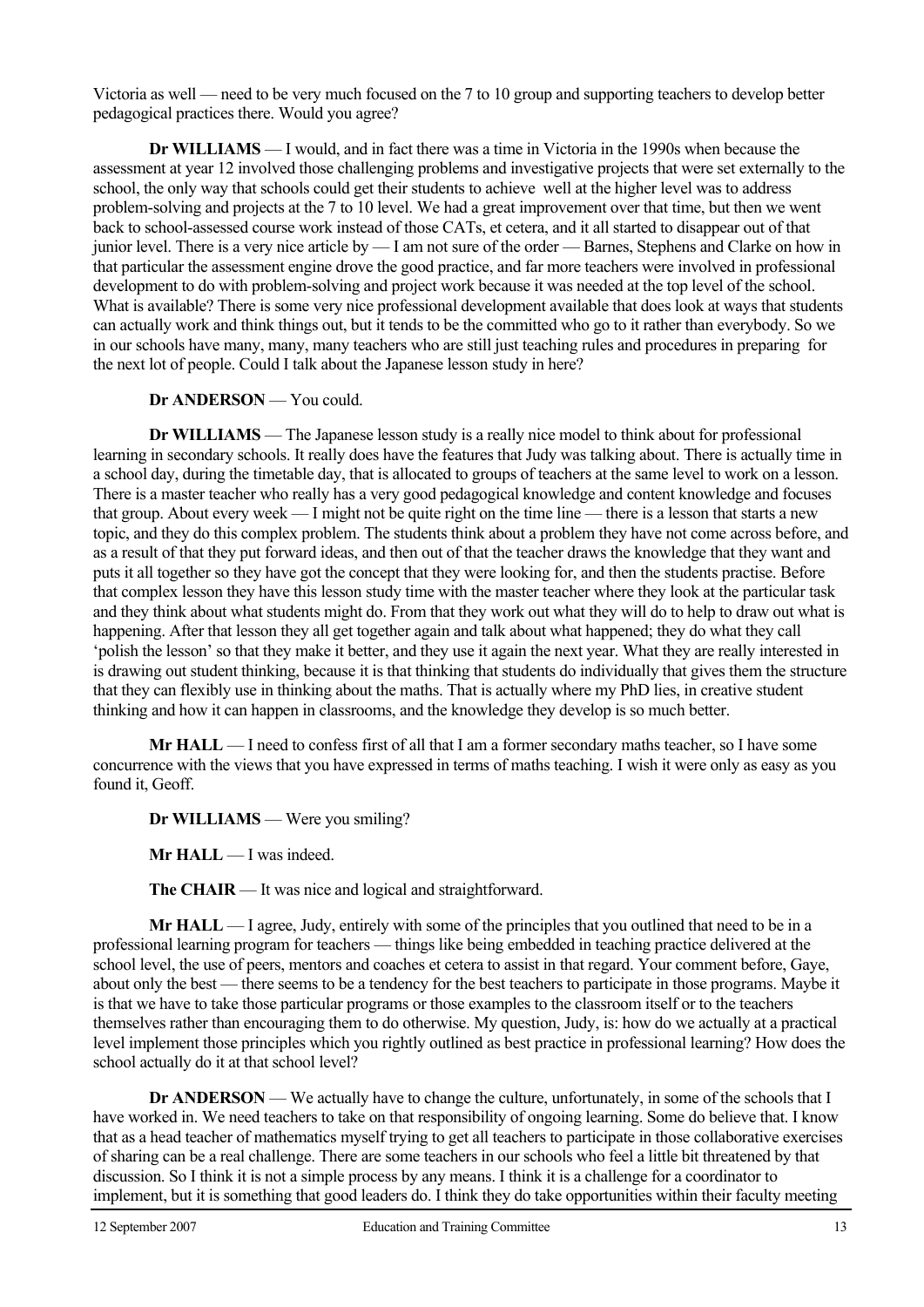Victoria as well — need to be very much focused on the 7 to 10 group and supporting teachers to develop better pedagogical practices there. Would you agree?

 **Dr WILLIAMS** — I would, and in fact there was a time in Victoria in the 1990s when because the assessment at year 12 involved those challenging problems and investigative projects that were set externally to the school, the only way that schools could get their students to achieve well at the higher level was to address problem-solving and projects at the 7 to 10 level. We had a great improvement over that time, but then we went back to school-assessed course work instead of those CATs, et cetera, and it all started to disappear out of that junior level. There is a very nice article by — I am not sure of the order — Barnes, Stephens and Clarke on how in that particular the assessment engine drove the good practice, and far more teachers were involved in professional development to do with problem-solving and project work because it was needed at the top level of the school. What is available? There is some very nice professional development available that does look at ways that students can actually work and think things out, but it tends to be the committed who go to it rather than everybody. So we in our schools have many, many, many teachers who are still just teaching rules and procedures in preparing for the next lot of people. Could I talk about the Japanese lesson study in here?

 **Dr ANDERSON** — You could.

 **Dr WILLIAMS** — The Japanese lesson study is a really nice model to think about for professional learning in secondary schools. It really does have the features that Judy was talking about. There is actually time in a school day, during the timetable day, that is allocated to groups of teachers at the same level to work on a lesson. There is a master teacher who really has a very good pedagogical knowledge and content knowledge and focuses that group. About every week — I might not be quite right on the time line — there is a lesson that starts a new topic, and they do this complex problem. The students think about a problem they have not come across before, and as a result of that they put forward ideas, and then out of that the teacher draws the knowledge that they want and puts it all together so they have got the concept that they were looking for, and then the students practise. Before that complex lesson they have this lesson study time with the master teacher where they look at the particular task and they think about what students might do. From that they work out what they will do to help to draw out what is happening. After that lesson they all get together again and talk about what happened; they do what they call 'polish the lesson' so that they make it better, and they use it again the next year. What they are really interested in is drawing out student thinking, because it is that thinking that students do individually that gives them the structure that they can flexibly use in thinking about the maths. That is actually where my PhD lies, in creative student thinking and how it can happen in classrooms, and the knowledge they develop is so much better.

**Mr HALL** — I need to confess first of all that I am a former secondary maths teacher, so I have some concurrence with the views that you have expressed in terms of maths teaching. I wish it were only as easy as you found it, Geoff.

 **Dr WILLIAMS** — Were you smiling?

**Mr HALL** — I was indeed.

**The CHAIR** — It was nice and logical and straightforward.

**Mr HALL** — I agree, Judy, entirely with some of the principles that you outlined that need to be in a professional learning program for teachers — things like being embedded in teaching practice delivered at the school level, the use of peers, mentors and coaches et cetera to assist in that regard. Your comment before, Gaye, about only the best — there seems to be a tendency for the best teachers to participate in those programs. Maybe it is that we have to take those particular programs or those examples to the classroom itself or to the teachers themselves rather than encouraging them to do otherwise. My question, Judy, is: how do we actually at a practical level implement those principles which you rightly outlined as best practice in professional learning? How does the school actually do it at that school level?

**Dr ANDERSON** — We actually have to change the culture, unfortunately, in some of the schools that I have worked in. We need teachers to take on that responsibility of ongoing learning. Some do believe that. I know that as a head teacher of mathematics myself trying to get all teachers to participate in those collaborative exercises of sharing can be a real challenge. There are some teachers in our schools who feel a little bit threatened by that discussion. So I think it is not a simple process by any means. I think it is a challenge for a coordinator to implement, but it is something that good leaders do. I think they do take opportunities within their faculty meeting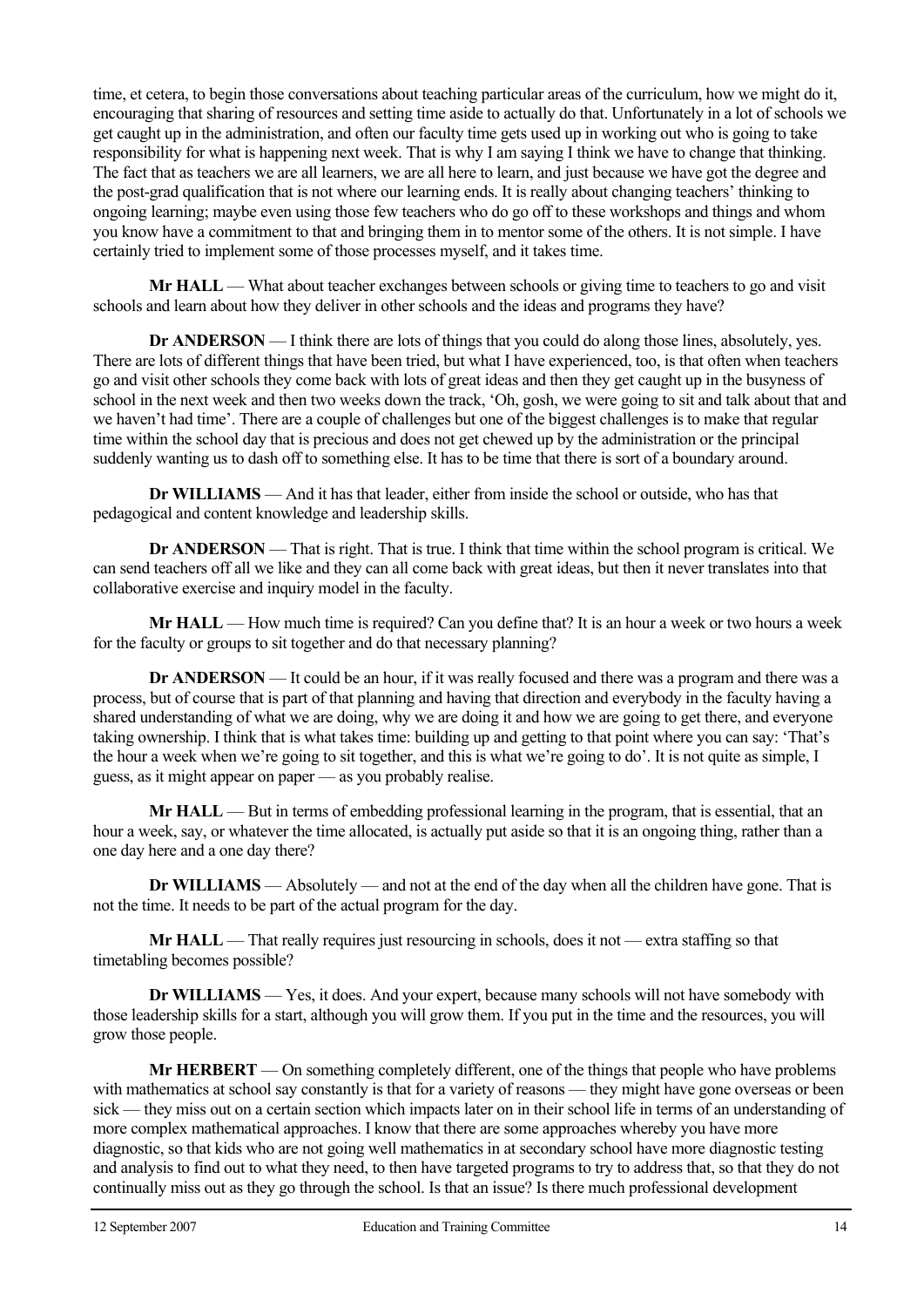time, et cetera, to begin those conversations about teaching particular areas of the curriculum, how we might do it, encouraging that sharing of resources and setting time aside to actually do that. Unfortunately in a lot of schools we get caught up in the administration, and often our faculty time gets used up in working out who is going to take responsibility for what is happening next week. That is why I am saying I think we have to change that thinking. The fact that as teachers we are all learners, we are all here to learn, and just because we have got the degree and the post-grad qualification that is not where our learning ends. It is really about changing teachers' thinking to ongoing learning; maybe even using those few teachers who do go off to these workshops and things and whom you know have a commitment to that and bringing them in to mentor some of the others. It is not simple. I have certainly tried to implement some of those processes myself, and it takes time.

**Mr HALL** — What about teacher exchanges between schools or giving time to teachers to go and visit schools and learn about how they deliver in other schools and the ideas and programs they have?

**Dr ANDERSON** — I think there are lots of things that you could do along those lines, absolutely, yes. There are lots of different things that have been tried, but what I have experienced, too, is that often when teachers go and visit other schools they come back with lots of great ideas and then they get caught up in the busyness of school in the next week and then two weeks down the track, 'Oh, gosh, we were going to sit and talk about that and we haven't had time'. There are a couple of challenges but one of the biggest challenges is to make that regular time within the school day that is precious and does not get chewed up by the administration or the principal suddenly wanting us to dash off to something else. It has to be time that there is sort of a boundary around.

**Dr WILLIAMS** — And it has that leader, either from inside the school or outside, who has that pedagogical and content knowledge and leadership skills.

**Dr ANDERSON** — That is right. That is true. I think that time within the school program is critical. We can send teachers off all we like and they can all come back with great ideas, but then it never translates into that collaborative exercise and inquiry model in the faculty.

**Mr HALL** — How much time is required? Can you define that? It is an hour a week or two hours a week for the faculty or groups to sit together and do that necessary planning?

**Dr ANDERSON** — It could be an hour, if it was really focused and there was a program and there was a process, but of course that is part of that planning and having that direction and everybody in the faculty having a shared understanding of what we are doing, why we are doing it and how we are going to get there, and everyone taking ownership. I think that is what takes time: building up and getting to that point where you can say: 'That's the hour a week when we're going to sit together, and this is what we're going to do'. It is not quite as simple, I guess, as it might appear on paper — as you probably realise.

**Mr HALL** — But in terms of embedding professional learning in the program, that is essential, that an hour a week, say, or whatever the time allocated, is actually put aside so that it is an ongoing thing, rather than a one day here and a one day there?

**Dr WILLIAMS** — Absolutely — and not at the end of the day when all the children have gone. That is not the time. It needs to be part of the actual program for the day.

**Mr HALL** — That really requires just resourcing in schools, does it not — extra staffing so that timetabling becomes possible?

**Dr WILLIAMS** — Yes, it does. And your expert, because many schools will not have somebody with those leadership skills for a start, although you will grow them. If you put in the time and the resources, you will grow those people.

**Mr HERBERT** — On something completely different, one of the things that people who have problems with mathematics at school say constantly is that for a variety of reasons — they might have gone overseas or been sick — they miss out on a certain section which impacts later on in their school life in terms of an understanding of more complex mathematical approaches. I know that there are some approaches whereby you have more diagnostic, so that kids who are not going well mathematics in at secondary school have more diagnostic testing and analysis to find out to what they need, to then have targeted programs to try to address that, so that they do not continually miss out as they go through the school. Is that an issue? Is there much professional development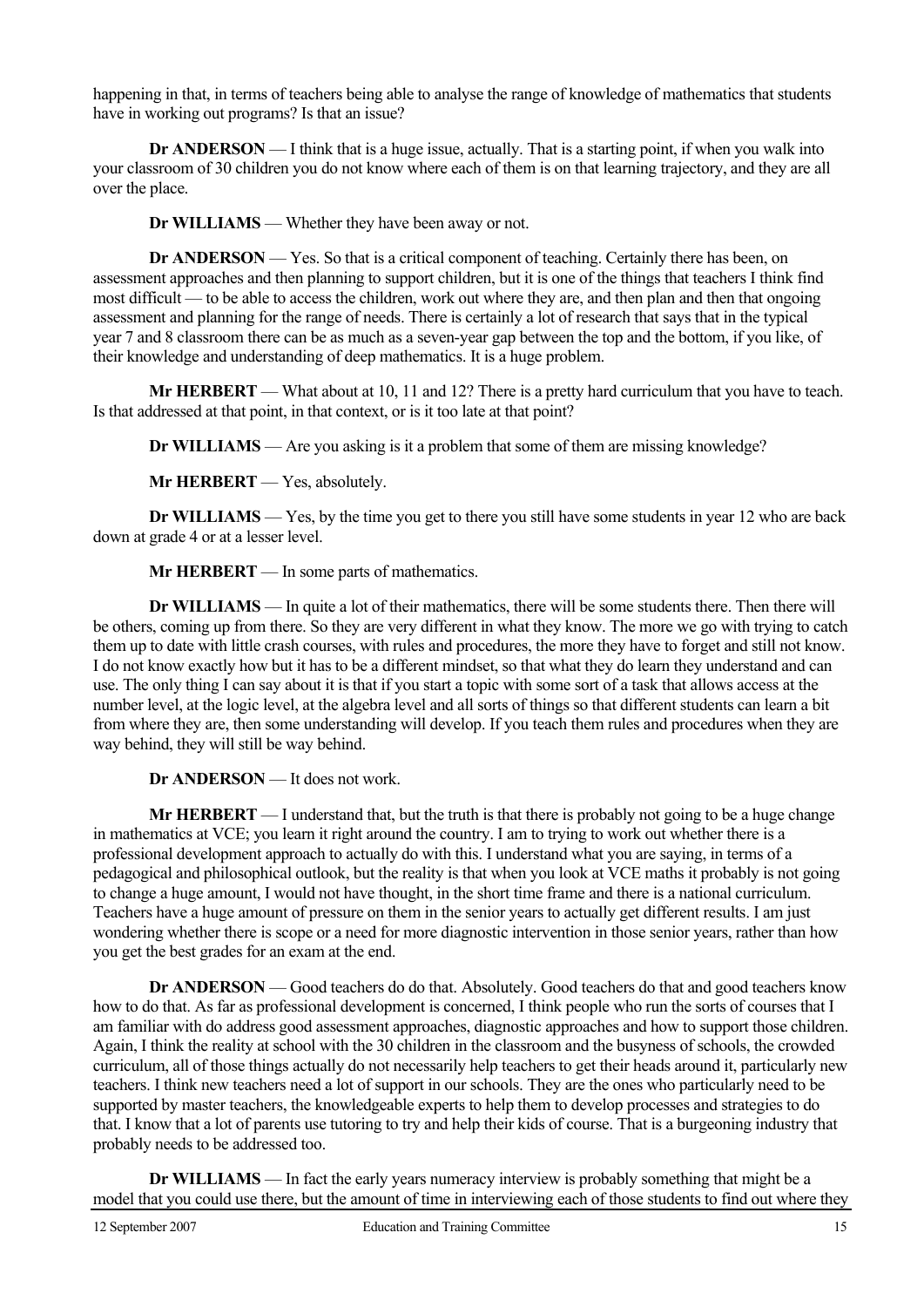happening in that, in terms of teachers being able to analyse the range of knowledge of mathematics that students have in working out programs? Is that an issue?

**Dr ANDERSON** — I think that is a huge issue, actually. That is a starting point, if when you walk into your classroom of 30 children you do not know where each of them is on that learning trajectory, and they are all over the place.

**Dr WILLIAMS** — Whether they have been away or not.

**Dr ANDERSON** — Yes. So that is a critical component of teaching. Certainly there has been, on assessment approaches and then planning to support children, but it is one of the things that teachers I think find most difficult — to be able to access the children, work out where they are, and then plan and then that ongoing assessment and planning for the range of needs. There is certainly a lot of research that says that in the typical year 7 and 8 classroom there can be as much as a seven-year gap between the top and the bottom, if you like, of their knowledge and understanding of deep mathematics. It is a huge problem.

**Mr HERBERT** — What about at 10, 11 and 12? There is a pretty hard curriculum that you have to teach. Is that addressed at that point, in that context, or is it too late at that point?

**Dr WILLIAMS** — Are you asking is it a problem that some of them are missing knowledge?

**Mr HERBERT** — Yes, absolutely.

**Dr WILLIAMS** — Yes, by the time you get to there you still have some students in year 12 who are back down at grade 4 or at a lesser level.

**Mr HERBERT** — In some parts of mathematics.

**Dr WILLIAMS** — In quite a lot of their mathematics, there will be some students there. Then there will be others, coming up from there. So they are very different in what they know. The more we go with trying to catch them up to date with little crash courses, with rules and procedures, the more they have to forget and still not know. I do not know exactly how but it has to be a different mindset, so that what they do learn they understand and can use. The only thing I can say about it is that if you start a topic with some sort of a task that allows access at the number level, at the logic level, at the algebra level and all sorts of things so that different students can learn a bit from where they are, then some understanding will develop. If you teach them rules and procedures when they are way behind, they will still be way behind.

**Dr ANDERSON** — It does not work.

**Mr HERBERT** — I understand that, but the truth is that there is probably not going to be a huge change in mathematics at VCE; you learn it right around the country. I am to trying to work out whether there is a professional development approach to actually do with this. I understand what you are saying, in terms of a pedagogical and philosophical outlook, but the reality is that when you look at VCE maths it probably is not going to change a huge amount, I would not have thought, in the short time frame and there is a national curriculum. Teachers have a huge amount of pressure on them in the senior years to actually get different results. I am just wondering whether there is scope or a need for more diagnostic intervention in those senior years, rather than how you get the best grades for an exam at the end.

**Dr ANDERSON** — Good teachers do do that. Absolutely. Good teachers do that and good teachers know how to do that. As far as professional development is concerned, I think people who run the sorts of courses that I am familiar with do address good assessment approaches, diagnostic approaches and how to support those children. Again, I think the reality at school with the 30 children in the classroom and the busyness of schools, the crowded curriculum, all of those things actually do not necessarily help teachers to get their heads around it, particularly new teachers. I think new teachers need a lot of support in our schools. They are the ones who particularly need to be supported by master teachers, the knowledgeable experts to help them to develop processes and strategies to do that. I know that a lot of parents use tutoring to try and help their kids of course. That is a burgeoning industry that probably needs to be addressed too.

**Dr WILLIAMS** — In fact the early years numeracy interview is probably something that might be a model that you could use there, but the amount of time in interviewing each of those students to find out where they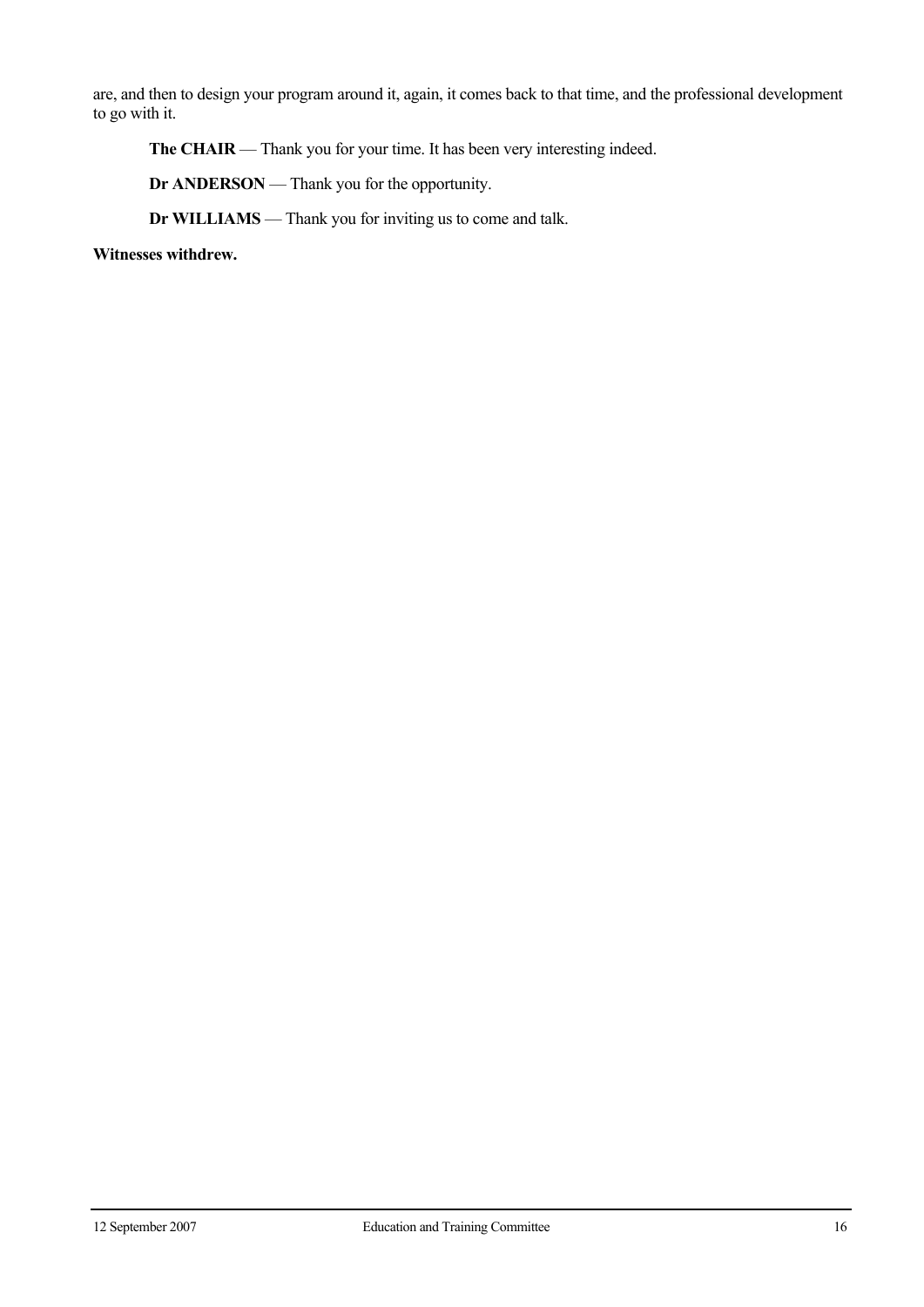are, and then to design your program around it, again, it comes back to that time, and the professional development to go with it.

**The CHAIR** — Thank you for your time. It has been very interesting indeed.

**Dr ANDERSON** — Thank you for the opportunity.

**Dr WILLIAMS** — Thank you for inviting us to come and talk.

**Witnesses withdrew.**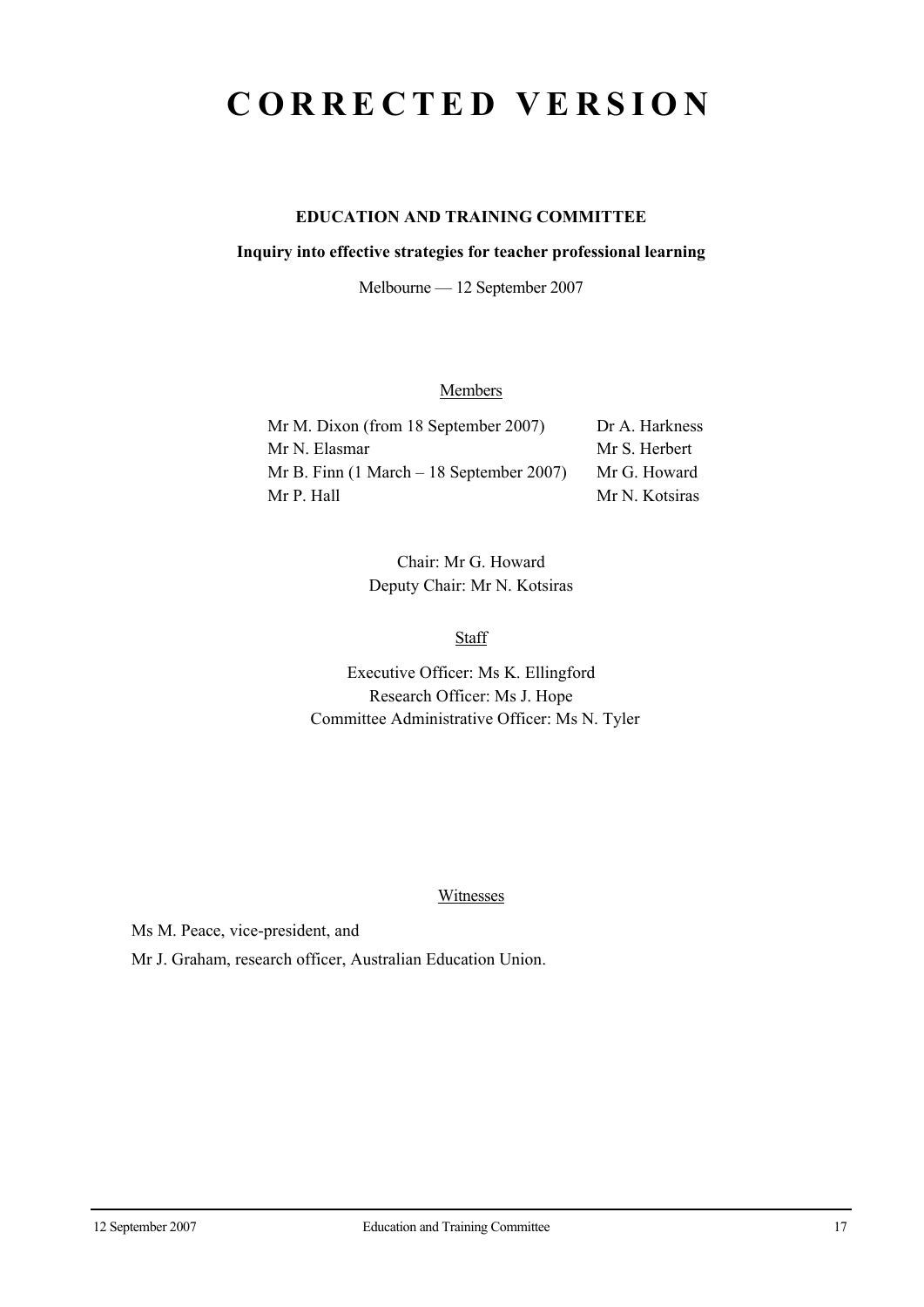## **CORRECTED VERSION**

## **EDUCATION AND TRAINING COMMITTEE**

#### **Inquiry into effective strategies for teacher professional learning**

Melbourne — 12 September 2007

### **Members**

| Mr M. Dixon (from 18 September 2007)                        | Dr A. Harkness |
|-------------------------------------------------------------|----------------|
| Mr N. Elasmar                                               | Mr S. Herbert  |
| Mr B. Finn $(1 \text{ March} - 18 \text{ September } 2007)$ | Mr G. Howard   |
| Mr P. Hall                                                  | Mr N. Kotsiras |

Chair: Mr G. Howard Deputy Chair: Mr N. Kotsiras

**Staff** 

Executive Officer: Ms K. Ellingford Research Officer: Ms J. Hope Committee Administrative Officer: Ms N. Tyler

#### Witnesses

Ms M. Peace, vice-president, and

Mr J. Graham, research officer, Australian Education Union.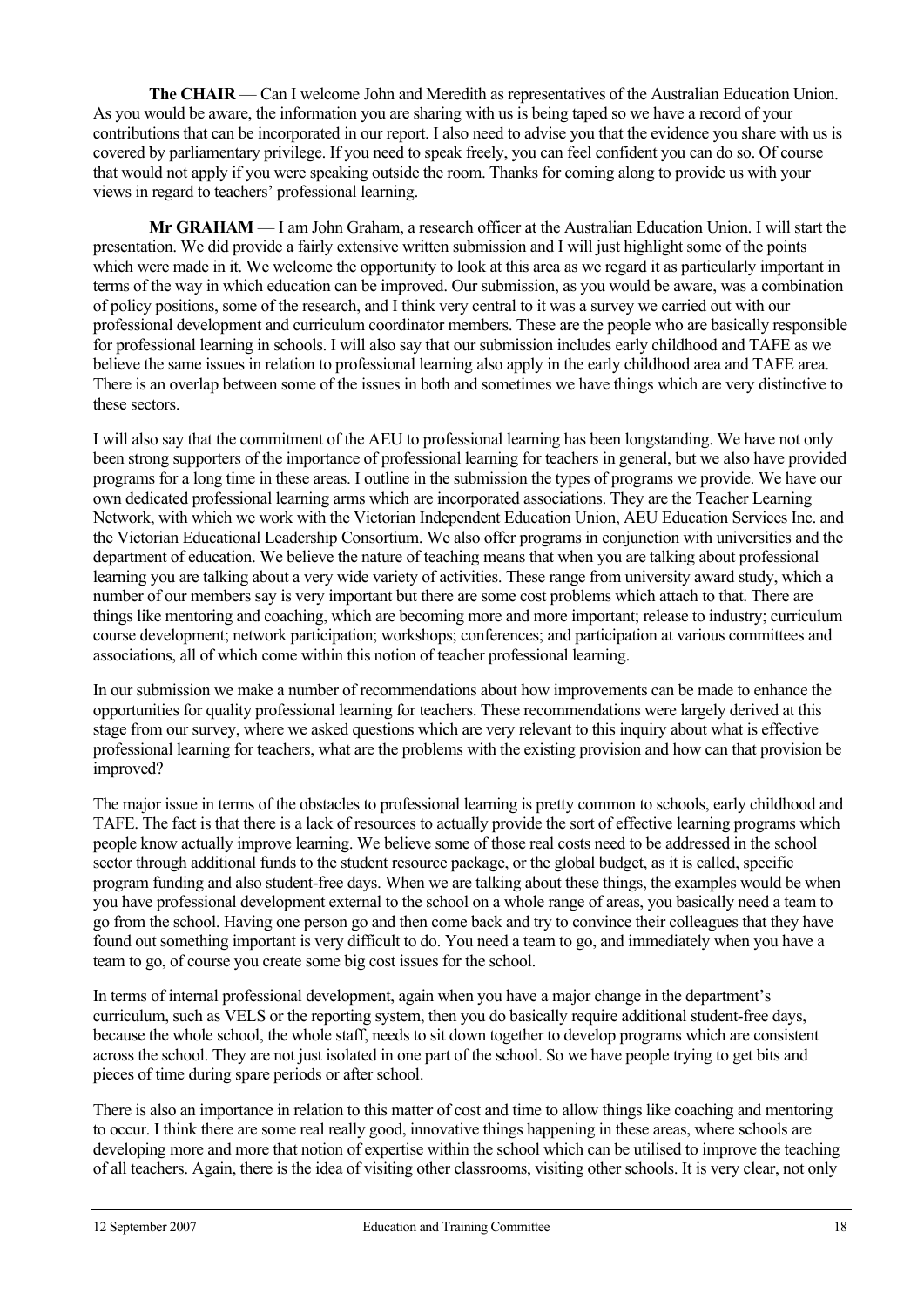**The CHAIR** — Can I welcome John and Meredith as representatives of the Australian Education Union. As you would be aware, the information you are sharing with us is being taped so we have a record of your contributions that can be incorporated in our report. I also need to advise you that the evidence you share with us is covered by parliamentary privilege. If you need to speak freely, you can feel confident you can do so. Of course that would not apply if you were speaking outside the room. Thanks for coming along to provide us with your views in regard to teachers' professional learning.

 **Mr GRAHAM** — I am John Graham, a research officer at the Australian Education Union. I will start the presentation. We did provide a fairly extensive written submission and I will just highlight some of the points which were made in it. We welcome the opportunity to look at this area as we regard it as particularly important in terms of the way in which education can be improved. Our submission, as you would be aware, was a combination of policy positions, some of the research, and I think very central to it was a survey we carried out with our professional development and curriculum coordinator members. These are the people who are basically responsible for professional learning in schools. I will also say that our submission includes early childhood and TAFE as we believe the same issues in relation to professional learning also apply in the early childhood area and TAFE area. There is an overlap between some of the issues in both and sometimes we have things which are very distinctive to these sectors.

I will also say that the commitment of the AEU to professional learning has been longstanding. We have not only been strong supporters of the importance of professional learning for teachers in general, but we also have provided programs for a long time in these areas. I outline in the submission the types of programs we provide. We have our own dedicated professional learning arms which are incorporated associations. They are the Teacher Learning Network, with which we work with the Victorian Independent Education Union, AEU Education Services Inc. and the Victorian Educational Leadership Consortium. We also offer programs in conjunction with universities and the department of education. We believe the nature of teaching means that when you are talking about professional learning you are talking about a very wide variety of activities. These range from university award study, which a number of our members say is very important but there are some cost problems which attach to that. There are things like mentoring and coaching, which are becoming more and more important; release to industry; curriculum course development; network participation; workshops; conferences; and participation at various committees and associations, all of which come within this notion of teacher professional learning.

In our submission we make a number of recommendations about how improvements can be made to enhance the opportunities for quality professional learning for teachers. These recommendations were largely derived at this stage from our survey, where we asked questions which are very relevant to this inquiry about what is effective professional learning for teachers, what are the problems with the existing provision and how can that provision be improved?

The major issue in terms of the obstacles to professional learning is pretty common to schools, early childhood and TAFE. The fact is that there is a lack of resources to actually provide the sort of effective learning programs which people know actually improve learning. We believe some of those real costs need to be addressed in the school sector through additional funds to the student resource package, or the global budget, as it is called, specific program funding and also student-free days. When we are talking about these things, the examples would be when you have professional development external to the school on a whole range of areas, you basically need a team to go from the school. Having one person go and then come back and try to convince their colleagues that they have found out something important is very difficult to do. You need a team to go, and immediately when you have a team to go, of course you create some big cost issues for the school.

In terms of internal professional development, again when you have a major change in the department's curriculum, such as VELS or the reporting system, then you do basically require additional student-free days, because the whole school, the whole staff, needs to sit down together to develop programs which are consistent across the school. They are not just isolated in one part of the school. So we have people trying to get bits and pieces of time during spare periods or after school.

There is also an importance in relation to this matter of cost and time to allow things like coaching and mentoring to occur. I think there are some real really good, innovative things happening in these areas, where schools are developing more and more that notion of expertise within the school which can be utilised to improve the teaching of all teachers. Again, there is the idea of visiting other classrooms, visiting other schools. It is very clear, not only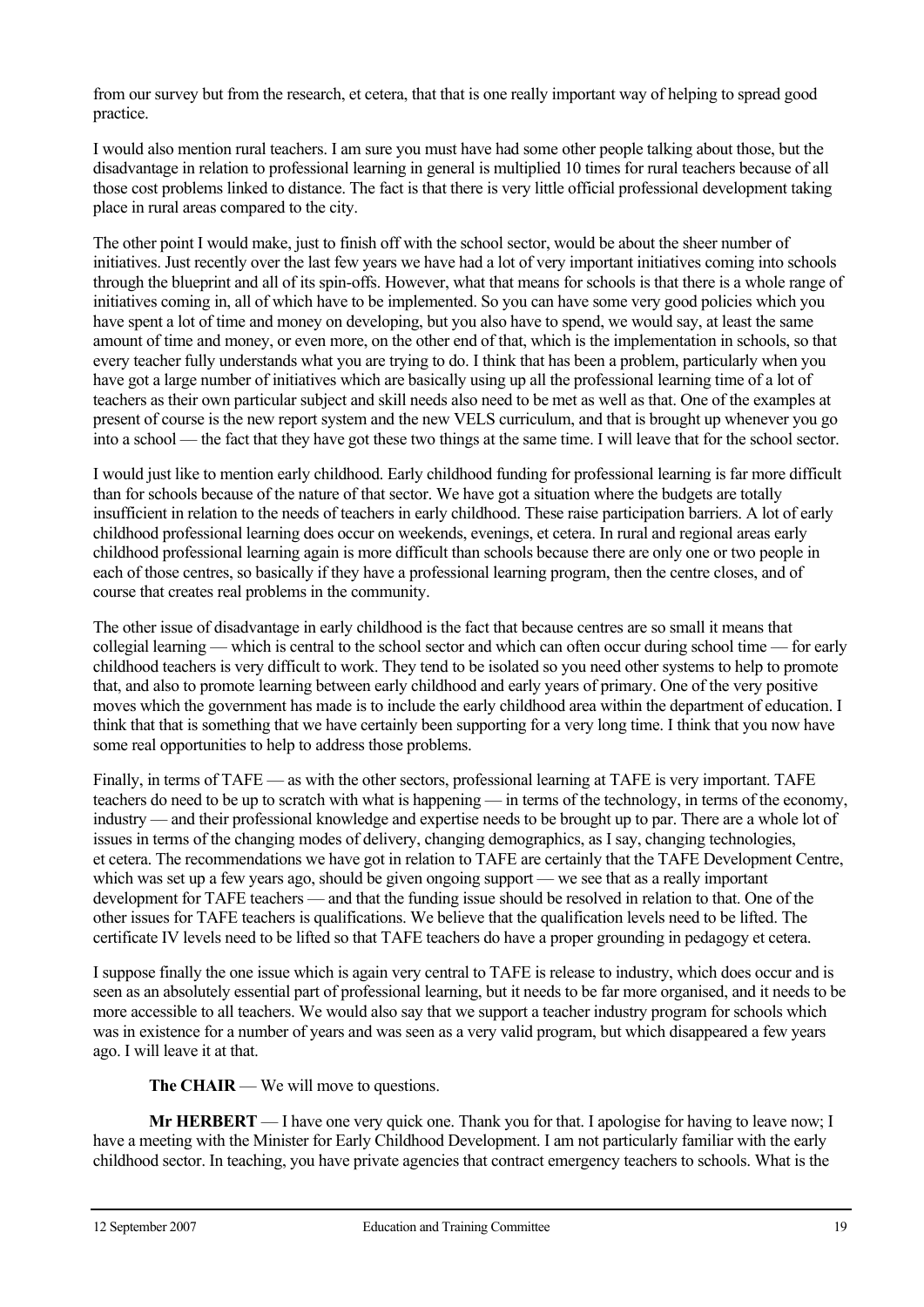from our survey but from the research, et cetera, that that is one really important way of helping to spread good practice.

I would also mention rural teachers. I am sure you must have had some other people talking about those, but the disadvantage in relation to professional learning in general is multiplied 10 times for rural teachers because of all those cost problems linked to distance. The fact is that there is very little official professional development taking place in rural areas compared to the city.

The other point I would make, just to finish off with the school sector, would be about the sheer number of initiatives. Just recently over the last few years we have had a lot of very important initiatives coming into schools through the blueprint and all of its spin-offs. However, what that means for schools is that there is a whole range of initiatives coming in, all of which have to be implemented. So you can have some very good policies which you have spent a lot of time and money on developing, but you also have to spend, we would say, at least the same amount of time and money, or even more, on the other end of that, which is the implementation in schools, so that every teacher fully understands what you are trying to do. I think that has been a problem, particularly when you have got a large number of initiatives which are basically using up all the professional learning time of a lot of teachers as their own particular subject and skill needs also need to be met as well as that. One of the examples at present of course is the new report system and the new VELS curriculum, and that is brought up whenever you go into a school — the fact that they have got these two things at the same time. I will leave that for the school sector.

I would just like to mention early childhood. Early childhood funding for professional learning is far more difficult than for schools because of the nature of that sector. We have got a situation where the budgets are totally insufficient in relation to the needs of teachers in early childhood. These raise participation barriers. A lot of early childhood professional learning does occur on weekends, evenings, et cetera. In rural and regional areas early childhood professional learning again is more difficult than schools because there are only one or two people in each of those centres, so basically if they have a professional learning program, then the centre closes, and of course that creates real problems in the community.

The other issue of disadvantage in early childhood is the fact that because centres are so small it means that collegial learning — which is central to the school sector and which can often occur during school time — for early childhood teachers is very difficult to work. They tend to be isolated so you need other systems to help to promote that, and also to promote learning between early childhood and early years of primary. One of the very positive moves which the government has made is to include the early childhood area within the department of education. I think that that is something that we have certainly been supporting for a very long time. I think that you now have some real opportunities to help to address those problems.

Finally, in terms of TAFE — as with the other sectors, professional learning at TAFE is very important. TAFE teachers do need to be up to scratch with what is happening — in terms of the technology, in terms of the economy, industry — and their professional knowledge and expertise needs to be brought up to par. There are a whole lot of issues in terms of the changing modes of delivery, changing demographics, as I say, changing technologies, et cetera. The recommendations we have got in relation to TAFE are certainly that the TAFE Development Centre, which was set up a few years ago, should be given ongoing support — we see that as a really important development for TAFE teachers — and that the funding issue should be resolved in relation to that. One of the other issues for TAFE teachers is qualifications. We believe that the qualification levels need to be lifted. The certificate IV levels need to be lifted so that TAFE teachers do have a proper grounding in pedagogy et cetera.

I suppose finally the one issue which is again very central to TAFE is release to industry, which does occur and is seen as an absolutely essential part of professional learning, but it needs to be far more organised, and it needs to be more accessible to all teachers. We would also say that we support a teacher industry program for schools which was in existence for a number of years and was seen as a very valid program, but which disappeared a few years ago. I will leave it at that.

**The CHAIR** — We will move to questions.

**Mr HERBERT** — I have one very quick one. Thank you for that. I apologise for having to leave now; I have a meeting with the Minister for Early Childhood Development. I am not particularly familiar with the early childhood sector. In teaching, you have private agencies that contract emergency teachers to schools. What is the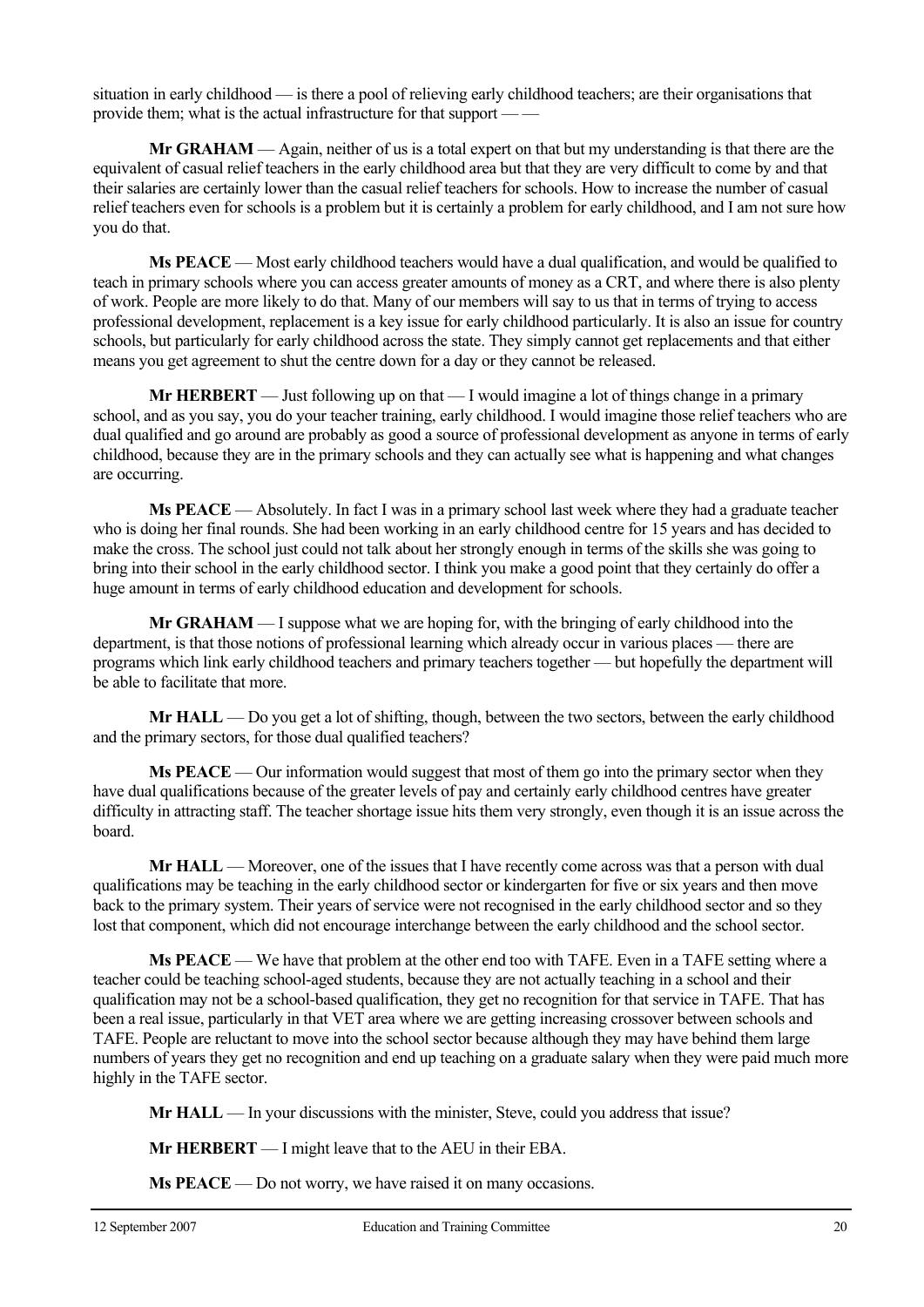situation in early childhood — is there a pool of relieving early childhood teachers; are their organisations that provide them; what is the actual infrastructure for that support — —

**Mr GRAHAM** — Again, neither of us is a total expert on that but my understanding is that there are the equivalent of casual relief teachers in the early childhood area but that they are very difficult to come by and that their salaries are certainly lower than the casual relief teachers for schools. How to increase the number of casual relief teachers even for schools is a problem but it is certainly a problem for early childhood, and I am not sure how you do that.

**Ms PEACE** — Most early childhood teachers would have a dual qualification, and would be qualified to teach in primary schools where you can access greater amounts of money as a CRT, and where there is also plenty of work. People are more likely to do that. Many of our members will say to us that in terms of trying to access professional development, replacement is a key issue for early childhood particularly. It is also an issue for country schools, but particularly for early childhood across the state. They simply cannot get replacements and that either means you get agreement to shut the centre down for a day or they cannot be released.

**Mr HERBERT** — Just following up on that — I would imagine a lot of things change in a primary school, and as you say, you do your teacher training, early childhood. I would imagine those relief teachers who are dual qualified and go around are probably as good a source of professional development as anyone in terms of early childhood, because they are in the primary schools and they can actually see what is happening and what changes are occurring.

**Ms PEACE** — Absolutely. In fact I was in a primary school last week where they had a graduate teacher who is doing her final rounds. She had been working in an early childhood centre for 15 years and has decided to make the cross. The school just could not talk about her strongly enough in terms of the skills she was going to bring into their school in the early childhood sector. I think you make a good point that they certainly do offer a huge amount in terms of early childhood education and development for schools.

**Mr GRAHAM** — I suppose what we are hoping for, with the bringing of early childhood into the department, is that those notions of professional learning which already occur in various places — there are programs which link early childhood teachers and primary teachers together — but hopefully the department will be able to facilitate that more.

**Mr HALL** — Do you get a lot of shifting, though, between the two sectors, between the early childhood and the primary sectors, for those dual qualified teachers?

**Ms PEACE** — Our information would suggest that most of them go into the primary sector when they have dual qualifications because of the greater levels of pay and certainly early childhood centres have greater difficulty in attracting staff. The teacher shortage issue hits them very strongly, even though it is an issue across the board.

**Mr HALL** — Moreover, one of the issues that I have recently come across was that a person with dual qualifications may be teaching in the early childhood sector or kindergarten for five or six years and then move back to the primary system. Their years of service were not recognised in the early childhood sector and so they lost that component, which did not encourage interchange between the early childhood and the school sector.

**Ms PEACE** — We have that problem at the other end too with TAFE. Even in a TAFE setting where a teacher could be teaching school-aged students, because they are not actually teaching in a school and their qualification may not be a school-based qualification, they get no recognition for that service in TAFE. That has been a real issue, particularly in that VET area where we are getting increasing crossover between schools and TAFE. People are reluctant to move into the school sector because although they may have behind them large numbers of years they get no recognition and end up teaching on a graduate salary when they were paid much more highly in the TAFE sector.

**Mr HALL** — In your discussions with the minister, Steve, could you address that issue?

**Mr HERBERT** — I might leave that to the AEU in their EBA.

**Ms PEACE** — Do not worry, we have raised it on many occasions.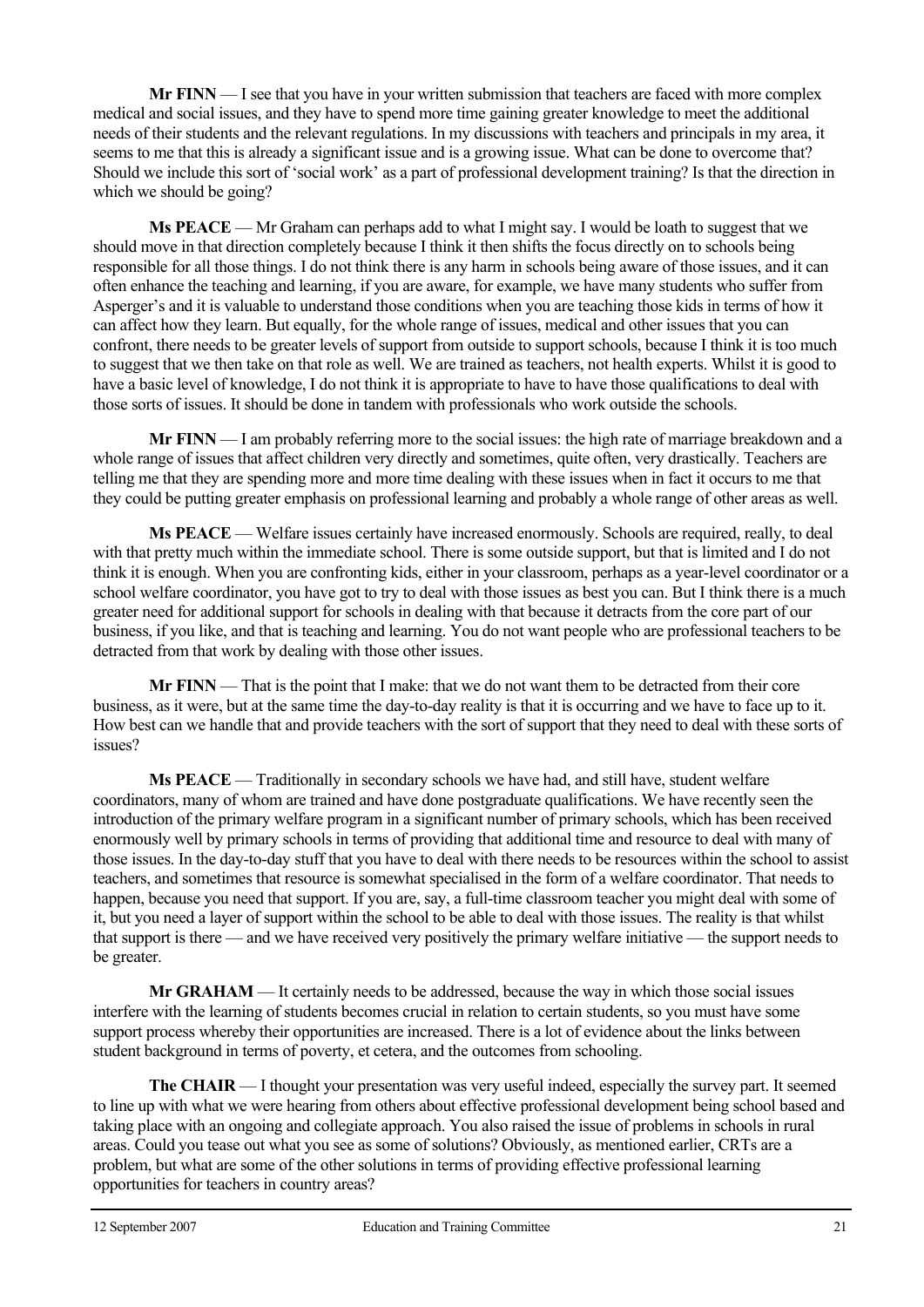**Mr FINN** — I see that you have in your written submission that teachers are faced with more complex medical and social issues, and they have to spend more time gaining greater knowledge to meet the additional needs of their students and the relevant regulations. In my discussions with teachers and principals in my area, it seems to me that this is already a significant issue and is a growing issue. What can be done to overcome that? Should we include this sort of 'social work' as a part of professional development training? Is that the direction in which we should be going?

**Ms PEACE** — Mr Graham can perhaps add to what I might say. I would be loath to suggest that we should move in that direction completely because I think it then shifts the focus directly on to schools being responsible for all those things. I do not think there is any harm in schools being aware of those issues, and it can often enhance the teaching and learning, if you are aware, for example, we have many students who suffer from Asperger's and it is valuable to understand those conditions when you are teaching those kids in terms of how it can affect how they learn. But equally, for the whole range of issues, medical and other issues that you can confront, there needs to be greater levels of support from outside to support schools, because I think it is too much to suggest that we then take on that role as well. We are trained as teachers, not health experts. Whilst it is good to have a basic level of knowledge, I do not think it is appropriate to have to have those qualifications to deal with those sorts of issues. It should be done in tandem with professionals who work outside the schools.

**Mr FINN** — I am probably referring more to the social issues: the high rate of marriage breakdown and a whole range of issues that affect children very directly and sometimes, quite often, very drastically. Teachers are telling me that they are spending more and more time dealing with these issues when in fact it occurs to me that they could be putting greater emphasis on professional learning and probably a whole range of other areas as well.

**Ms PEACE** — Welfare issues certainly have increased enormously. Schools are required, really, to deal with that pretty much within the immediate school. There is some outside support, but that is limited and I do not think it is enough. When you are confronting kids, either in your classroom, perhaps as a year-level coordinator or a school welfare coordinator, you have got to try to deal with those issues as best you can. But I think there is a much greater need for additional support for schools in dealing with that because it detracts from the core part of our business, if you like, and that is teaching and learning. You do not want people who are professional teachers to be detracted from that work by dealing with those other issues.

**Mr FINN** — That is the point that I make: that we do not want them to be detracted from their core business, as it were, but at the same time the day-to-day reality is that it is occurring and we have to face up to it. How best can we handle that and provide teachers with the sort of support that they need to deal with these sorts of issues?

**Ms PEACE** — Traditionally in secondary schools we have had, and still have, student welfare coordinators, many of whom are trained and have done postgraduate qualifications. We have recently seen the introduction of the primary welfare program in a significant number of primary schools, which has been received enormously well by primary schools in terms of providing that additional time and resource to deal with many of those issues. In the day-to-day stuff that you have to deal with there needs to be resources within the school to assist teachers, and sometimes that resource is somewhat specialised in the form of a welfare coordinator. That needs to happen, because you need that support. If you are, say, a full-time classroom teacher you might deal with some of it, but you need a layer of support within the school to be able to deal with those issues. The reality is that whilst that support is there — and we have received very positively the primary welfare initiative — the support needs to be greater.

**Mr GRAHAM** — It certainly needs to be addressed, because the way in which those social issues interfere with the learning of students becomes crucial in relation to certain students, so you must have some support process whereby their opportunities are increased. There is a lot of evidence about the links between student background in terms of poverty, et cetera, and the outcomes from schooling.

**The CHAIR** — I thought your presentation was very useful indeed, especially the survey part. It seemed to line up with what we were hearing from others about effective professional development being school based and taking place with an ongoing and collegiate approach. You also raised the issue of problems in schools in rural areas. Could you tease out what you see as some of solutions? Obviously, as mentioned earlier, CRTs are a problem, but what are some of the other solutions in terms of providing effective professional learning opportunities for teachers in country areas?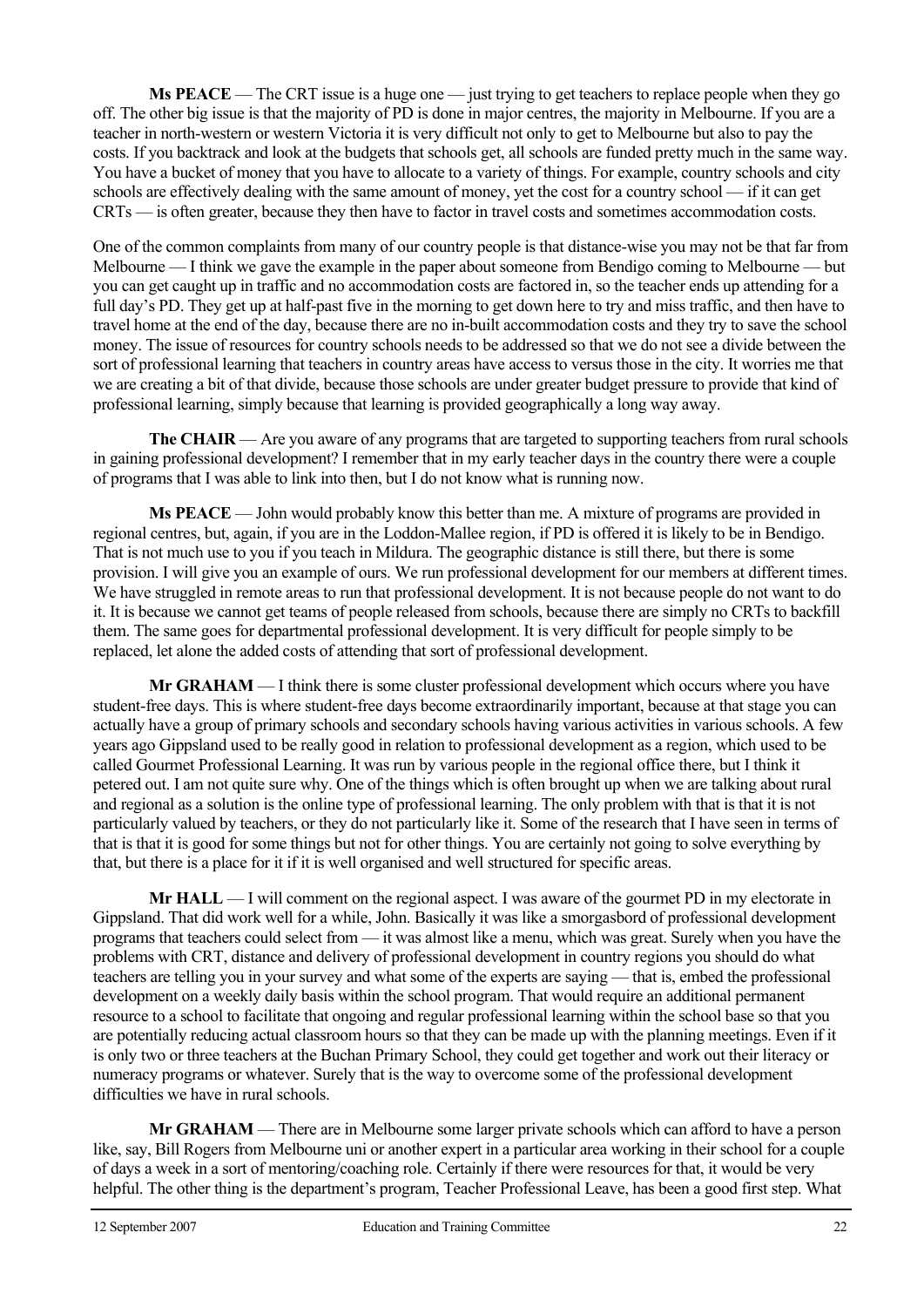**Ms PEACE** — The CRT issue is a huge one — just trying to get teachers to replace people when they go off. The other big issue is that the majority of PD is done in major centres, the majority in Melbourne. If you are a teacher in north-western or western Victoria it is very difficult not only to get to Melbourne but also to pay the costs. If you backtrack and look at the budgets that schools get, all schools are funded pretty much in the same way. You have a bucket of money that you have to allocate to a variety of things. For example, country schools and city schools are effectively dealing with the same amount of money, yet the cost for a country school — if it can get CRTs — is often greater, because they then have to factor in travel costs and sometimes accommodation costs.

One of the common complaints from many of our country people is that distance-wise you may not be that far from Melbourne — I think we gave the example in the paper about someone from Bendigo coming to Melbourne — but you can get caught up in traffic and no accommodation costs are factored in, so the teacher ends up attending for a full day's PD. They get up at half-past five in the morning to get down here to try and miss traffic, and then have to travel home at the end of the day, because there are no in-built accommodation costs and they try to save the school money. The issue of resources for country schools needs to be addressed so that we do not see a divide between the sort of professional learning that teachers in country areas have access to versus those in the city. It worries me that we are creating a bit of that divide, because those schools are under greater budget pressure to provide that kind of professional learning, simply because that learning is provided geographically a long way away.

**The CHAIR** — Are you aware of any programs that are targeted to supporting teachers from rural schools in gaining professional development? I remember that in my early teacher days in the country there were a couple of programs that I was able to link into then, but I do not know what is running now.

**Ms PEACE** — John would probably know this better than me. A mixture of programs are provided in regional centres, but, again, if you are in the Loddon-Mallee region, if PD is offered it is likely to be in Bendigo. That is not much use to you if you teach in Mildura. The geographic distance is still there, but there is some provision. I will give you an example of ours. We run professional development for our members at different times. We have struggled in remote areas to run that professional development. It is not because people do not want to do it. It is because we cannot get teams of people released from schools, because there are simply no CRTs to backfill them. The same goes for departmental professional development. It is very difficult for people simply to be replaced, let alone the added costs of attending that sort of professional development.

**Mr GRAHAM** — I think there is some cluster professional development which occurs where you have student-free days. This is where student-free days become extraordinarily important, because at that stage you can actually have a group of primary schools and secondary schools having various activities in various schools. A few years ago Gippsland used to be really good in relation to professional development as a region, which used to be called Gourmet Professional Learning. It was run by various people in the regional office there, but I think it petered out. I am not quite sure why. One of the things which is often brought up when we are talking about rural and regional as a solution is the online type of professional learning. The only problem with that is that it is not particularly valued by teachers, or they do not particularly like it. Some of the research that I have seen in terms of that is that it is good for some things but not for other things. You are certainly not going to solve everything by that, but there is a place for it if it is well organised and well structured for specific areas.

**Mr HALL** — I will comment on the regional aspect. I was aware of the gourmet PD in my electorate in Gippsland. That did work well for a while, John. Basically it was like a smorgasbord of professional development programs that teachers could select from — it was almost like a menu, which was great. Surely when you have the problems with CRT, distance and delivery of professional development in country regions you should do what teachers are telling you in your survey and what some of the experts are saying — that is, embed the professional development on a weekly daily basis within the school program. That would require an additional permanent resource to a school to facilitate that ongoing and regular professional learning within the school base so that you are potentially reducing actual classroom hours so that they can be made up with the planning meetings. Even if it is only two or three teachers at the Buchan Primary School, they could get together and work out their literacy or numeracy programs or whatever. Surely that is the way to overcome some of the professional development difficulties we have in rural schools.

 **Mr GRAHAM** — There are in Melbourne some larger private schools which can afford to have a person like, say, Bill Rogers from Melbourne uni or another expert in a particular area working in their school for a couple of days a week in a sort of mentoring/coaching role. Certainly if there were resources for that, it would be very helpful. The other thing is the department's program, Teacher Professional Leave, has been a good first step. What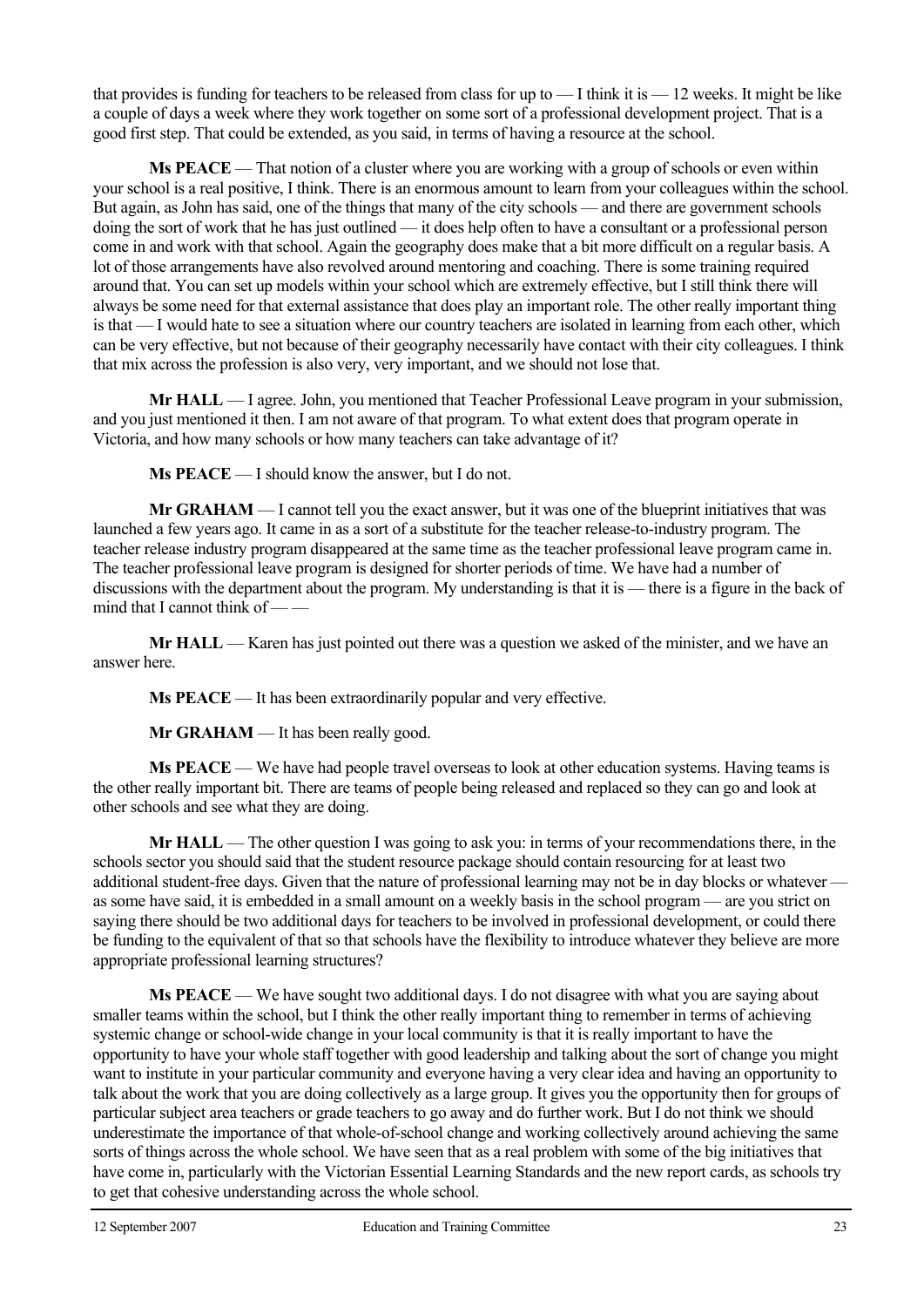that provides is funding for teachers to be released from class for up to  $-$  I think it is  $-$  12 weeks. It might be like a couple of days a week where they work together on some sort of a professional development project. That is a good first step. That could be extended, as you said, in terms of having a resource at the school.

 **Ms PEACE** — That notion of a cluster where you are working with a group of schools or even within your school is a real positive, I think. There is an enormous amount to learn from your colleagues within the school. But again, as John has said, one of the things that many of the city schools — and there are government schools doing the sort of work that he has just outlined — it does help often to have a consultant or a professional person come in and work with that school. Again the geography does make that a bit more difficult on a regular basis. A lot of those arrangements have also revolved around mentoring and coaching. There is some training required around that. You can set up models within your school which are extremely effective, but I still think there will always be some need for that external assistance that does play an important role. The other really important thing is that — I would hate to see a situation where our country teachers are isolated in learning from each other, which can be very effective, but not because of their geography necessarily have contact with their city colleagues. I think that mix across the profession is also very, very important, and we should not lose that.

**Mr HALL** — I agree. John, you mentioned that Teacher Professional Leave program in your submission, and you just mentioned it then. I am not aware of that program. To what extent does that program operate in Victoria, and how many schools or how many teachers can take advantage of it?

 **Ms PEACE** — I should know the answer, but I do not.

 **Mr GRAHAM** — I cannot tell you the exact answer, but it was one of the blueprint initiatives that was launched a few years ago. It came in as a sort of a substitute for the teacher release-to-industry program. The teacher release industry program disappeared at the same time as the teacher professional leave program came in. The teacher professional leave program is designed for shorter periods of time. We have had a number of discussions with the department about the program. My understanding is that it is — there is a figure in the back of mind that I cannot think of -

**Mr HALL** — Karen has just pointed out there was a question we asked of the minister, and we have an answer here.

 **Ms PEACE** — It has been extraordinarily popular and very effective.

**Mr GRAHAM** — It has been really good.

 **Ms PEACE** — We have had people travel overseas to look at other education systems. Having teams is the other really important bit. There are teams of people being released and replaced so they can go and look at other schools and see what they are doing.

**Mr HALL** — The other question I was going to ask you: in terms of your recommendations there, in the schools sector you should said that the student resource package should contain resourcing for at least two additional student-free days. Given that the nature of professional learning may not be in day blocks or whatever as some have said, it is embedded in a small amount on a weekly basis in the school program — are you strict on saying there should be two additional days for teachers to be involved in professional development, or could there be funding to the equivalent of that so that schools have the flexibility to introduce whatever they believe are more appropriate professional learning structures?

 **Ms PEACE** — We have sought two additional days. I do not disagree with what you are saying about smaller teams within the school, but I think the other really important thing to remember in terms of achieving systemic change or school-wide change in your local community is that it is really important to have the opportunity to have your whole staff together with good leadership and talking about the sort of change you might want to institute in your particular community and everyone having a very clear idea and having an opportunity to talk about the work that you are doing collectively as a large group. It gives you the opportunity then for groups of particular subject area teachers or grade teachers to go away and do further work. But I do not think we should underestimate the importance of that whole-of-school change and working collectively around achieving the same sorts of things across the whole school. We have seen that as a real problem with some of the big initiatives that have come in, particularly with the Victorian Essential Learning Standards and the new report cards, as schools try to get that cohesive understanding across the whole school.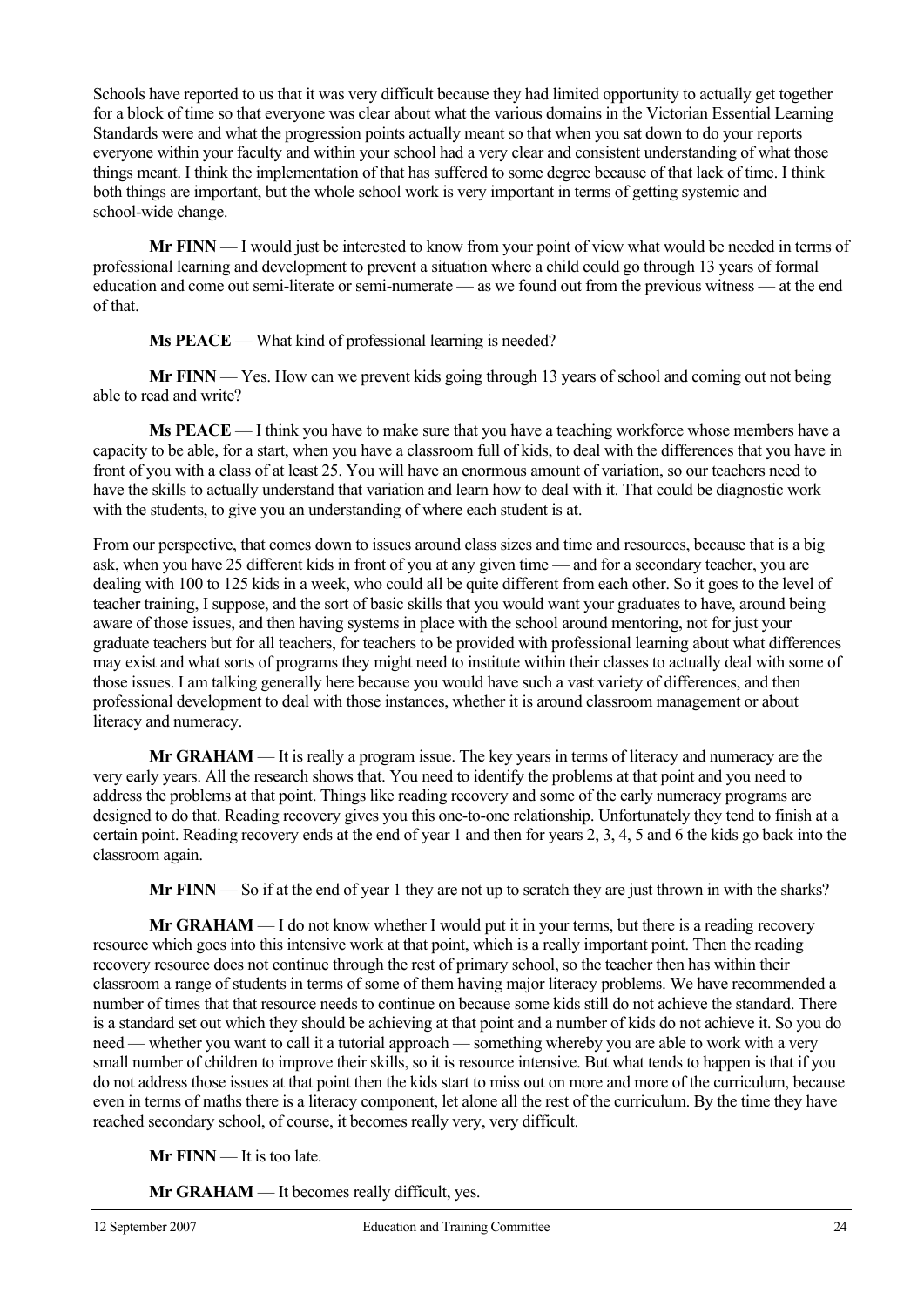Schools have reported to us that it was very difficult because they had limited opportunity to actually get together for a block of time so that everyone was clear about what the various domains in the Victorian Essential Learning Standards were and what the progression points actually meant so that when you sat down to do your reports everyone within your faculty and within your school had a very clear and consistent understanding of what those things meant. I think the implementation of that has suffered to some degree because of that lack of time. I think both things are important, but the whole school work is very important in terms of getting systemic and school-wide change.

**Mr FINN** — I would just be interested to know from your point of view what would be needed in terms of professional learning and development to prevent a situation where a child could go through 13 years of formal education and come out semi-literate or semi-numerate — as we found out from the previous witness — at the end of that.

**Ms PEACE** — What kind of professional learning is needed?

**Mr FINN** — Yes. How can we prevent kids going through 13 years of school and coming out not being able to read and write?

**Ms PEACE** — I think you have to make sure that you have a teaching workforce whose members have a capacity to be able, for a start, when you have a classroom full of kids, to deal with the differences that you have in front of you with a class of at least 25. You will have an enormous amount of variation, so our teachers need to have the skills to actually understand that variation and learn how to deal with it. That could be diagnostic work with the students, to give you an understanding of where each student is at.

From our perspective, that comes down to issues around class sizes and time and resources, because that is a big ask, when you have 25 different kids in front of you at any given time — and for a secondary teacher, you are dealing with 100 to 125 kids in a week, who could all be quite different from each other. So it goes to the level of teacher training, I suppose, and the sort of basic skills that you would want your graduates to have, around being aware of those issues, and then having systems in place with the school around mentoring, not for just your graduate teachers but for all teachers, for teachers to be provided with professional learning about what differences may exist and what sorts of programs they might need to institute within their classes to actually deal with some of those issues. I am talking generally here because you would have such a vast variety of differences, and then professional development to deal with those instances, whether it is around classroom management or about literacy and numeracy.

**Mr GRAHAM** — It is really a program issue. The key years in terms of literacy and numeracy are the very early years. All the research shows that. You need to identify the problems at that point and you need to address the problems at that point. Things like reading recovery and some of the early numeracy programs are designed to do that. Reading recovery gives you this one-to-one relationship. Unfortunately they tend to finish at a certain point. Reading recovery ends at the end of year 1 and then for years 2, 3, 4, 5 and 6 the kids go back into the classroom again.

**Mr FINN** — So if at the end of year 1 they are not up to scratch they are just thrown in with the sharks?

**Mr GRAHAM** — I do not know whether I would put it in your terms, but there is a reading recovery resource which goes into this intensive work at that point, which is a really important point. Then the reading recovery resource does not continue through the rest of primary school, so the teacher then has within their classroom a range of students in terms of some of them having major literacy problems. We have recommended a number of times that that resource needs to continue on because some kids still do not achieve the standard. There is a standard set out which they should be achieving at that point and a number of kids do not achieve it. So you do need — whether you want to call it a tutorial approach — something whereby you are able to work with a very small number of children to improve their skills, so it is resource intensive. But what tends to happen is that if you do not address those issues at that point then the kids start to miss out on more and more of the curriculum, because even in terms of maths there is a literacy component, let alone all the rest of the curriculum. By the time they have reached secondary school, of course, it becomes really very, very difficult.

**Mr FINN** — It is too late.

**Mr GRAHAM** — It becomes really difficult, yes.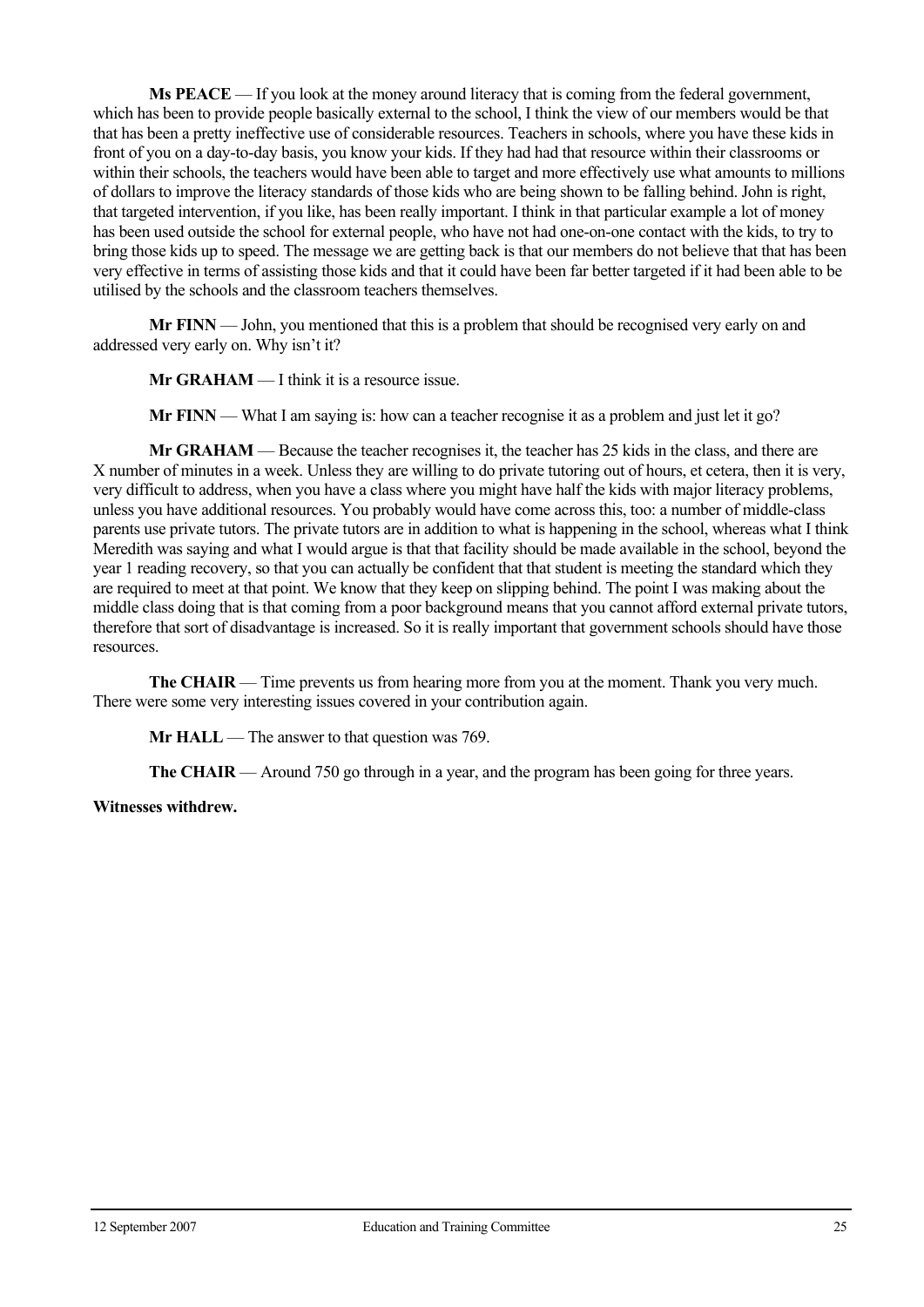**Ms PEACE** — If you look at the money around literacy that is coming from the federal government, which has been to provide people basically external to the school, I think the view of our members would be that that has been a pretty ineffective use of considerable resources. Teachers in schools, where you have these kids in front of you on a day-to-day basis, you know your kids. If they had had that resource within their classrooms or within their schools, the teachers would have been able to target and more effectively use what amounts to millions of dollars to improve the literacy standards of those kids who are being shown to be falling behind. John is right, that targeted intervention, if you like, has been really important. I think in that particular example a lot of money has been used outside the school for external people, who have not had one-on-one contact with the kids, to try to bring those kids up to speed. The message we are getting back is that our members do not believe that that has been very effective in terms of assisting those kids and that it could have been far better targeted if it had been able to be utilised by the schools and the classroom teachers themselves.

**Mr FINN** — John, you mentioned that this is a problem that should be recognised very early on and addressed very early on. Why isn't it?

**Mr GRAHAM** — I think it is a resource issue.

**Mr FINN** — What I am saying is: how can a teacher recognise it as a problem and just let it go?

**Mr GRAHAM** — Because the teacher recognises it, the teacher has 25 kids in the class, and there are X number of minutes in a week. Unless they are willing to do private tutoring out of hours, et cetera, then it is very, very difficult to address, when you have a class where you might have half the kids with major literacy problems, unless you have additional resources. You probably would have come across this, too: a number of middle-class parents use private tutors. The private tutors are in addition to what is happening in the school, whereas what I think Meredith was saying and what I would argue is that that facility should be made available in the school, beyond the year 1 reading recovery, so that you can actually be confident that that student is meeting the standard which they are required to meet at that point. We know that they keep on slipping behind. The point I was making about the middle class doing that is that coming from a poor background means that you cannot afford external private tutors, therefore that sort of disadvantage is increased. So it is really important that government schools should have those resources.

**The CHAIR** — Time prevents us from hearing more from you at the moment. Thank you very much. There were some very interesting issues covered in your contribution again.

**Mr HALL** — The answer to that question was 769.

**The CHAIR** — Around 750 go through in a year, and the program has been going for three years.

#### **Witnesses withdrew.**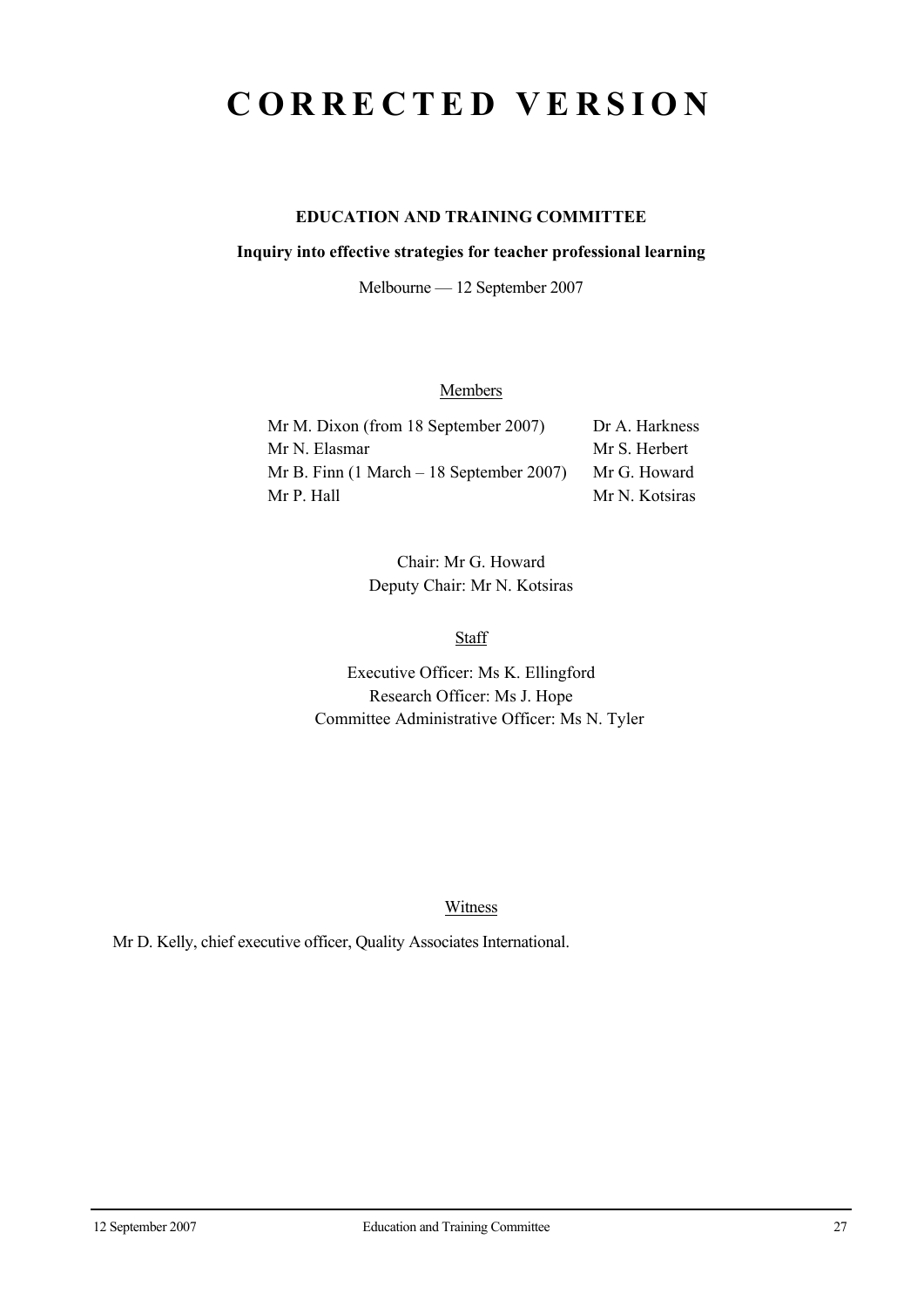## **CORRECTED VERSION**

## **EDUCATION AND TRAINING COMMITTEE**

#### **Inquiry into effective strategies for teacher professional learning**

Melbourne — 12 September 2007

## **Members**

| Mr M. Dixon (from 18 September 2007)                        | Dr A. Harkness |
|-------------------------------------------------------------|----------------|
| Mr N. Elasmar                                               | Mr S. Herbert  |
| Mr B. Finn $(1 \text{ March} - 18 \text{ September } 2007)$ | Mr G. Howard   |
| Mr P. Hall                                                  | Mr N. Kotsiras |

Chair: Mr G. Howard Deputy Chair: Mr N. Kotsiras

**Staff** 

Executive Officer: Ms K. Ellingford Research Officer: Ms J. Hope Committee Administrative Officer: Ms N. Tyler

Witness

Mr D. Kelly, chief executive officer, Quality Associates International.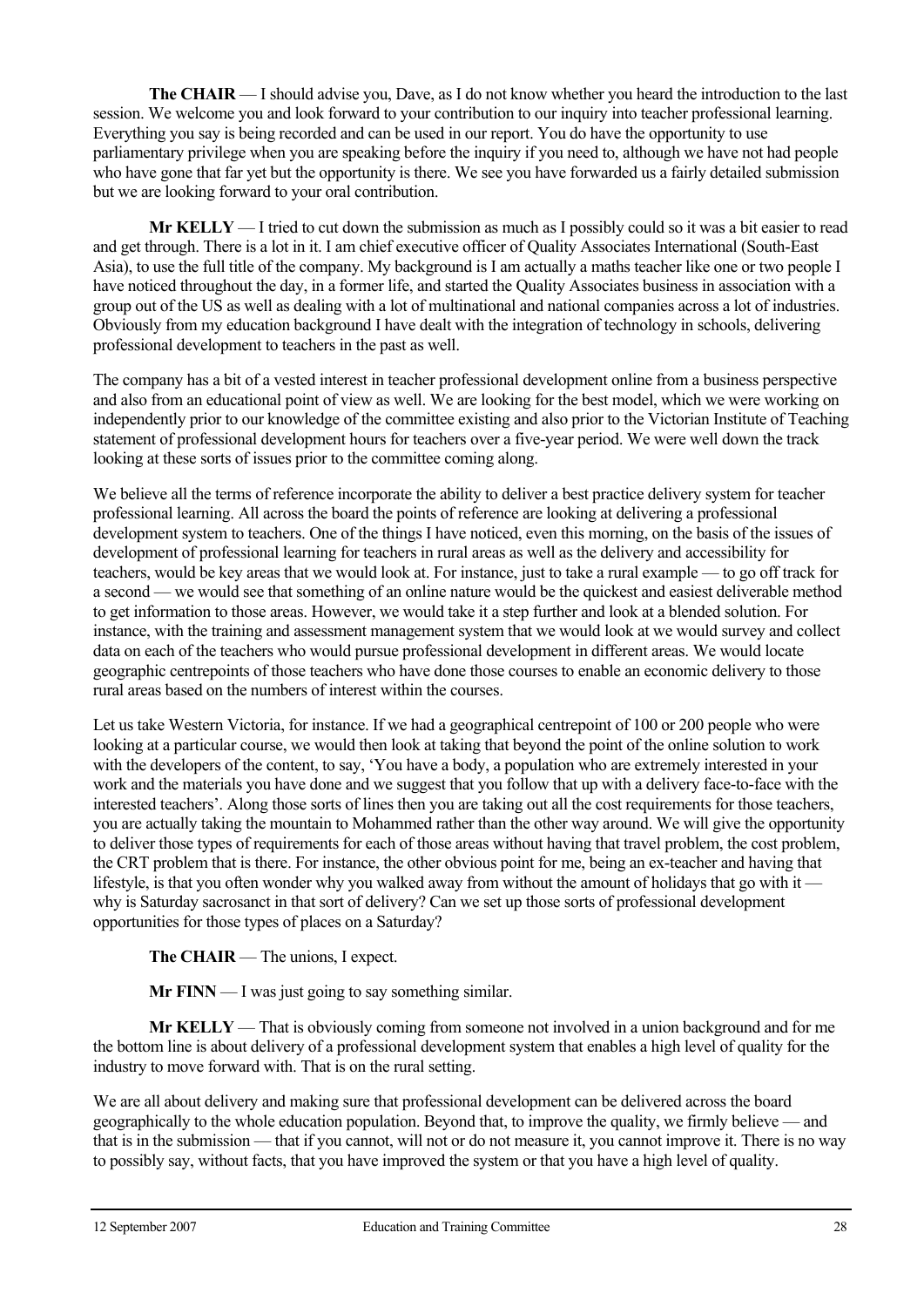**The CHAIR** — I should advise you, Dave, as I do not know whether you heard the introduction to the last session. We welcome you and look forward to your contribution to our inquiry into teacher professional learning. Everything you say is being recorded and can be used in our report. You do have the opportunity to use parliamentary privilege when you are speaking before the inquiry if you need to, although we have not had people who have gone that far yet but the opportunity is there. We see you have forwarded us a fairly detailed submission but we are looking forward to your oral contribution.

**Mr KELLY** — I tried to cut down the submission as much as I possibly could so it was a bit easier to read and get through. There is a lot in it. I am chief executive officer of Quality Associates International (South-East Asia), to use the full title of the company. My background is I am actually a maths teacher like one or two people I have noticed throughout the day, in a former life, and started the Quality Associates business in association with a group out of the US as well as dealing with a lot of multinational and national companies across a lot of industries. Obviously from my education background I have dealt with the integration of technology in schools, delivering professional development to teachers in the past as well.

The company has a bit of a vested interest in teacher professional development online from a business perspective and also from an educational point of view as well. We are looking for the best model, which we were working on independently prior to our knowledge of the committee existing and also prior to the Victorian Institute of Teaching statement of professional development hours for teachers over a five-year period. We were well down the track looking at these sorts of issues prior to the committee coming along.

We believe all the terms of reference incorporate the ability to deliver a best practice delivery system for teacher professional learning. All across the board the points of reference are looking at delivering a professional development system to teachers. One of the things I have noticed, even this morning, on the basis of the issues of development of professional learning for teachers in rural areas as well as the delivery and accessibility for teachers, would be key areas that we would look at. For instance, just to take a rural example — to go off track for a second — we would see that something of an online nature would be the quickest and easiest deliverable method to get information to those areas. However, we would take it a step further and look at a blended solution. For instance, with the training and assessment management system that we would look at we would survey and collect data on each of the teachers who would pursue professional development in different areas. We would locate geographic centrepoints of those teachers who have done those courses to enable an economic delivery to those rural areas based on the numbers of interest within the courses.

Let us take Western Victoria, for instance. If we had a geographical centrepoint of 100 or 200 people who were looking at a particular course, we would then look at taking that beyond the point of the online solution to work with the developers of the content, to say, 'You have a body, a population who are extremely interested in your work and the materials you have done and we suggest that you follow that up with a delivery face-to-face with the interested teachers'. Along those sorts of lines then you are taking out all the cost requirements for those teachers, you are actually taking the mountain to Mohammed rather than the other way around. We will give the opportunity to deliver those types of requirements for each of those areas without having that travel problem, the cost problem, the CRT problem that is there. For instance, the other obvious point for me, being an ex-teacher and having that lifestyle, is that you often wonder why you walked away from without the amount of holidays that go with it why is Saturday sacrosanct in that sort of delivery? Can we set up those sorts of professional development opportunities for those types of places on a Saturday?

**The CHAIR** — The unions, I expect.

**Mr FINN** — I was just going to say something similar.

**Mr KELLY** — That is obviously coming from someone not involved in a union background and for me the bottom line is about delivery of a professional development system that enables a high level of quality for the industry to move forward with. That is on the rural setting.

We are all about delivery and making sure that professional development can be delivered across the board geographically to the whole education population. Beyond that, to improve the quality, we firmly believe — and that is in the submission — that if you cannot, will not or do not measure it, you cannot improve it. There is no way to possibly say, without facts, that you have improved the system or that you have a high level of quality.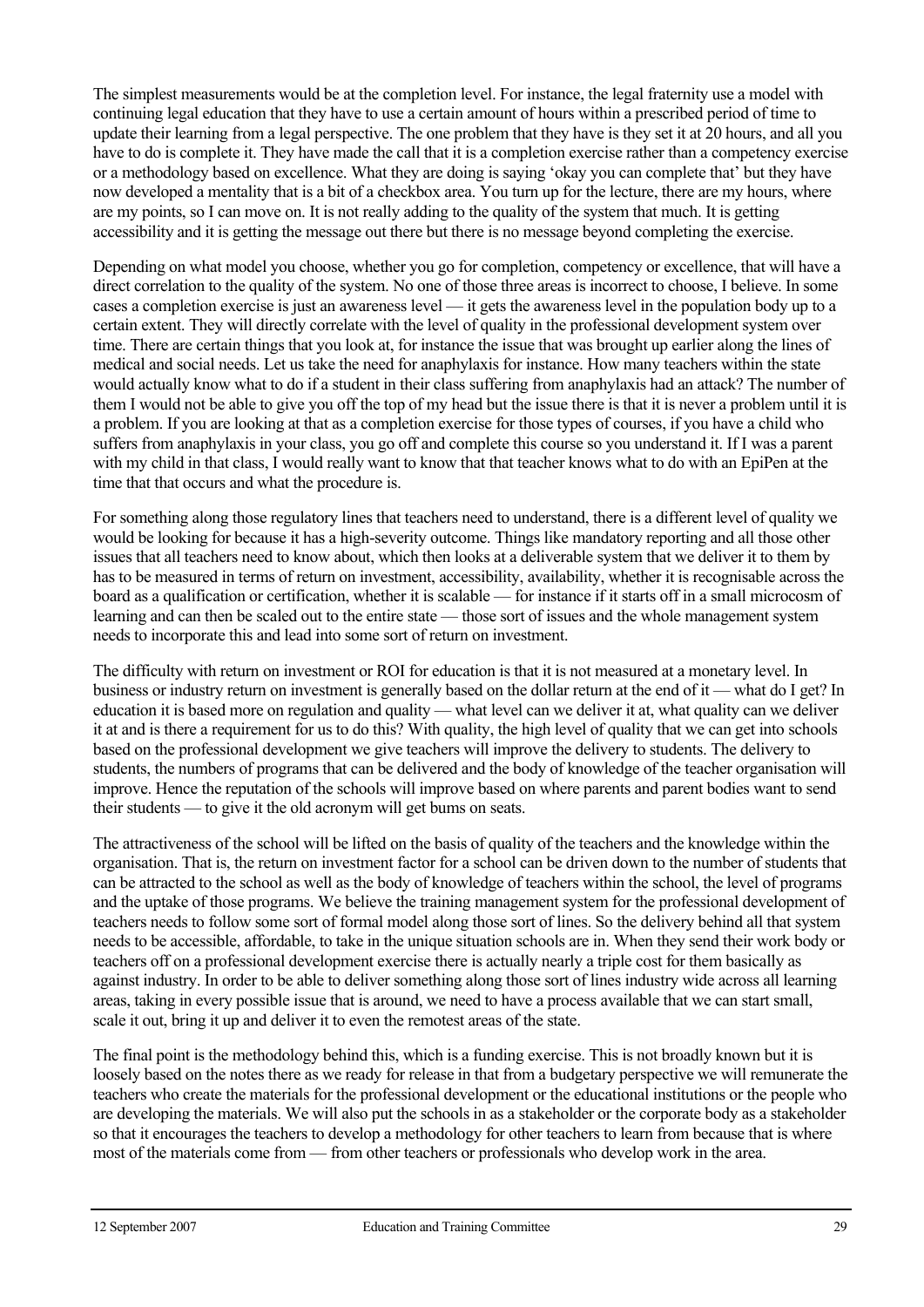The simplest measurements would be at the completion level. For instance, the legal fraternity use a model with continuing legal education that they have to use a certain amount of hours within a prescribed period of time to update their learning from a legal perspective. The one problem that they have is they set it at 20 hours, and all you have to do is complete it. They have made the call that it is a completion exercise rather than a competency exercise or a methodology based on excellence. What they are doing is saying 'okay you can complete that' but they have now developed a mentality that is a bit of a checkbox area. You turn up for the lecture, there are my hours, where are my points, so I can move on. It is not really adding to the quality of the system that much. It is getting accessibility and it is getting the message out there but there is no message beyond completing the exercise.

Depending on what model you choose, whether you go for completion, competency or excellence, that will have a direct correlation to the quality of the system. No one of those three areas is incorrect to choose, I believe. In some cases a completion exercise is just an awareness level — it gets the awareness level in the population body up to a certain extent. They will directly correlate with the level of quality in the professional development system over time. There are certain things that you look at, for instance the issue that was brought up earlier along the lines of medical and social needs. Let us take the need for anaphylaxis for instance. How many teachers within the state would actually know what to do if a student in their class suffering from anaphylaxis had an attack? The number of them I would not be able to give you off the top of my head but the issue there is that it is never a problem until it is a problem. If you are looking at that as a completion exercise for those types of courses, if you have a child who suffers from anaphylaxis in your class, you go off and complete this course so you understand it. If I was a parent with my child in that class, I would really want to know that that teacher knows what to do with an EpiPen at the time that that occurs and what the procedure is.

For something along those regulatory lines that teachers need to understand, there is a different level of quality we would be looking for because it has a high-severity outcome. Things like mandatory reporting and all those other issues that all teachers need to know about, which then looks at a deliverable system that we deliver it to them by has to be measured in terms of return on investment, accessibility, availability, whether it is recognisable across the board as a qualification or certification, whether it is scalable — for instance if it starts off in a small microcosm of learning and can then be scaled out to the entire state — those sort of issues and the whole management system needs to incorporate this and lead into some sort of return on investment.

The difficulty with return on investment or ROI for education is that it is not measured at a monetary level. In business or industry return on investment is generally based on the dollar return at the end of it — what do I get? In education it is based more on regulation and quality — what level can we deliver it at, what quality can we deliver it at and is there a requirement for us to do this? With quality, the high level of quality that we can get into schools based on the professional development we give teachers will improve the delivery to students. The delivery to students, the numbers of programs that can be delivered and the body of knowledge of the teacher organisation will improve. Hence the reputation of the schools will improve based on where parents and parent bodies want to send their students — to give it the old acronym will get bums on seats.

The attractiveness of the school will be lifted on the basis of quality of the teachers and the knowledge within the organisation. That is, the return on investment factor for a school can be driven down to the number of students that can be attracted to the school as well as the body of knowledge of teachers within the school, the level of programs and the uptake of those programs. We believe the training management system for the professional development of teachers needs to follow some sort of formal model along those sort of lines. So the delivery behind all that system needs to be accessible, affordable, to take in the unique situation schools are in. When they send their work body or teachers off on a professional development exercise there is actually nearly a triple cost for them basically as against industry. In order to be able to deliver something along those sort of lines industry wide across all learning areas, taking in every possible issue that is around, we need to have a process available that we can start small, scale it out, bring it up and deliver it to even the remotest areas of the state.

The final point is the methodology behind this, which is a funding exercise. This is not broadly known but it is loosely based on the notes there as we ready for release in that from a budgetary perspective we will remunerate the teachers who create the materials for the professional development or the educational institutions or the people who are developing the materials. We will also put the schools in as a stakeholder or the corporate body as a stakeholder so that it encourages the teachers to develop a methodology for other teachers to learn from because that is where most of the materials come from — from other teachers or professionals who develop work in the area.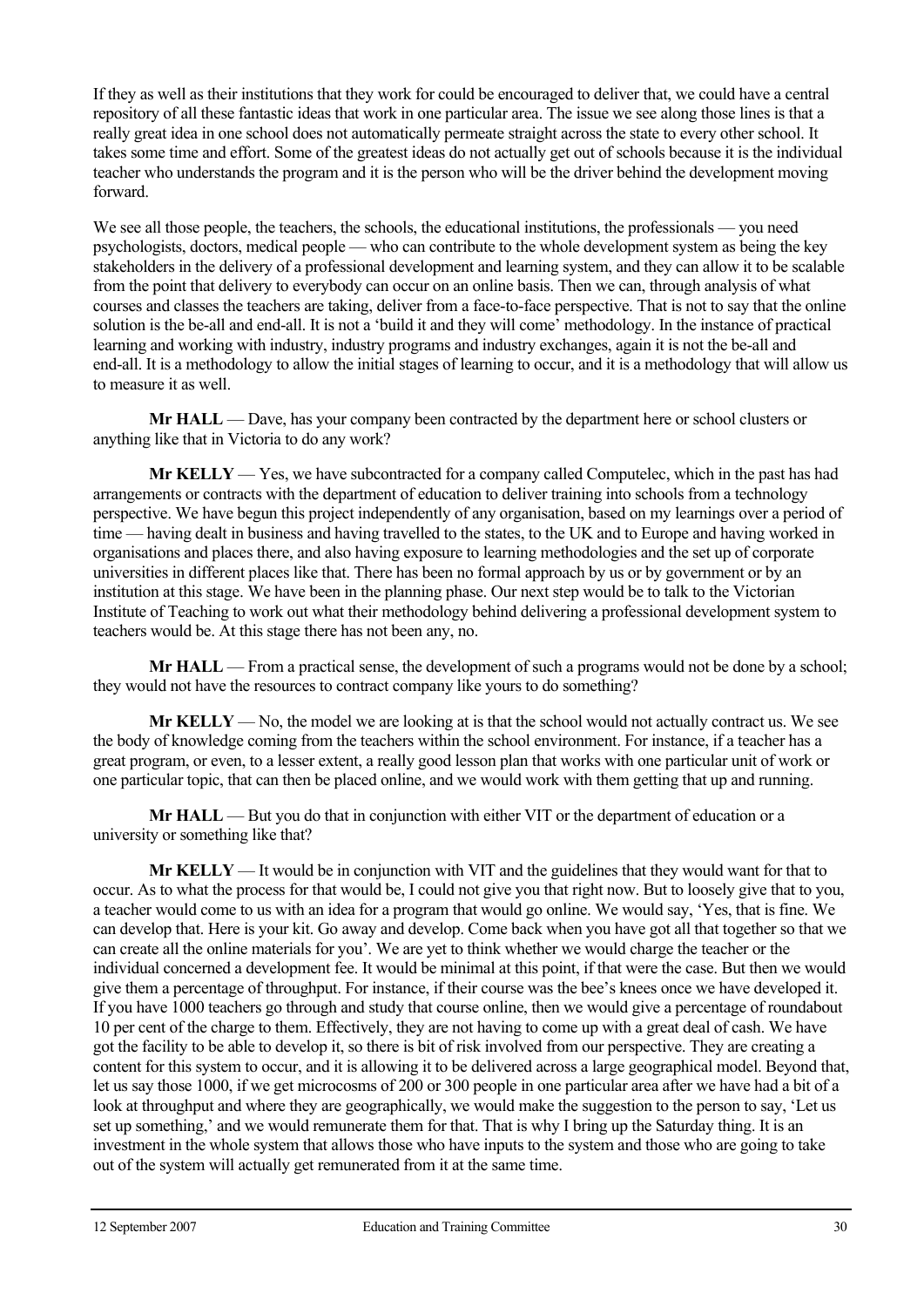If they as well as their institutions that they work for could be encouraged to deliver that, we could have a central repository of all these fantastic ideas that work in one particular area. The issue we see along those lines is that a really great idea in one school does not automatically permeate straight across the state to every other school. It takes some time and effort. Some of the greatest ideas do not actually get out of schools because it is the individual teacher who understands the program and it is the person who will be the driver behind the development moving forward.

We see all those people, the teachers, the schools, the educational institutions, the professionals — you need psychologists, doctors, medical people — who can contribute to the whole development system as being the key stakeholders in the delivery of a professional development and learning system, and they can allow it to be scalable from the point that delivery to everybody can occur on an online basis. Then we can, through analysis of what courses and classes the teachers are taking, deliver from a face-to-face perspective. That is not to say that the online solution is the be-all and end-all. It is not a 'build it and they will come' methodology. In the instance of practical learning and working with industry, industry programs and industry exchanges, again it is not the be-all and end-all. It is a methodology to allow the initial stages of learning to occur, and it is a methodology that will allow us to measure it as well.

**Mr HALL** — Dave, has your company been contracted by the department here or school clusters or anything like that in Victoria to do any work?

 **Mr KELLY** — Yes, we have subcontracted for a company called Computelec, which in the past has had arrangements or contracts with the department of education to deliver training into schools from a technology perspective. We have begun this project independently of any organisation, based on my learnings over a period of time — having dealt in business and having travelled to the states, to the UK and to Europe and having worked in organisations and places there, and also having exposure to learning methodologies and the set up of corporate universities in different places like that. There has been no formal approach by us or by government or by an institution at this stage. We have been in the planning phase. Our next step would be to talk to the Victorian Institute of Teaching to work out what their methodology behind delivering a professional development system to teachers would be. At this stage there has not been any, no.

**Mr HALL** — From a practical sense, the development of such a programs would not be done by a school; they would not have the resources to contract company like yours to do something?

 **Mr KELLY** — No, the model we are looking at is that the school would not actually contract us. We see the body of knowledge coming from the teachers within the school environment. For instance, if a teacher has a great program, or even, to a lesser extent, a really good lesson plan that works with one particular unit of work or one particular topic, that can then be placed online, and we would work with them getting that up and running.

**Mr HALL** — But you do that in conjunction with either VIT or the department of education or a university or something like that?

 **Mr KELLY** — It would be in conjunction with VIT and the guidelines that they would want for that to occur. As to what the process for that would be, I could not give you that right now. But to loosely give that to you, a teacher would come to us with an idea for a program that would go online. We would say, 'Yes, that is fine. We can develop that. Here is your kit. Go away and develop. Come back when you have got all that together so that we can create all the online materials for you'. We are yet to think whether we would charge the teacher or the individual concerned a development fee. It would be minimal at this point, if that were the case. But then we would give them a percentage of throughput. For instance, if their course was the bee's knees once we have developed it. If you have 1000 teachers go through and study that course online, then we would give a percentage of roundabout 10 per cent of the charge to them. Effectively, they are not having to come up with a great deal of cash. We have got the facility to be able to develop it, so there is bit of risk involved from our perspective. They are creating a content for this system to occur, and it is allowing it to be delivered across a large geographical model. Beyond that, let us say those 1000, if we get microcosms of 200 or 300 people in one particular area after we have had a bit of a look at throughput and where they are geographically, we would make the suggestion to the person to say, 'Let us set up something,' and we would remunerate them for that. That is why I bring up the Saturday thing. It is an investment in the whole system that allows those who have inputs to the system and those who are going to take out of the system will actually get remunerated from it at the same time.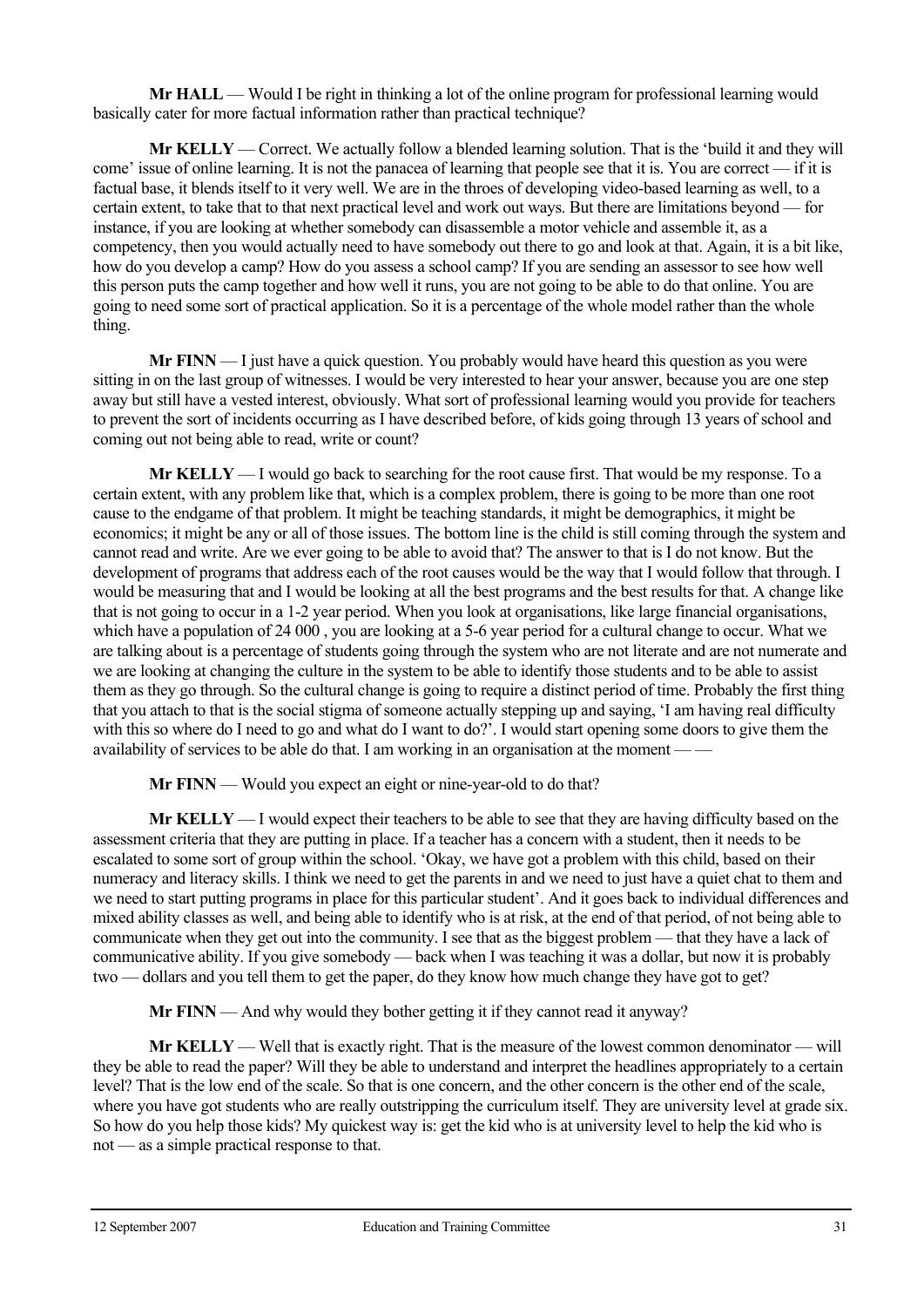**Mr HALL** — Would I be right in thinking a lot of the online program for professional learning would basically cater for more factual information rather than practical technique?

 **Mr KELLY** — Correct. We actually follow a blended learning solution. That is the 'build it and they will come' issue of online learning. It is not the panacea of learning that people see that it is. You are correct — if it is factual base, it blends itself to it very well. We are in the throes of developing video-based learning as well, to a certain extent, to take that to that next practical level and work out ways. But there are limitations beyond — for instance, if you are looking at whether somebody can disassemble a motor vehicle and assemble it, as a competency, then you would actually need to have somebody out there to go and look at that. Again, it is a bit like, how do you develop a camp? How do you assess a school camp? If you are sending an assessor to see how well this person puts the camp together and how well it runs, you are not going to be able to do that online. You are going to need some sort of practical application. So it is a percentage of the whole model rather than the whole thing.

**Mr FINN** — I just have a quick question. You probably would have heard this question as you were sitting in on the last group of witnesses. I would be very interested to hear your answer, because you are one step away but still have a vested interest, obviously. What sort of professional learning would you provide for teachers to prevent the sort of incidents occurring as I have described before, of kids going through 13 years of school and coming out not being able to read, write or count?

 **Mr KELLY** — I would go back to searching for the root cause first. That would be my response. To a certain extent, with any problem like that, which is a complex problem, there is going to be more than one root cause to the endgame of that problem. It might be teaching standards, it might be demographics, it might be economics; it might be any or all of those issues. The bottom line is the child is still coming through the system and cannot read and write. Are we ever going to be able to avoid that? The answer to that is I do not know. But the development of programs that address each of the root causes would be the way that I would follow that through. I would be measuring that and I would be looking at all the best programs and the best results for that. A change like that is not going to occur in a 1-2 year period. When you look at organisations, like large financial organisations, which have a population of 24 000, you are looking at a 5-6 year period for a cultural change to occur. What we are talking about is a percentage of students going through the system who are not literate and are not numerate and we are looking at changing the culture in the system to be able to identify those students and to be able to assist them as they go through. So the cultural change is going to require a distinct period of time. Probably the first thing that you attach to that is the social stigma of someone actually stepping up and saying, 'I am having real difficulty with this so where do I need to go and what do I want to do?'. I would start opening some doors to give them the availability of services to be able do that. I am working in an organisation at the moment — —

**Mr FINN** — Would you expect an eight or nine-year-old to do that?

**Mr KELLY** — I would expect their teachers to be able to see that they are having difficulty based on the assessment criteria that they are putting in place. If a teacher has a concern with a student, then it needs to be escalated to some sort of group within the school. 'Okay, we have got a problem with this child, based on their numeracy and literacy skills. I think we need to get the parents in and we need to just have a quiet chat to them and we need to start putting programs in place for this particular student'. And it goes back to individual differences and mixed ability classes as well, and being able to identify who is at risk, at the end of that period, of not being able to communicate when they get out into the community. I see that as the biggest problem — that they have a lack of communicative ability. If you give somebody — back when I was teaching it was a dollar, but now it is probably two — dollars and you tell them to get the paper, do they know how much change they have got to get?

**Mr FINN** — And why would they bother getting it if they cannot read it anyway?

**Mr KELLY** — Well that is exactly right. That is the measure of the lowest common denominator — will they be able to read the paper? Will they be able to understand and interpret the headlines appropriately to a certain level? That is the low end of the scale. So that is one concern, and the other concern is the other end of the scale, where you have got students who are really outstripping the curriculum itself. They are university level at grade six. So how do you help those kids? My quickest way is: get the kid who is at university level to help the kid who is not — as a simple practical response to that.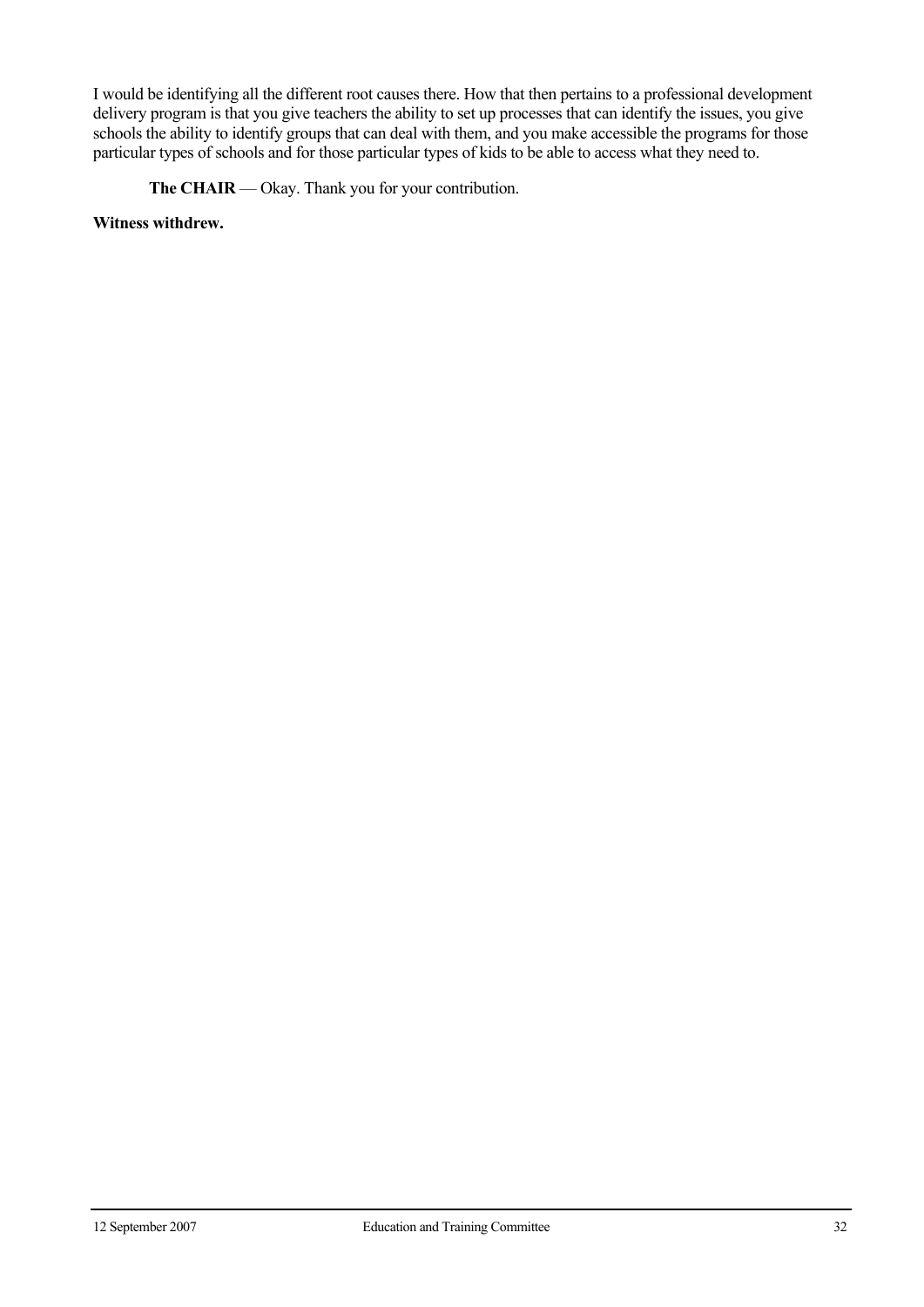I would be identifying all the different root causes there. How that then pertains to a professional development delivery program is that you give teachers the ability to set up processes that can identify the issues, you give schools the ability to identify groups that can deal with them, and you make accessible the programs for those particular types of schools and for those particular types of kids to be able to access what they need to.

**The CHAIR** — Okay. Thank you for your contribution.

**Witness withdrew.**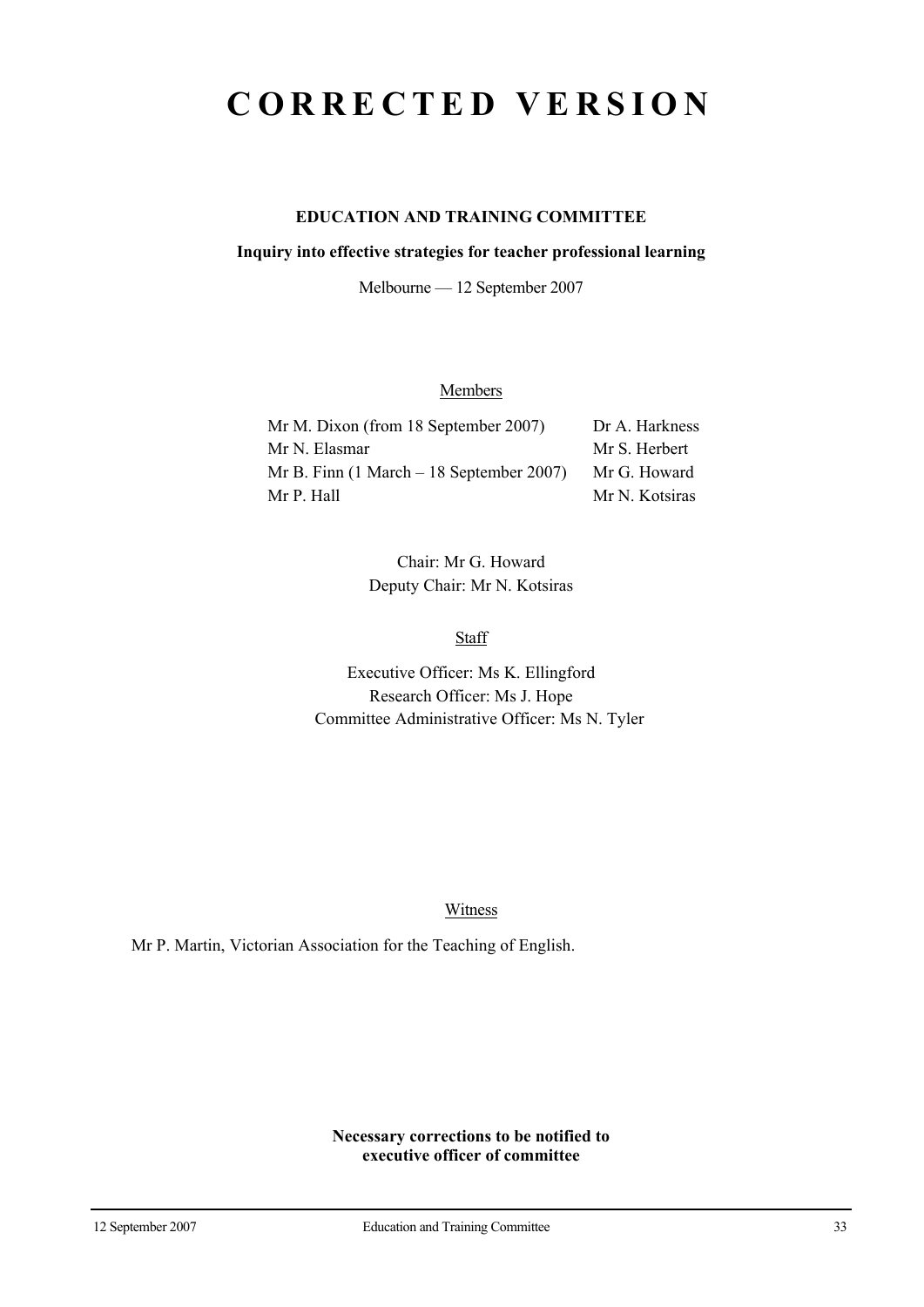# **CORRECTED VERSION**

## **EDUCATION AND TRAINING COMMITTEE**

#### **Inquiry into effective strategies for teacher professional learning**

Melbourne — 12 September 2007

## **Members**

| Mr M. Dixon (from 18 September 2007)                        | Dr A. Harkness |
|-------------------------------------------------------------|----------------|
| Mr N. Elasmar                                               | Mr S. Herbert  |
| Mr B. Finn $(1 \text{ March} - 18 \text{ September } 2007)$ | Mr G. Howard   |
| Mr P. Hall                                                  | Mr N. Kotsiras |

Chair: Mr G. Howard Deputy Chair: Mr N. Kotsiras

Staff

Executive Officer: Ms K. Ellingford Research Officer: Ms J. Hope Committee Administrative Officer: Ms N. Tyler

Witness

Mr P. Martin, Victorian Association for the Teaching of English.

**Necessary corrections to be notified to executive officer of committee**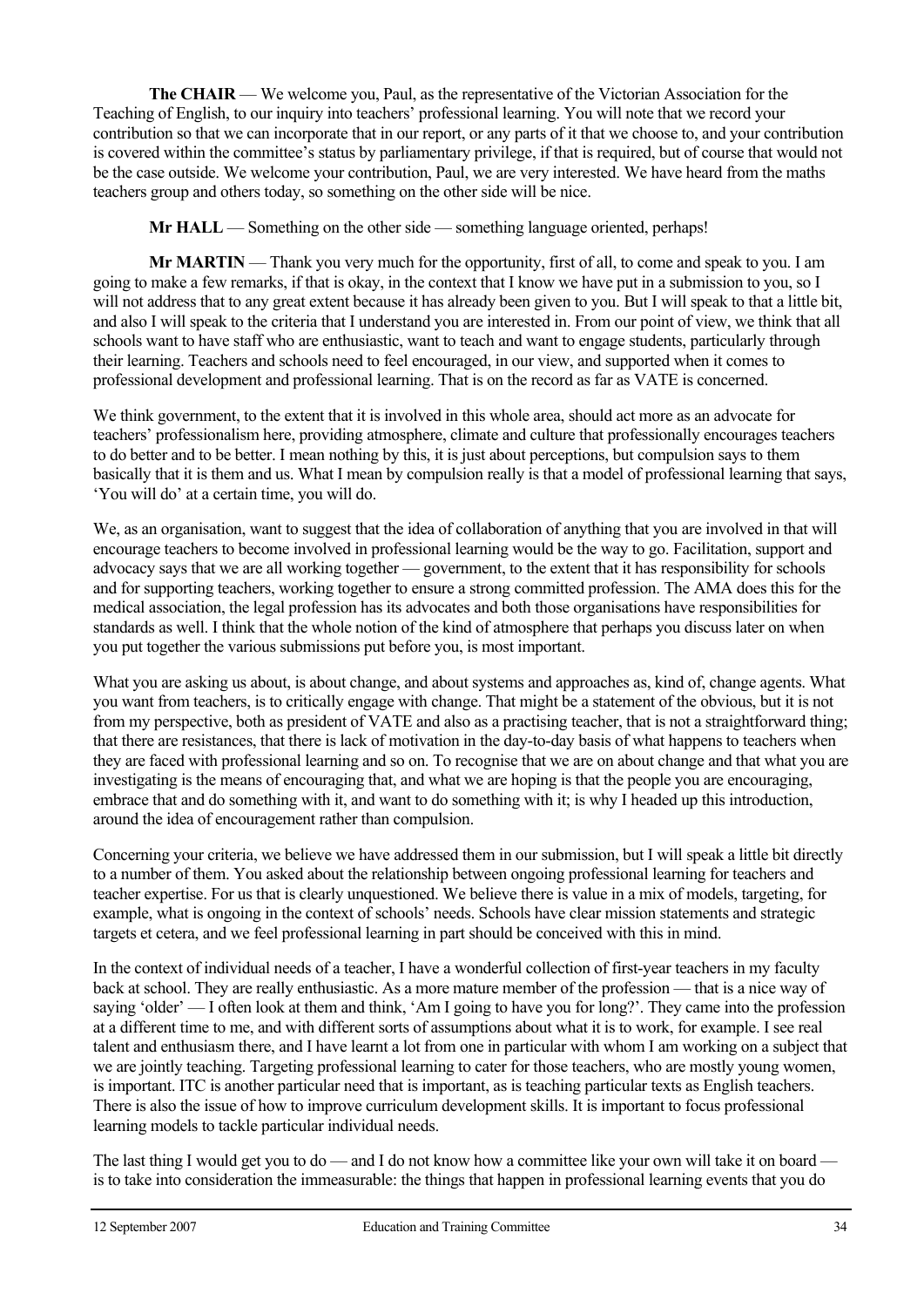**The CHAIR** — We welcome you, Paul, as the representative of the Victorian Association for the Teaching of English, to our inquiry into teachers' professional learning. You will note that we record your contribution so that we can incorporate that in our report, or any parts of it that we choose to, and your contribution is covered within the committee's status by parliamentary privilege, if that is required, but of course that would not be the case outside. We welcome your contribution, Paul, we are very interested. We have heard from the maths teachers group and others today, so something on the other side will be nice.

**Mr HALL** — Something on the other side — something language oriented, perhaps!

**Mr MARTIN** — Thank you very much for the opportunity, first of all, to come and speak to you. I am going to make a few remarks, if that is okay, in the context that I know we have put in a submission to you, so I will not address that to any great extent because it has already been given to you. But I will speak to that a little bit, and also I will speak to the criteria that I understand you are interested in. From our point of view, we think that all schools want to have staff who are enthusiastic, want to teach and want to engage students, particularly through their learning. Teachers and schools need to feel encouraged, in our view, and supported when it comes to professional development and professional learning. That is on the record as far as VATE is concerned.

We think government, to the extent that it is involved in this whole area, should act more as an advocate for teachers' professionalism here, providing atmosphere, climate and culture that professionally encourages teachers to do better and to be better. I mean nothing by this, it is just about perceptions, but compulsion says to them basically that it is them and us. What I mean by compulsion really is that a model of professional learning that says, 'You will do' at a certain time, you will do.

We, as an organisation, want to suggest that the idea of collaboration of anything that you are involved in that will encourage teachers to become involved in professional learning would be the way to go. Facilitation, support and advocacy says that we are all working together — government, to the extent that it has responsibility for schools and for supporting teachers, working together to ensure a strong committed profession. The AMA does this for the medical association, the legal profession has its advocates and both those organisations have responsibilities for standards as well. I think that the whole notion of the kind of atmosphere that perhaps you discuss later on when you put together the various submissions put before you, is most important.

What you are asking us about, is about change, and about systems and approaches as, kind of, change agents. What you want from teachers, is to critically engage with change. That might be a statement of the obvious, but it is not from my perspective, both as president of VATE and also as a practising teacher, that is not a straightforward thing; that there are resistances, that there is lack of motivation in the day-to-day basis of what happens to teachers when they are faced with professional learning and so on. To recognise that we are on about change and that what you are investigating is the means of encouraging that, and what we are hoping is that the people you are encouraging, embrace that and do something with it, and want to do something with it; is why I headed up this introduction, around the idea of encouragement rather than compulsion.

Concerning your criteria, we believe we have addressed them in our submission, but I will speak a little bit directly to a number of them. You asked about the relationship between ongoing professional learning for teachers and teacher expertise. For us that is clearly unquestioned. We believe there is value in a mix of models, targeting, for example, what is ongoing in the context of schools' needs. Schools have clear mission statements and strategic targets et cetera, and we feel professional learning in part should be conceived with this in mind.

In the context of individual needs of a teacher, I have a wonderful collection of first-year teachers in my faculty back at school. They are really enthusiastic. As a more mature member of the profession — that is a nice way of saying 'older' — I often look at them and think, 'Am I going to have you for long?'. They came into the profession at a different time to me, and with different sorts of assumptions about what it is to work, for example. I see real talent and enthusiasm there, and I have learnt a lot from one in particular with whom I am working on a subject that we are jointly teaching. Targeting professional learning to cater for those teachers, who are mostly young women, is important. ITC is another particular need that is important, as is teaching particular texts as English teachers. There is also the issue of how to improve curriculum development skills. It is important to focus professional learning models to tackle particular individual needs.

The last thing I would get you to do — and I do not know how a committee like your own will take it on board is to take into consideration the immeasurable: the things that happen in professional learning events that you do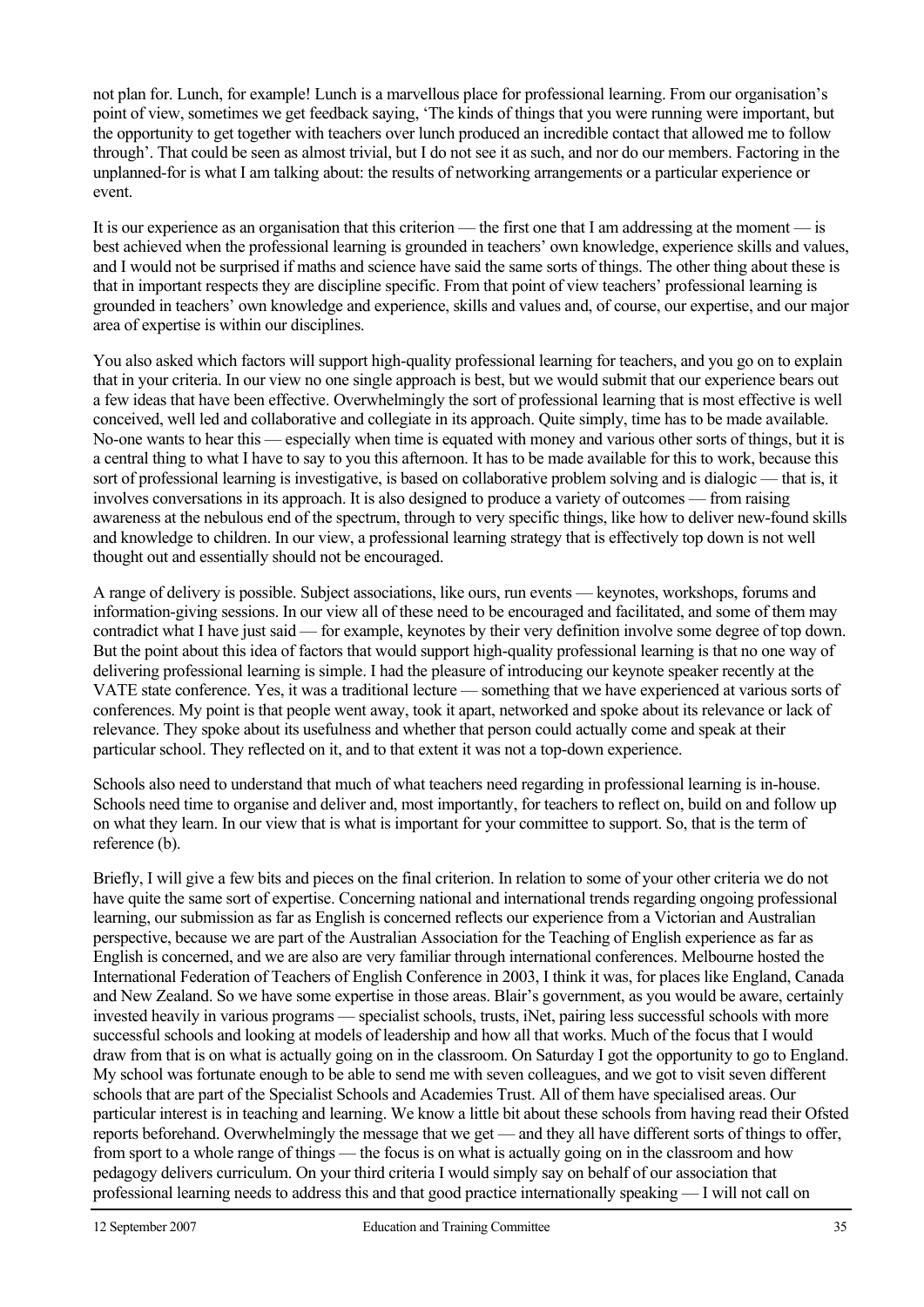not plan for. Lunch, for example! Lunch is a marvellous place for professional learning. From our organisation's point of view, sometimes we get feedback saying, 'The kinds of things that you were running were important, but the opportunity to get together with teachers over lunch produced an incredible contact that allowed me to follow through'. That could be seen as almost trivial, but I do not see it as such, and nor do our members. Factoring in the unplanned-for is what I am talking about: the results of networking arrangements or a particular experience or event.

It is our experience as an organisation that this criterion — the first one that I am addressing at the moment — is best achieved when the professional learning is grounded in teachers' own knowledge, experience skills and values, and I would not be surprised if maths and science have said the same sorts of things. The other thing about these is that in important respects they are discipline specific. From that point of view teachers' professional learning is grounded in teachers' own knowledge and experience, skills and values and, of course, our expertise, and our major area of expertise is within our disciplines.

You also asked which factors will support high-quality professional learning for teachers, and you go on to explain that in your criteria. In our view no one single approach is best, but we would submit that our experience bears out a few ideas that have been effective. Overwhelmingly the sort of professional learning that is most effective is well conceived, well led and collaborative and collegiate in its approach. Quite simply, time has to be made available. No-one wants to hear this — especially when time is equated with money and various other sorts of things, but it is a central thing to what I have to say to you this afternoon. It has to be made available for this to work, because this sort of professional learning is investigative, is based on collaborative problem solving and is dialogic — that is, it involves conversations in its approach. It is also designed to produce a variety of outcomes — from raising awareness at the nebulous end of the spectrum, through to very specific things, like how to deliver new-found skills and knowledge to children. In our view, a professional learning strategy that is effectively top down is not well thought out and essentially should not be encouraged.

A range of delivery is possible. Subject associations, like ours, run events — keynotes, workshops, forums and information-giving sessions. In our view all of these need to be encouraged and facilitated, and some of them may contradict what I have just said — for example, keynotes by their very definition involve some degree of top down. But the point about this idea of factors that would support high-quality professional learning is that no one way of delivering professional learning is simple. I had the pleasure of introducing our keynote speaker recently at the VATE state conference. Yes, it was a traditional lecture — something that we have experienced at various sorts of conferences. My point is that people went away, took it apart, networked and spoke about its relevance or lack of relevance. They spoke about its usefulness and whether that person could actually come and speak at their particular school. They reflected on it, and to that extent it was not a top-down experience.

Schools also need to understand that much of what teachers need regarding in professional learning is in-house. Schools need time to organise and deliver and, most importantly, for teachers to reflect on, build on and follow up on what they learn. In our view that is what is important for your committee to support. So, that is the term of reference (b).

Briefly, I will give a few bits and pieces on the final criterion. In relation to some of your other criteria we do not have quite the same sort of expertise. Concerning national and international trends regarding ongoing professional learning, our submission as far as English is concerned reflects our experience from a Victorian and Australian perspective, because we are part of the Australian Association for the Teaching of English experience as far as English is concerned, and we are also are very familiar through international conferences. Melbourne hosted the International Federation of Teachers of English Conference in 2003, I think it was, for places like England, Canada and New Zealand. So we have some expertise in those areas. Blair's government, as you would be aware, certainly invested heavily in various programs — specialist schools, trusts, iNet, pairing less successful schools with more successful schools and looking at models of leadership and how all that works. Much of the focus that I would draw from that is on what is actually going on in the classroom. On Saturday I got the opportunity to go to England. My school was fortunate enough to be able to send me with seven colleagues, and we got to visit seven different schools that are part of the Specialist Schools and Academies Trust. All of them have specialised areas. Our particular interest is in teaching and learning. We know a little bit about these schools from having read their Ofsted reports beforehand. Overwhelmingly the message that we get — and they all have different sorts of things to offer, from sport to a whole range of things — the focus is on what is actually going on in the classroom and how pedagogy delivers curriculum. On your third criteria I would simply say on behalf of our association that professional learning needs to address this and that good practice internationally speaking — I will not call on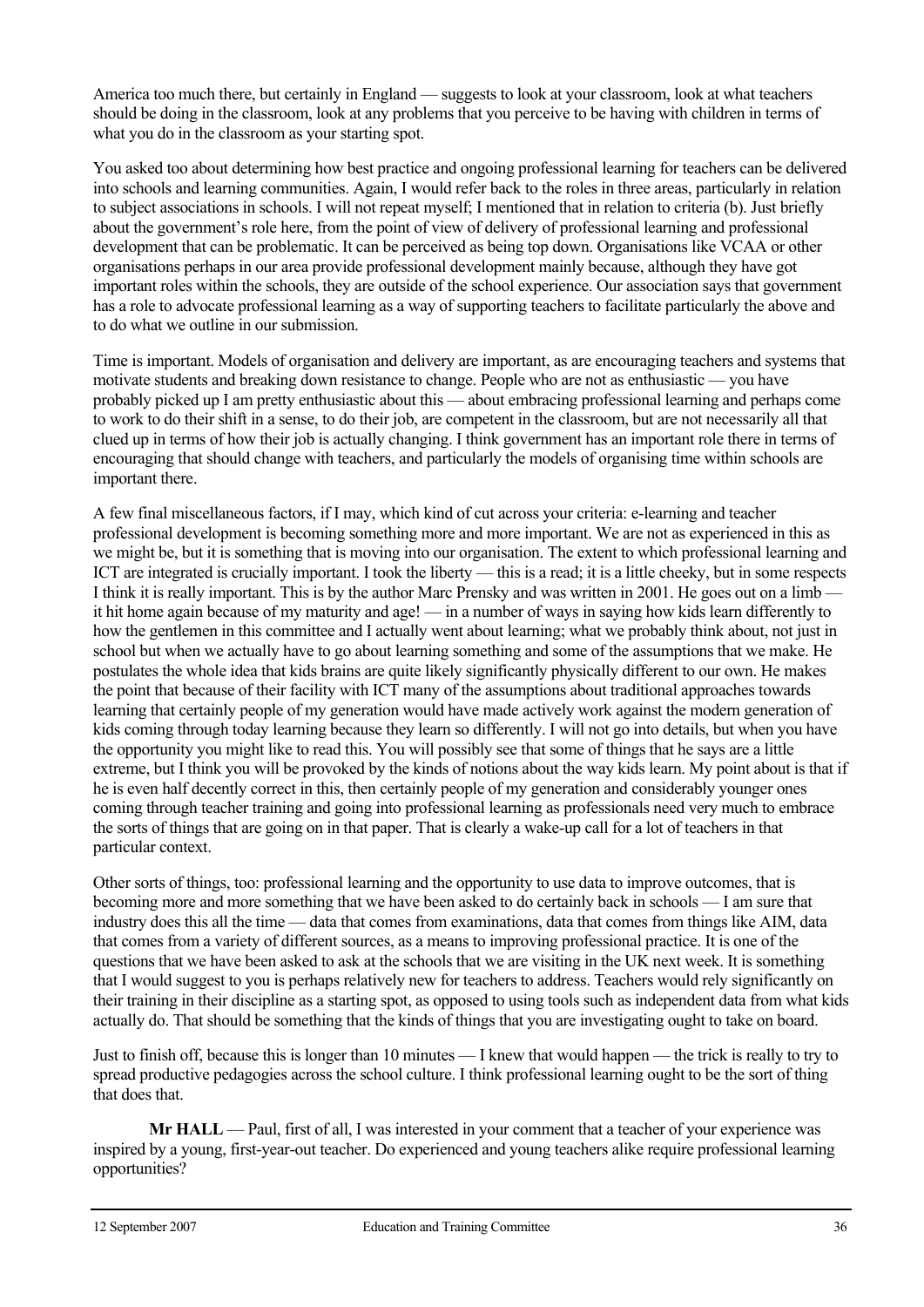America too much there, but certainly in England — suggests to look at your classroom, look at what teachers should be doing in the classroom, look at any problems that you perceive to be having with children in terms of what you do in the classroom as your starting spot.

You asked too about determining how best practice and ongoing professional learning for teachers can be delivered into schools and learning communities. Again, I would refer back to the roles in three areas, particularly in relation to subject associations in schools. I will not repeat myself; I mentioned that in relation to criteria (b). Just briefly about the government's role here, from the point of view of delivery of professional learning and professional development that can be problematic. It can be perceived as being top down. Organisations like VCAA or other organisations perhaps in our area provide professional development mainly because, although they have got important roles within the schools, they are outside of the school experience. Our association says that government has a role to advocate professional learning as a way of supporting teachers to facilitate particularly the above and to do what we outline in our submission.

Time is important. Models of organisation and delivery are important, as are encouraging teachers and systems that motivate students and breaking down resistance to change. People who are not as enthusiastic — you have probably picked up I am pretty enthusiastic about this — about embracing professional learning and perhaps come to work to do their shift in a sense, to do their job, are competent in the classroom, but are not necessarily all that clued up in terms of how their job is actually changing. I think government has an important role there in terms of encouraging that should change with teachers, and particularly the models of organising time within schools are important there.

A few final miscellaneous factors, if I may, which kind of cut across your criteria: e-learning and teacher professional development is becoming something more and more important. We are not as experienced in this as we might be, but it is something that is moving into our organisation. The extent to which professional learning and ICT are integrated is crucially important. I took the liberty — this is a read; it is a little cheeky, but in some respects I think it is really important. This is by the author Marc Prensky and was written in 2001. He goes out on a limbit hit home again because of my maturity and age! — in a number of ways in saying how kids learn differently to how the gentlemen in this committee and I actually went about learning; what we probably think about, not just in school but when we actually have to go about learning something and some of the assumptions that we make. He postulates the whole idea that kids brains are quite likely significantly physically different to our own. He makes the point that because of their facility with ICT many of the assumptions about traditional approaches towards learning that certainly people of my generation would have made actively work against the modern generation of kids coming through today learning because they learn so differently. I will not go into details, but when you have the opportunity you might like to read this. You will possibly see that some of things that he says are a little extreme, but I think you will be provoked by the kinds of notions about the way kids learn. My point about is that if he is even half decently correct in this, then certainly people of my generation and considerably younger ones coming through teacher training and going into professional learning as professionals need very much to embrace the sorts of things that are going on in that paper. That is clearly a wake-up call for a lot of teachers in that particular context.

Other sorts of things, too: professional learning and the opportunity to use data to improve outcomes, that is becoming more and more something that we have been asked to do certainly back in schools — I am sure that industry does this all the time — data that comes from examinations, data that comes from things like AIM, data that comes from a variety of different sources, as a means to improving professional practice. It is one of the questions that we have been asked to ask at the schools that we are visiting in the UK next week. It is something that I would suggest to you is perhaps relatively new for teachers to address. Teachers would rely significantly on their training in their discipline as a starting spot, as opposed to using tools such as independent data from what kids actually do. That should be something that the kinds of things that you are investigating ought to take on board.

Just to finish off, because this is longer than 10 minutes — I knew that would happen — the trick is really to try to spread productive pedagogies across the school culture. I think professional learning ought to be the sort of thing that does that.

**Mr HALL** — Paul, first of all, I was interested in your comment that a teacher of your experience was inspired by a young, first-year-out teacher. Do experienced and young teachers alike require professional learning opportunities?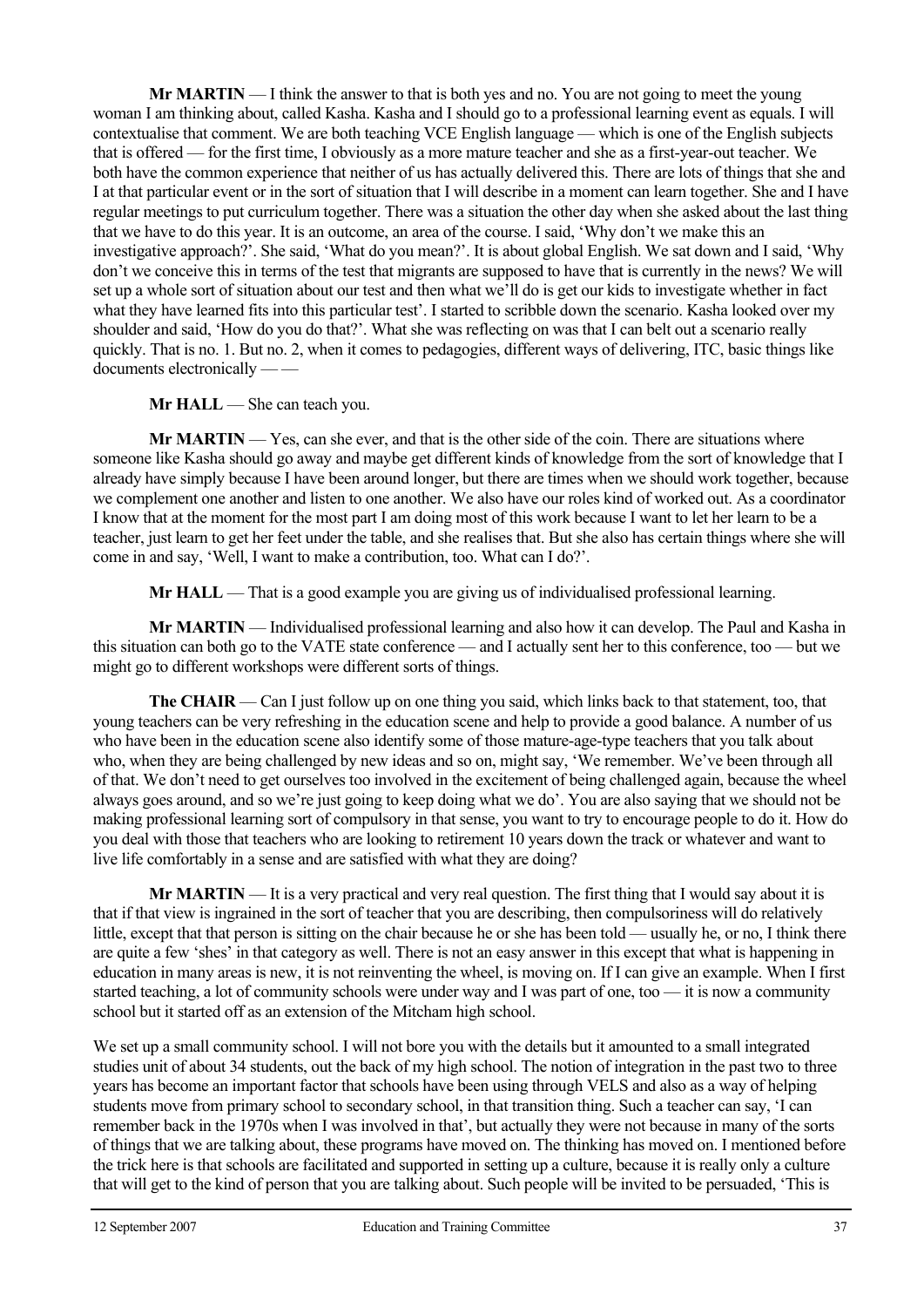**Mr MARTIN** — I think the answer to that is both yes and no. You are not going to meet the young woman I am thinking about, called Kasha. Kasha and I should go to a professional learning event as equals. I will contextualise that comment. We are both teaching VCE English language — which is one of the English subjects that is offered — for the first time, I obviously as a more mature teacher and she as a first-year-out teacher. We both have the common experience that neither of us has actually delivered this. There are lots of things that she and I at that particular event or in the sort of situation that I will describe in a moment can learn together. She and I have regular meetings to put curriculum together. There was a situation the other day when she asked about the last thing that we have to do this year. It is an outcome, an area of the course. I said, 'Why don't we make this an investigative approach?'. She said, 'What do you mean?'. It is about global English. We sat down and I said, 'Why don't we conceive this in terms of the test that migrants are supposed to have that is currently in the news? We will set up a whole sort of situation about our test and then what we'll do is get our kids to investigate whether in fact what they have learned fits into this particular test'. I started to scribble down the scenario. Kasha looked over my shoulder and said, 'How do you do that?'. What she was reflecting on was that I can belt out a scenario really quickly. That is no. 1. But no. 2, when it comes to pedagogies, different ways of delivering, ITC, basic things like documents electronically — —

#### **Mr HALL** — She can teach you.

**Mr MARTIN** — Yes, can she ever, and that is the other side of the coin. There are situations where someone like Kasha should go away and maybe get different kinds of knowledge from the sort of knowledge that I already have simply because I have been around longer, but there are times when we should work together, because we complement one another and listen to one another. We also have our roles kind of worked out. As a coordinator I know that at the moment for the most part I am doing most of this work because I want to let her learn to be a teacher, just learn to get her feet under the table, and she realises that. But she also has certain things where she will come in and say, 'Well, I want to make a contribution, too. What can I do?'.

**Mr HALL** — That is a good example you are giving us of individualised professional learning.

**Mr MARTIN** — Individualised professional learning and also how it can develop. The Paul and Kasha in this situation can both go to the VATE state conference — and I actually sent her to this conference, too — but we might go to different workshops were different sorts of things.

**The CHAIR** — Can I just follow up on one thing you said, which links back to that statement, too, that young teachers can be very refreshing in the education scene and help to provide a good balance. A number of us who have been in the education scene also identify some of those mature-age-type teachers that you talk about who, when they are being challenged by new ideas and so on, might say, 'We remember. We've been through all of that. We don't need to get ourselves too involved in the excitement of being challenged again, because the wheel always goes around, and so we're just going to keep doing what we do'. You are also saying that we should not be making professional learning sort of compulsory in that sense, you want to try to encourage people to do it. How do you deal with those that teachers who are looking to retirement 10 years down the track or whatever and want to live life comfortably in a sense and are satisfied with what they are doing?

**Mr MARTIN** — It is a very practical and very real question. The first thing that I would say about it is that if that view is ingrained in the sort of teacher that you are describing, then compulsoriness will do relatively little, except that that person is sitting on the chair because he or she has been told — usually he, or no, I think there are quite a few 'shes' in that category as well. There is not an easy answer in this except that what is happening in education in many areas is new, it is not reinventing the wheel, is moving on. If I can give an example. When I first started teaching, a lot of community schools were under way and I was part of one, too — it is now a community school but it started off as an extension of the Mitcham high school.

We set up a small community school. I will not bore you with the details but it amounted to a small integrated studies unit of about 34 students, out the back of my high school. The notion of integration in the past two to three years has become an important factor that schools have been using through VELS and also as a way of helping students move from primary school to secondary school, in that transition thing. Such a teacher can say, 'I can remember back in the 1970s when I was involved in that', but actually they were not because in many of the sorts of things that we are talking about, these programs have moved on. The thinking has moved on. I mentioned before the trick here is that schools are facilitated and supported in setting up a culture, because it is really only a culture that will get to the kind of person that you are talking about. Such people will be invited to be persuaded, 'This is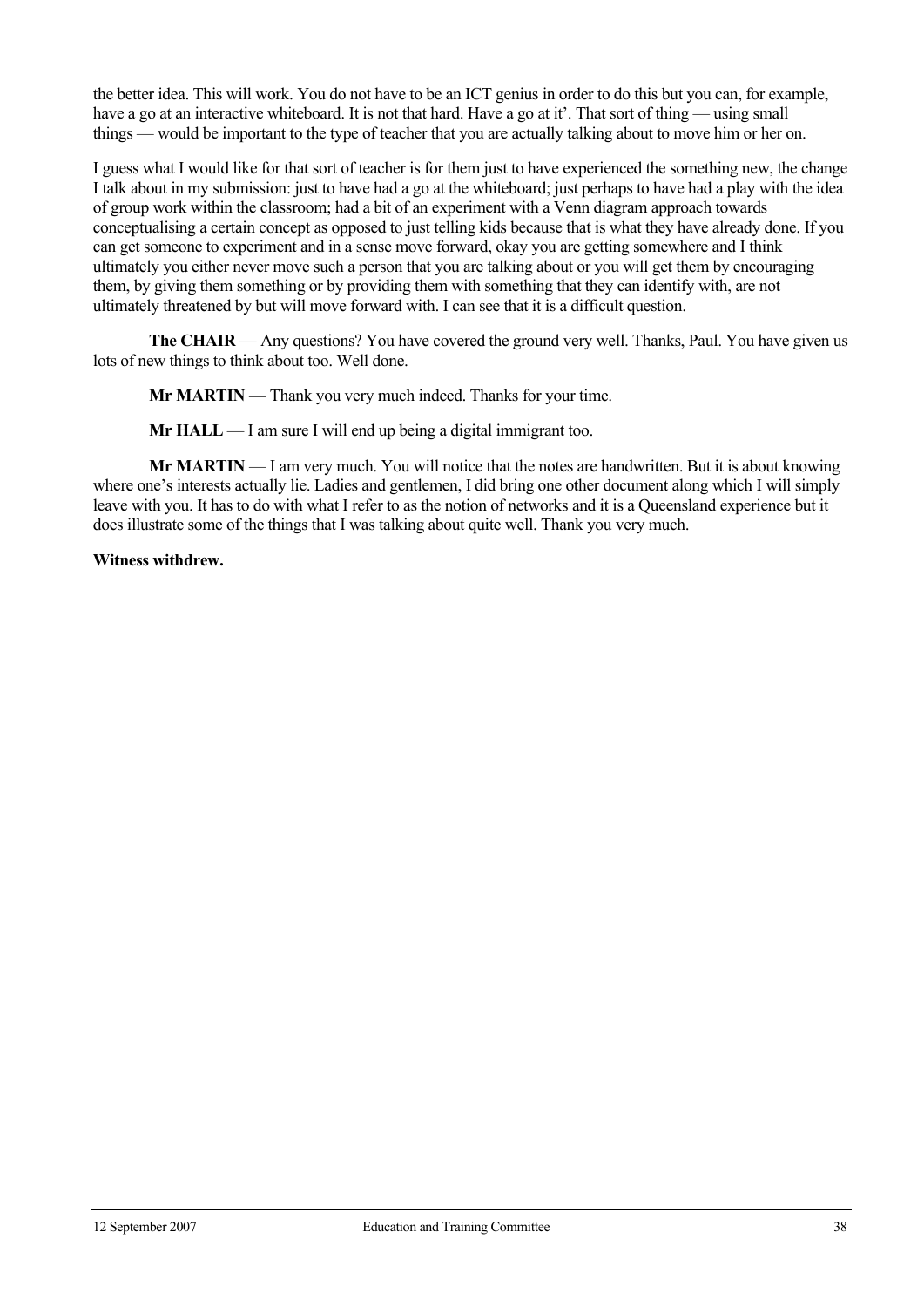the better idea. This will work. You do not have to be an ICT genius in order to do this but you can, for example, have a go at an interactive whiteboard. It is not that hard. Have a go at it'. That sort of thing — using small things — would be important to the type of teacher that you are actually talking about to move him or her on.

I guess what I would like for that sort of teacher is for them just to have experienced the something new, the change I talk about in my submission: just to have had a go at the whiteboard; just perhaps to have had a play with the idea of group work within the classroom; had a bit of an experiment with a Venn diagram approach towards conceptualising a certain concept as opposed to just telling kids because that is what they have already done. If you can get someone to experiment and in a sense move forward, okay you are getting somewhere and I think ultimately you either never move such a person that you are talking about or you will get them by encouraging them, by giving them something or by providing them with something that they can identify with, are not ultimately threatened by but will move forward with. I can see that it is a difficult question.

**The CHAIR** — Any questions? You have covered the ground very well. Thanks, Paul. You have given us lots of new things to think about too. Well done.

**Mr MARTIN** — Thank you very much indeed. Thanks for your time.

 **Mr HALL** — I am sure I will end up being a digital immigrant too.

**Mr MARTIN** — I am very much. You will notice that the notes are handwritten. But it is about knowing where one's interests actually lie. Ladies and gentlemen, I did bring one other document along which I will simply leave with you. It has to do with what I refer to as the notion of networks and it is a Queensland experience but it does illustrate some of the things that I was talking about quite well. Thank you very much.

**Witness withdrew.**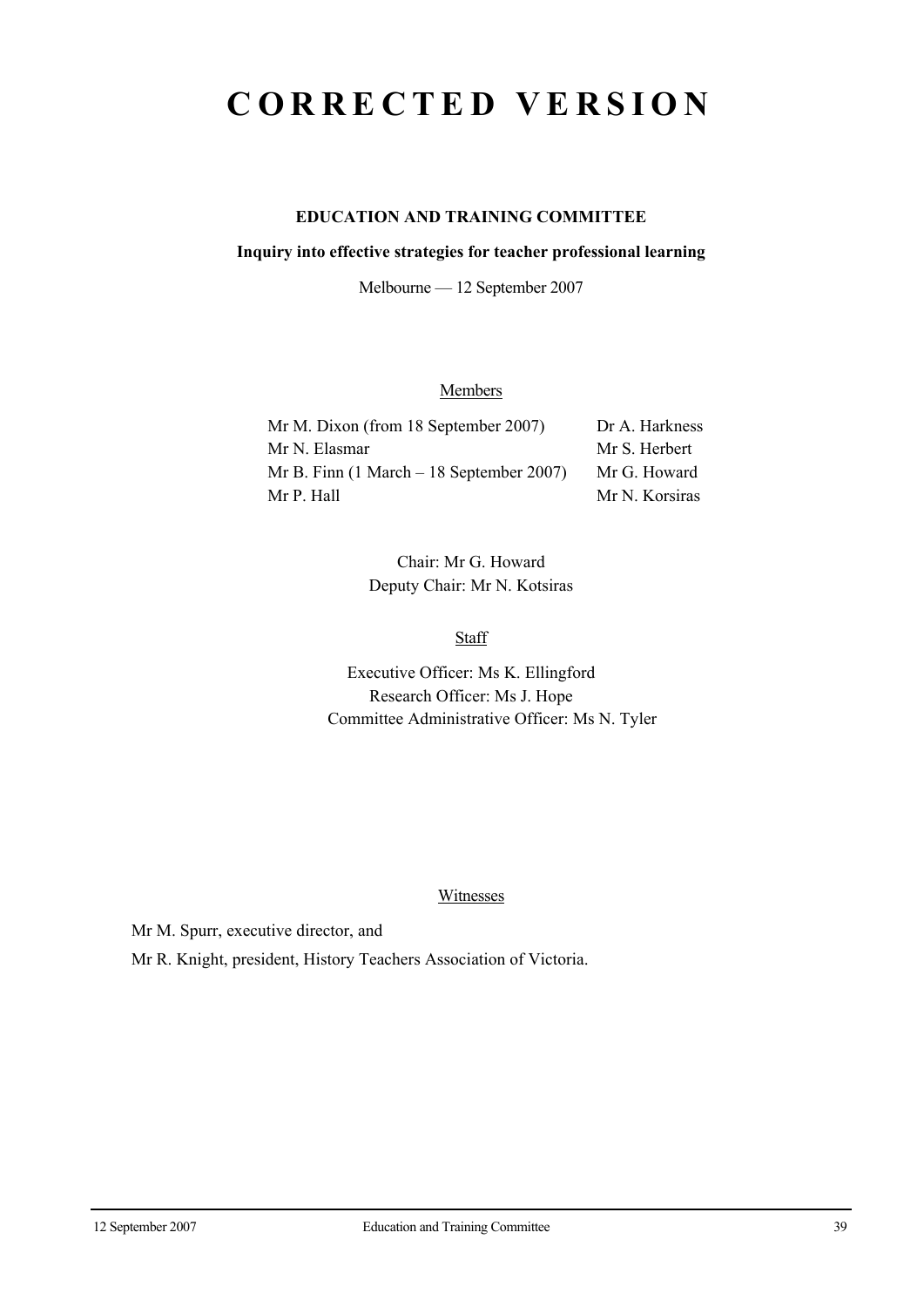## **CORRECTED VERSION**

## **EDUCATION AND TRAINING COMMITTEE**

#### **Inquiry into effective strategies for teacher professional learning**

Melbourne — 12 September 2007

## **Members**

| Mr M. Dixon (from 18 September 2007)                        | Dr A. Harkness |
|-------------------------------------------------------------|----------------|
| Mr N. Elasmar                                               | Mr S. Herbert  |
| Mr B. Finn $(1 \text{ March} - 18 \text{ September } 2007)$ | Mr G. Howard   |
| Mr P. Hall                                                  | Mr N. Korsiras |

Chair: Mr G. Howard Deputy Chair: Mr N. Kotsiras

**Staff** 

Executive Officer: Ms K. Ellingford Research Officer: Ms J. Hope Committee Administrative Officer: Ms N. Tyler

#### Witnesses

Mr M. Spurr, executive director, and

Mr R. Knight, president, History Teachers Association of Victoria.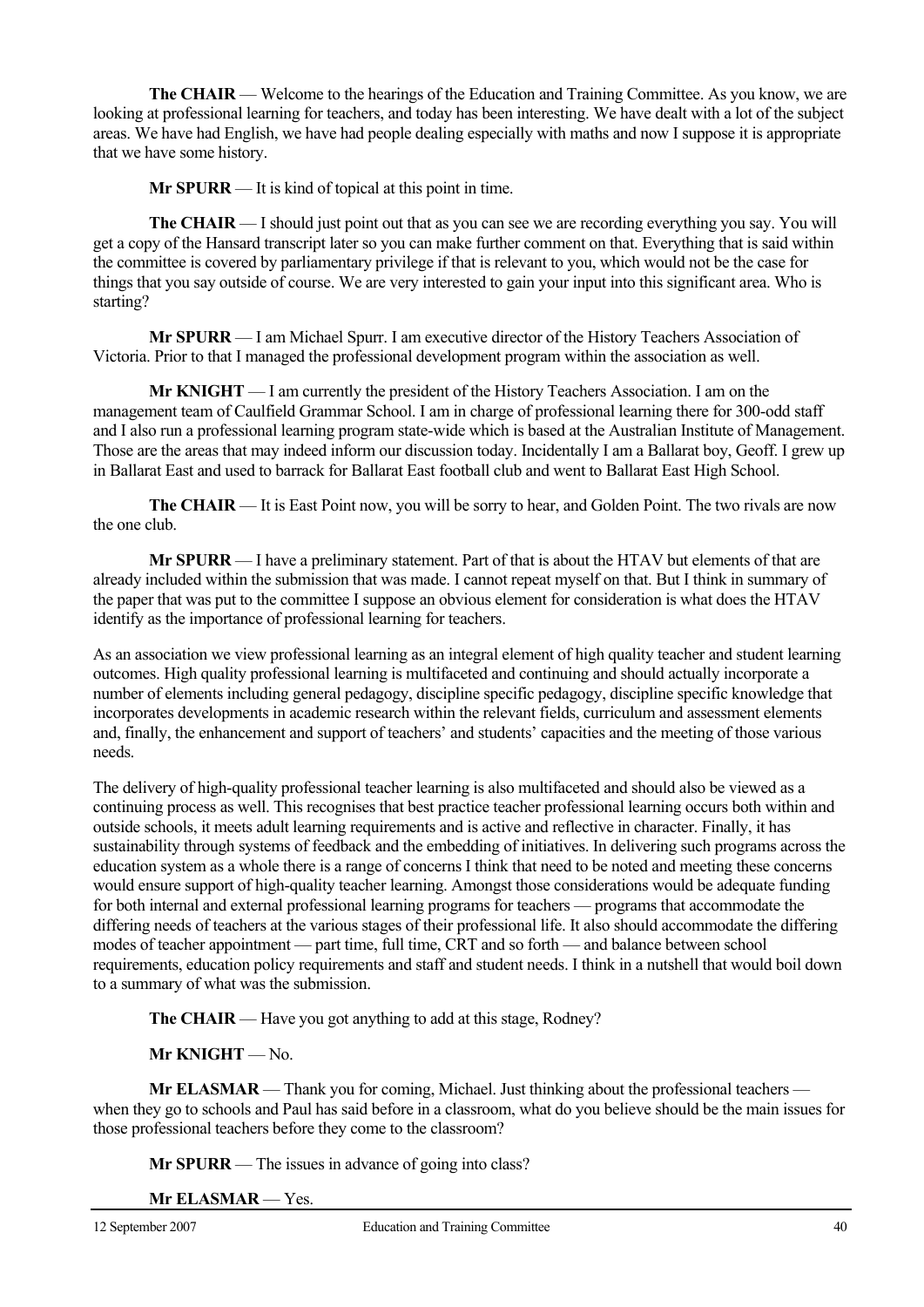**The CHAIR** — Welcome to the hearings of the Education and Training Committee. As you know, we are looking at professional learning for teachers, and today has been interesting. We have dealt with a lot of the subject areas. We have had English, we have had people dealing especially with maths and now I suppose it is appropriate that we have some history.

**Mr SPURR** — It is kind of topical at this point in time.

**The CHAIR** — I should just point out that as you can see we are recording everything you say. You will get a copy of the Hansard transcript later so you can make further comment on that. Everything that is said within the committee is covered by parliamentary privilege if that is relevant to you, which would not be the case for things that you say outside of course. We are very interested to gain your input into this significant area. Who is starting?

**Mr SPURR** — I am Michael Spurr. I am executive director of the History Teachers Association of Victoria. Prior to that I managed the professional development program within the association as well.

**Mr KNIGHT** — I am currently the president of the History Teachers Association. I am on the management team of Caulfield Grammar School. I am in charge of professional learning there for 300-odd staff and I also run a professional learning program state-wide which is based at the Australian Institute of Management. Those are the areas that may indeed inform our discussion today. Incidentally I am a Ballarat boy, Geoff. I grew up in Ballarat East and used to barrack for Ballarat East football club and went to Ballarat East High School.

**The CHAIR** — It is East Point now, you will be sorry to hear, and Golden Point. The two rivals are now the one club.

**Mr SPURR** — I have a preliminary statement. Part of that is about the HTAV but elements of that are already included within the submission that was made. I cannot repeat myself on that. But I think in summary of the paper that was put to the committee I suppose an obvious element for consideration is what does the HTAV identify as the importance of professional learning for teachers.

As an association we view professional learning as an integral element of high quality teacher and student learning outcomes. High quality professional learning is multifaceted and continuing and should actually incorporate a number of elements including general pedagogy, discipline specific pedagogy, discipline specific knowledge that incorporates developments in academic research within the relevant fields, curriculum and assessment elements and, finally, the enhancement and support of teachers' and students' capacities and the meeting of those various needs.

The delivery of high-quality professional teacher learning is also multifaceted and should also be viewed as a continuing process as well. This recognises that best practice teacher professional learning occurs both within and outside schools, it meets adult learning requirements and is active and reflective in character. Finally, it has sustainability through systems of feedback and the embedding of initiatives. In delivering such programs across the education system as a whole there is a range of concerns I think that need to be noted and meeting these concerns would ensure support of high-quality teacher learning. Amongst those considerations would be adequate funding for both internal and external professional learning programs for teachers — programs that accommodate the differing needs of teachers at the various stages of their professional life. It also should accommodate the differing modes of teacher appointment — part time, full time, CRT and so forth — and balance between school requirements, education policy requirements and staff and student needs. I think in a nutshell that would boil down to a summary of what was the submission.

**The CHAIR** — Have you got anything to add at this stage, Rodney?

 **Mr KNIGHT** — No.

**Mr ELASMAR** — Thank you for coming, Michael. Just thinking about the professional teachers when they go to schools and Paul has said before in a classroom, what do you believe should be the main issues for those professional teachers before they come to the classroom?

 **Mr SPURR** — The issues in advance of going into class?

**Mr ELASMAR** — Yes.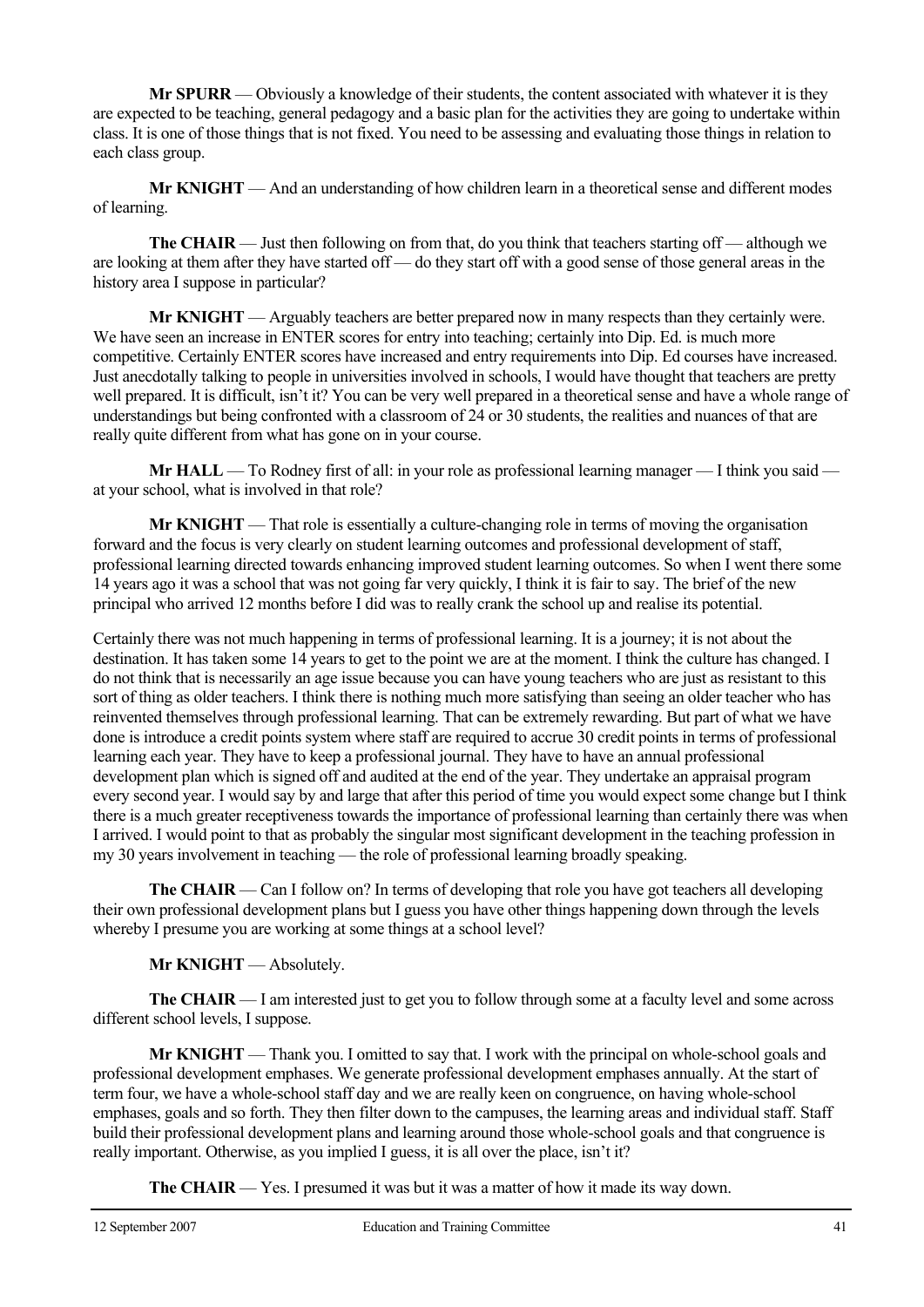**Mr SPURR** — Obviously a knowledge of their students, the content associated with whatever it is they are expected to be teaching, general pedagogy and a basic plan for the activities they are going to undertake within class. It is one of those things that is not fixed. You need to be assessing and evaluating those things in relation to each class group.

 **Mr KNIGHT** — And an understanding of how children learn in a theoretical sense and different modes of learning.

**The CHAIR** — Just then following on from that, do you think that teachers starting off — although we are looking at them after they have started off — do they start off with a good sense of those general areas in the history area I suppose in particular?

 **Mr KNIGHT** — Arguably teachers are better prepared now in many respects than they certainly were. We have seen an increase in ENTER scores for entry into teaching; certainly into Dip. Ed. is much more competitive. Certainly ENTER scores have increased and entry requirements into Dip. Ed courses have increased. Just anecdotally talking to people in universities involved in schools, I would have thought that teachers are pretty well prepared. It is difficult, isn't it? You can be very well prepared in a theoretical sense and have a whole range of understandings but being confronted with a classroom of 24 or 30 students, the realities and nuances of that are really quite different from what has gone on in your course.

**Mr HALL** — To Rodney first of all: in your role as professional learning manager — I think you said at your school, what is involved in that role?

 **Mr KNIGHT** — That role is essentially a culture-changing role in terms of moving the organisation forward and the focus is very clearly on student learning outcomes and professional development of staff, professional learning directed towards enhancing improved student learning outcomes. So when I went there some 14 years ago it was a school that was not going far very quickly, I think it is fair to say. The brief of the new principal who arrived 12 months before I did was to really crank the school up and realise its potential.

Certainly there was not much happening in terms of professional learning. It is a journey; it is not about the destination. It has taken some 14 years to get to the point we are at the moment. I think the culture has changed. I do not think that is necessarily an age issue because you can have young teachers who are just as resistant to this sort of thing as older teachers. I think there is nothing much more satisfying than seeing an older teacher who has reinvented themselves through professional learning. That can be extremely rewarding. But part of what we have done is introduce a credit points system where staff are required to accrue 30 credit points in terms of professional learning each year. They have to keep a professional journal. They have to have an annual professional development plan which is signed off and audited at the end of the year. They undertake an appraisal program every second year. I would say by and large that after this period of time you would expect some change but I think there is a much greater receptiveness towards the importance of professional learning than certainly there was when I arrived. I would point to that as probably the singular most significant development in the teaching profession in my 30 years involvement in teaching — the role of professional learning broadly speaking.

**The CHAIR** — Can I follow on? In terms of developing that role you have got teachers all developing their own professional development plans but I guess you have other things happening down through the levels whereby I presume you are working at some things at a school level?

 **Mr KNIGHT** — Absolutely.

**The CHAIR** — I am interested just to get you to follow through some at a faculty level and some across different school levels, I suppose.

 **Mr KNIGHT** — Thank you. I omitted to say that. I work with the principal on whole-school goals and professional development emphases. We generate professional development emphases annually. At the start of term four, we have a whole-school staff day and we are really keen on congruence, on having whole-school emphases, goals and so forth. They then filter down to the campuses, the learning areas and individual staff. Staff build their professional development plans and learning around those whole-school goals and that congruence is really important. Otherwise, as you implied I guess, it is all over the place, isn't it?

**The CHAIR** — Yes. I presumed it was but it was a matter of how it made its way down.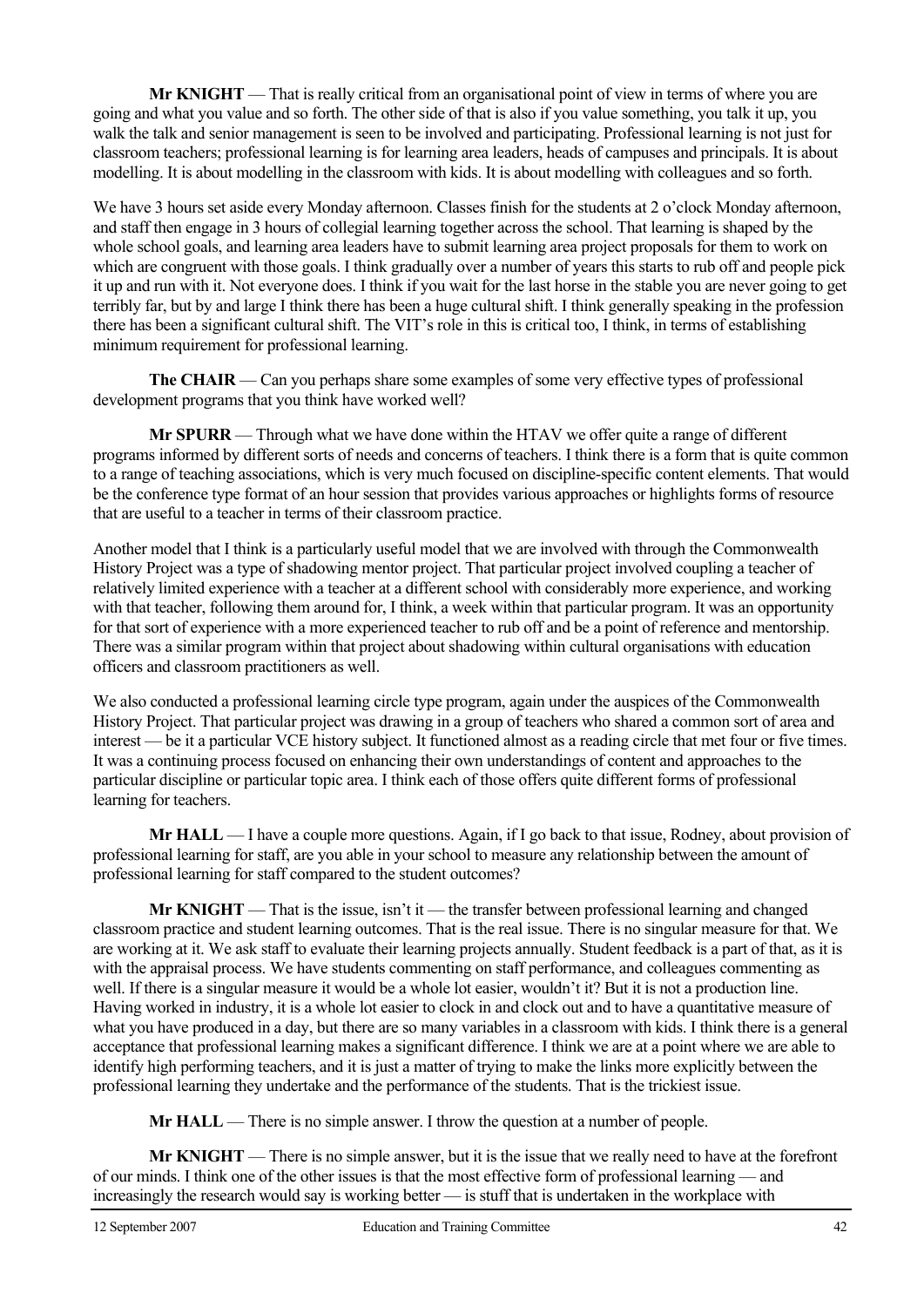**Mr KNIGHT** — That is really critical from an organisational point of view in terms of where you are going and what you value and so forth. The other side of that is also if you value something, you talk it up, you walk the talk and senior management is seen to be involved and participating. Professional learning is not just for classroom teachers; professional learning is for learning area leaders, heads of campuses and principals. It is about modelling. It is about modelling in the classroom with kids. It is about modelling with colleagues and so forth.

We have 3 hours set aside every Monday afternoon. Classes finish for the students at 2 o'clock Monday afternoon, and staff then engage in 3 hours of collegial learning together across the school. That learning is shaped by the whole school goals, and learning area leaders have to submit learning area project proposals for them to work on which are congruent with those goals. I think gradually over a number of years this starts to rub off and people pick it up and run with it. Not everyone does. I think if you wait for the last horse in the stable you are never going to get terribly far, but by and large I think there has been a huge cultural shift. I think generally speaking in the profession there has been a significant cultural shift. The VIT's role in this is critical too, I think, in terms of establishing minimum requirement for professional learning.

**The CHAIR** — Can you perhaps share some examples of some very effective types of professional development programs that you think have worked well?

 **Mr SPURR** — Through what we have done within the HTAV we offer quite a range of different programs informed by different sorts of needs and concerns of teachers. I think there is a form that is quite common to a range of teaching associations, which is very much focused on discipline-specific content elements. That would be the conference type format of an hour session that provides various approaches or highlights forms of resource that are useful to a teacher in terms of their classroom practice.

Another model that I think is a particularly useful model that we are involved with through the Commonwealth History Project was a type of shadowing mentor project. That particular project involved coupling a teacher of relatively limited experience with a teacher at a different school with considerably more experience, and working with that teacher, following them around for, I think, a week within that particular program. It was an opportunity for that sort of experience with a more experienced teacher to rub off and be a point of reference and mentorship. There was a similar program within that project about shadowing within cultural organisations with education officers and classroom practitioners as well.

We also conducted a professional learning circle type program, again under the auspices of the Commonwealth History Project. That particular project was drawing in a group of teachers who shared a common sort of area and interest — be it a particular VCE history subject. It functioned almost as a reading circle that met four or five times. It was a continuing process focused on enhancing their own understandings of content and approaches to the particular discipline or particular topic area. I think each of those offers quite different forms of professional learning for teachers.

**Mr HALL** — I have a couple more questions. Again, if I go back to that issue, Rodney, about provision of professional learning for staff, are you able in your school to measure any relationship between the amount of professional learning for staff compared to the student outcomes?

 **Mr KNIGHT** — That is the issue, isn't it — the transfer between professional learning and changed classroom practice and student learning outcomes. That is the real issue. There is no singular measure for that. We are working at it. We ask staff to evaluate their learning projects annually. Student feedback is a part of that, as it is with the appraisal process. We have students commenting on staff performance, and colleagues commenting as well. If there is a singular measure it would be a whole lot easier, wouldn't it? But it is not a production line. Having worked in industry, it is a whole lot easier to clock in and clock out and to have a quantitative measure of what you have produced in a day, but there are so many variables in a classroom with kids. I think there is a general acceptance that professional learning makes a significant difference. I think we are at a point where we are able to identify high performing teachers, and it is just a matter of trying to make the links more explicitly between the professional learning they undertake and the performance of the students. That is the trickiest issue.

**Mr HALL** — There is no simple answer. I throw the question at a number of people.

 **Mr KNIGHT** — There is no simple answer, but it is the issue that we really need to have at the forefront of our minds. I think one of the other issues is that the most effective form of professional learning — and increasingly the research would say is working better — is stuff that is undertaken in the workplace with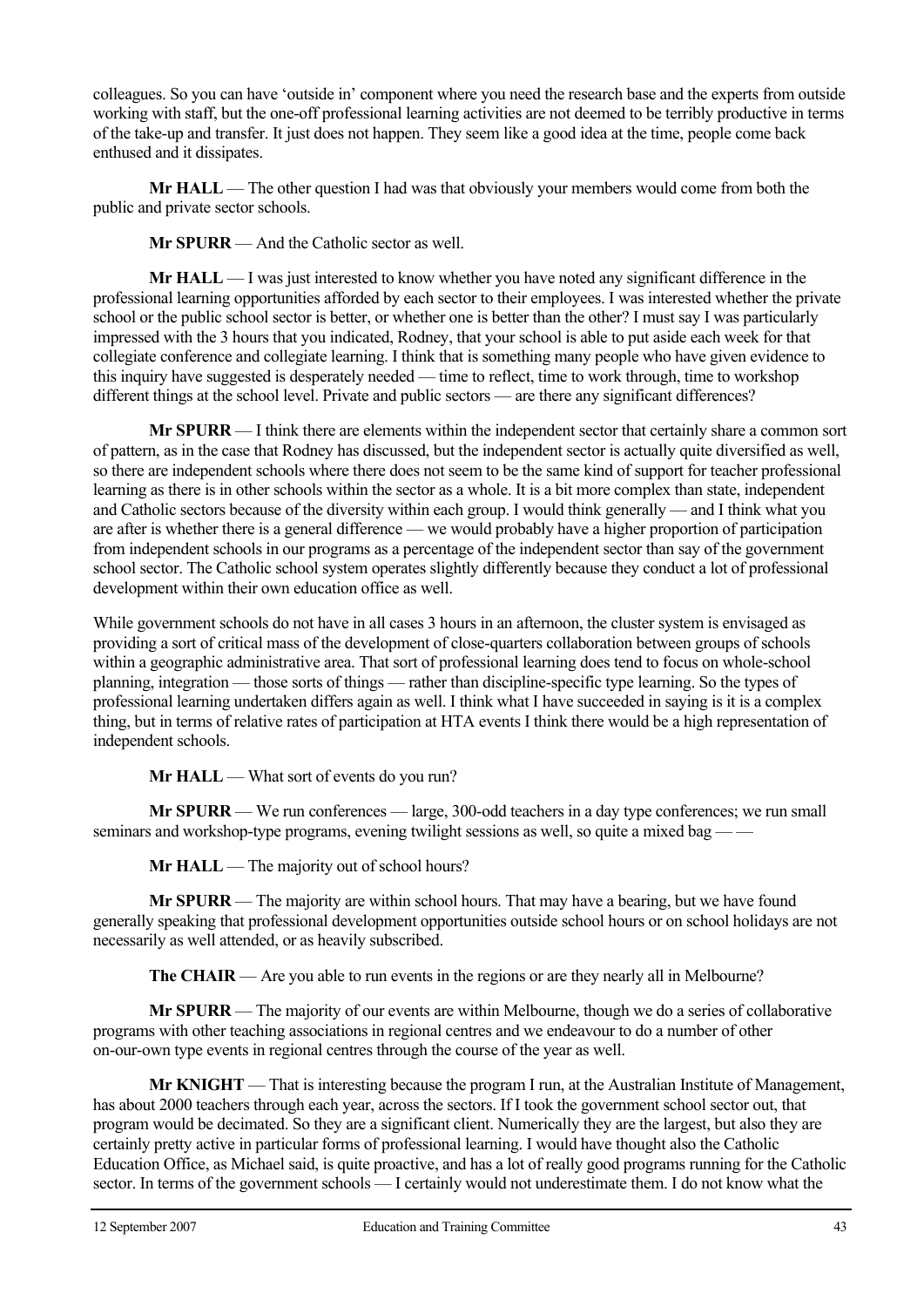colleagues. So you can have 'outside in' component where you need the research base and the experts from outside working with staff, but the one-off professional learning activities are not deemed to be terribly productive in terms of the take-up and transfer. It just does not happen. They seem like a good idea at the time, people come back enthused and it dissipates.

**Mr HALL** — The other question I had was that obviously your members would come from both the public and private sector schools.

 **Mr SPURR** — And the Catholic sector as well.

**Mr HALL** — I was just interested to know whether you have noted any significant difference in the professional learning opportunities afforded by each sector to their employees. I was interested whether the private school or the public school sector is better, or whether one is better than the other? I must say I was particularly impressed with the 3 hours that you indicated, Rodney, that your school is able to put aside each week for that collegiate conference and collegiate learning. I think that is something many people who have given evidence to this inquiry have suggested is desperately needed — time to reflect, time to work through, time to workshop different things at the school level. Private and public sectors — are there any significant differences?

**Mr SPURR** — I think there are elements within the independent sector that certainly share a common sort of pattern, as in the case that Rodney has discussed, but the independent sector is actually quite diversified as well, so there are independent schools where there does not seem to be the same kind of support for teacher professional learning as there is in other schools within the sector as a whole. It is a bit more complex than state, independent and Catholic sectors because of the diversity within each group. I would think generally — and I think what you are after is whether there is a general difference — we would probably have a higher proportion of participation from independent schools in our programs as a percentage of the independent sector than say of the government school sector. The Catholic school system operates slightly differently because they conduct a lot of professional development within their own education office as well.

While government schools do not have in all cases 3 hours in an afternoon, the cluster system is envisaged as providing a sort of critical mass of the development of close-quarters collaboration between groups of schools within a geographic administrative area. That sort of professional learning does tend to focus on whole-school planning, integration — those sorts of things — rather than discipline-specific type learning. So the types of professional learning undertaken differs again as well. I think what I have succeeded in saying is it is a complex thing, but in terms of relative rates of participation at HTA events I think there would be a high representation of independent schools.

**Mr HALL** — What sort of events do you run?

**Mr SPURR** — We run conferences — large, 300-odd teachers in a day type conferences; we run small seminars and workshop-type programs, evening twilight sessions as well, so quite a mixed bag –

**Mr HALL** — The majority out of school hours?

**Mr SPURR** — The majority are within school hours. That may have a bearing, but we have found generally speaking that professional development opportunities outside school hours or on school holidays are not necessarily as well attended, or as heavily subscribed.

**The CHAIR** — Are you able to run events in the regions or are they nearly all in Melbourne?

**Mr SPURR** — The majority of our events are within Melbourne, though we do a series of collaborative programs with other teaching associations in regional centres and we endeavour to do a number of other on-our-own type events in regional centres through the course of the year as well.

**Mr KNIGHT** — That is interesting because the program I run, at the Australian Institute of Management, has about 2000 teachers through each year, across the sectors. If I took the government school sector out, that program would be decimated. So they are a significant client. Numerically they are the largest, but also they are certainly pretty active in particular forms of professional learning. I would have thought also the Catholic Education Office, as Michael said, is quite proactive, and has a lot of really good programs running for the Catholic sector. In terms of the government schools — I certainly would not underestimate them. I do not know what the